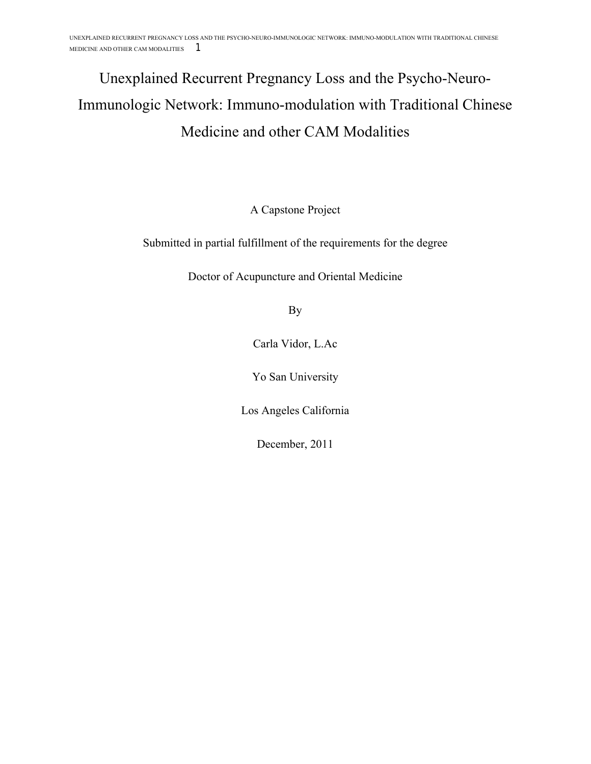# Unexplained Recurrent Pregnancy Loss and the Psycho-Neuro-Immunologic Network: Immuno-modulation with Traditional Chinese Medicine and other CAM Modalities

A Capstone Project

Submitted in partial fulfillment of the requirements for the degree

Doctor of Acupuncture and Oriental Medicine

By

Carla Vidor, L.Ac

Yo San University

Los Angeles California

December, 2011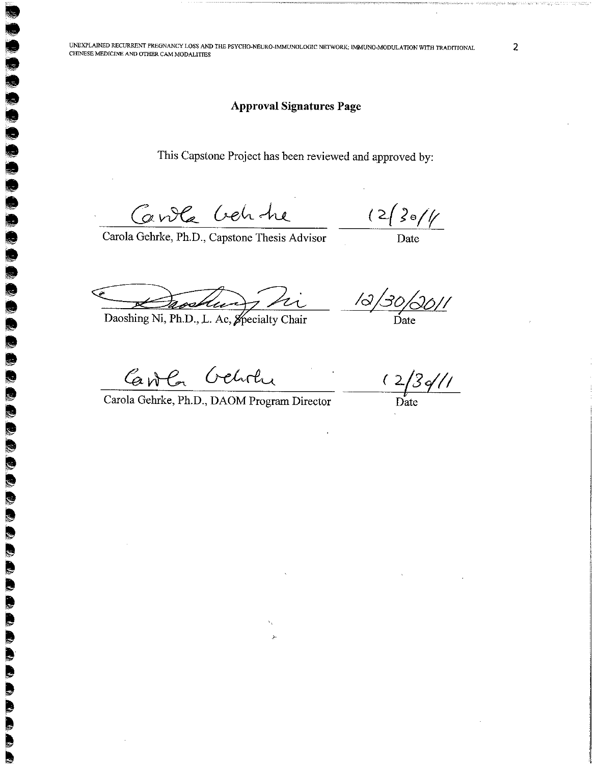### **Approval Signatures Page**

This Capstone Project has been reviewed and approved by:

Carola Creh he

 $\blacksquare$ 

E

编

 $\blacksquare$ 

R

**SEP TA** E.

W.

**S Report**  $\ddot{\phantom{a}}$ l<br>S  $\overline{\mathbf{C}}$ 

b R S. B 

 $\frac{(2\sqrt{361}}{26})$ 

Carola Gehrke, Ph.D., Capstone Thesis Advisor

trocking hi

Daoshing Ni, Ph.D., L. Ac, Specialty Chair

 $\frac{13}{30/30/11}$ 

Carola Geholu

Carola Gehrke, Ph.D., DAOM Program Director

 $\frac{(2/3)}{\text{Date}}$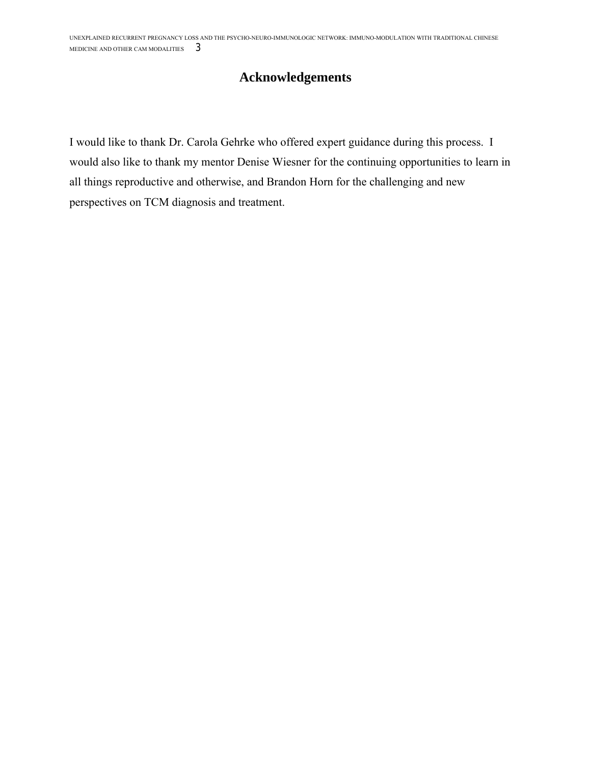## **Acknowledgements**

I would like to thank Dr. Carola Gehrke who offered expert guidance during this process. I would also like to thank my mentor Denise Wiesner for the continuing opportunities to learn in all things reproductive and otherwise, and Brandon Horn for the challenging and new perspectives on TCM diagnosis and treatment.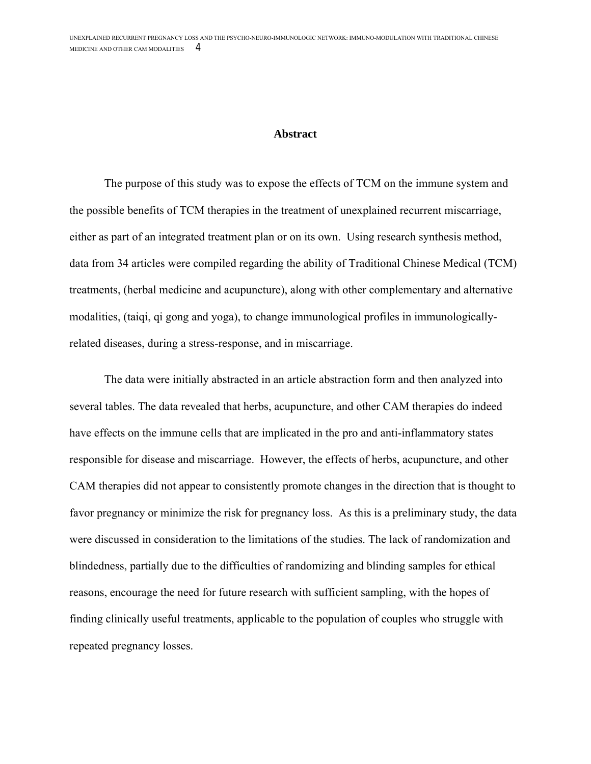#### **Abstract**

The purpose of this study was to expose the effects of TCM on the immune system and the possible benefits of TCM therapies in the treatment of unexplained recurrent miscarriage, either as part of an integrated treatment plan or on its own. Using research synthesis method, data from 34 articles were compiled regarding the ability of Traditional Chinese Medical (TCM) treatments, (herbal medicine and acupuncture), along with other complementary and alternative modalities, (taiqi, qi gong and yoga), to change immunological profiles in immunologicallyrelated diseases, during a stress-response, and in miscarriage.

The data were initially abstracted in an article abstraction form and then analyzed into several tables. The data revealed that herbs, acupuncture, and other CAM therapies do indeed have effects on the immune cells that are implicated in the pro and anti-inflammatory states responsible for disease and miscarriage. However, the effects of herbs, acupuncture, and other CAM therapies did not appear to consistently promote changes in the direction that is thought to favor pregnancy or minimize the risk for pregnancy loss. As this is a preliminary study, the data were discussed in consideration to the limitations of the studies. The lack of randomization and blindedness, partially due to the difficulties of randomizing and blinding samples for ethical reasons, encourage the need for future research with sufficient sampling, with the hopes of finding clinically useful treatments, applicable to the population of couples who struggle with repeated pregnancy losses.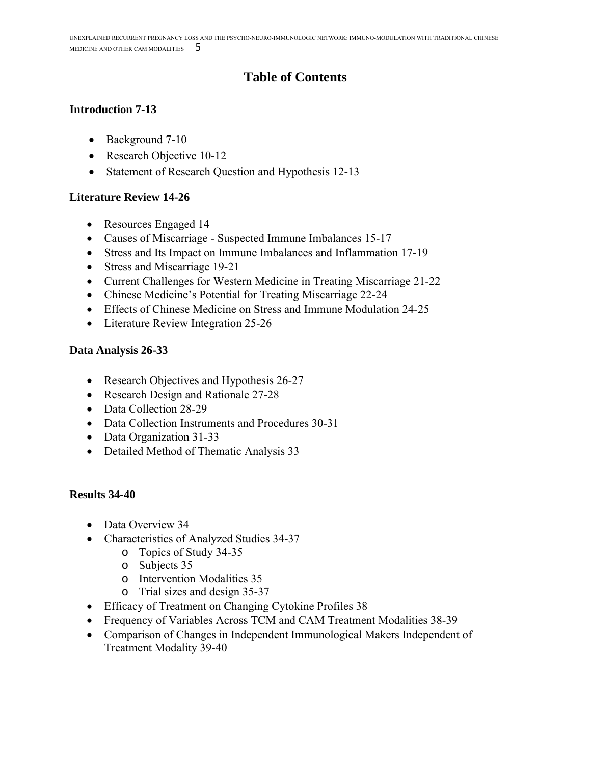## **Table of Contents**

## **Introduction 7-13**

- Background 7-10
- Research Objective 10-12
- Statement of Research Question and Hypothesis 12-13

## **Literature Review 14-26**

- Resources Engaged 14
- Causes of Miscarriage Suspected Immune Imbalances 15-17
- Stress and Its Impact on Immune Imbalances and Inflammation 17-19
- Stress and Miscarriage 19-21
- Current Challenges for Western Medicine in Treating Miscarriage 21-22
- Chinese Medicine's Potential for Treating Miscarriage 22-24
- Effects of Chinese Medicine on Stress and Immune Modulation 24-25
- Literature Review Integration 25-26

## **Data Analysis 26-33**

- Research Objectives and Hypothesis 26-27
- Research Design and Rationale 27-28
- Data Collection 28-29
- Data Collection Instruments and Procedures 30-31
- Data Organization 31-33
- Detailed Method of Thematic Analysis 33

## **Results 34-40**

- Data Overview 34
- Characteristics of Analyzed Studies 34-37
	- o Topics of Study 34-35
	- o Subjects 35
	- o Intervention Modalities 35
	- o Trial sizes and design 35-37
- Efficacy of Treatment on Changing Cytokine Profiles 38
- Frequency of Variables Across TCM and CAM Treatment Modalities 38-39
- Comparison of Changes in Independent Immunological Makers Independent of Treatment Modality 39-40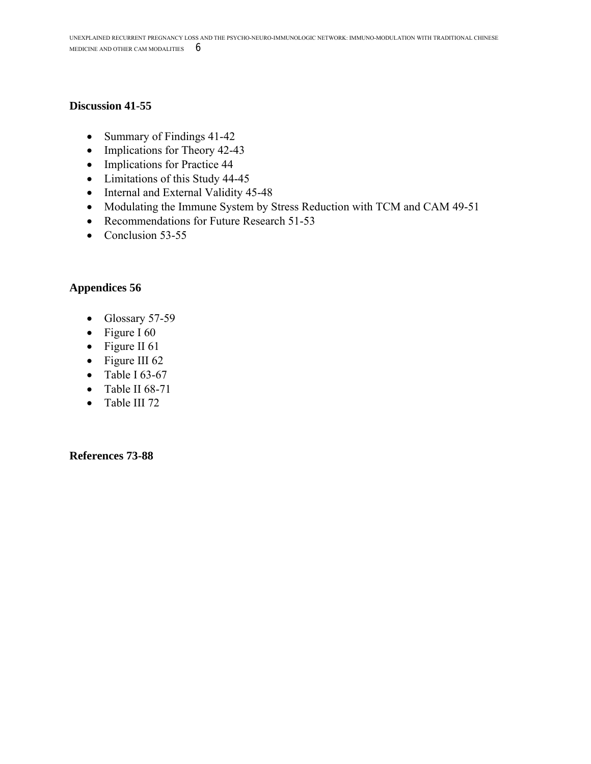### **Discussion 41-55**

- Summary of Findings 41-42
- Implications for Theory 42-43
- Implications for Practice 44
- Limitations of this Study 44-45
- Internal and External Validity 45-48
- Modulating the Immune System by Stress Reduction with TCM and CAM 49-51
- Recommendations for Future Research 51-53
- $\bullet$  Conclusion 53-55

## **Appendices 56**

- Glossary 57-59
- Figure I 60
- Figure II 61
- Figure III 62
- $\bullet$  Table I 63-67
- $\bullet$  Table II 68-71
- Table III 72

**References 73-88**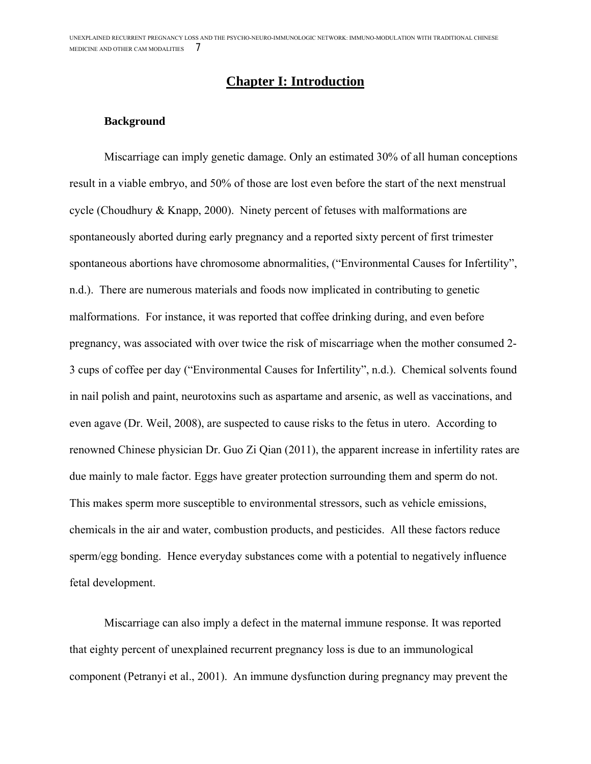## **Chapter I: Introduction**

#### **Background**

Miscarriage can imply genetic damage. Only an estimated 30% of all human conceptions result in a viable embryo, and 50% of those are lost even before the start of the next menstrual cycle (Choudhury & Knapp, 2000). Ninety percent of fetuses with malformations are spontaneously aborted during early pregnancy and a reported sixty percent of first trimester spontaneous abortions have chromosome abnormalities, ("Environmental Causes for Infertility", n.d.). There are numerous materials and foods now implicated in contributing to genetic malformations. For instance, it was reported that coffee drinking during, and even before pregnancy, was associated with over twice the risk of miscarriage when the mother consumed 2- 3 cups of coffee per day ("Environmental Causes for Infertility", n.d.). Chemical solvents found in nail polish and paint, neurotoxins such as aspartame and arsenic, as well as vaccinations, and even agave (Dr. Weil, 2008), are suspected to cause risks to the fetus in utero. According to renowned Chinese physician Dr. Guo Zi Qian (2011), the apparent increase in infertility rates are due mainly to male factor. Eggs have greater protection surrounding them and sperm do not. This makes sperm more susceptible to environmental stressors, such as vehicle emissions, chemicals in the air and water, combustion products, and pesticides. All these factors reduce sperm/egg bonding. Hence everyday substances come with a potential to negatively influence fetal development.

Miscarriage can also imply a defect in the maternal immune response. It was reported that eighty percent of unexplained recurrent pregnancy loss is due to an immunological component (Petranyi et al., 2001). An immune dysfunction during pregnancy may prevent the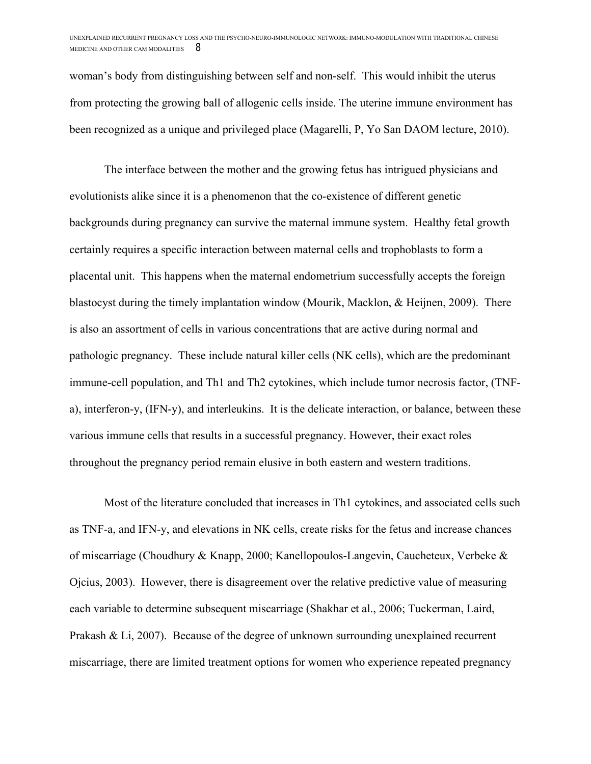woman's body from distinguishing between self and non-self. This would inhibit the uterus from protecting the growing ball of allogenic cells inside. The uterine immune environment has been recognized as a unique and privileged place (Magarelli, P, Yo San DAOM lecture, 2010).

The interface between the mother and the growing fetus has intrigued physicians and evolutionists alike since it is a phenomenon that the co-existence of different genetic backgrounds during pregnancy can survive the maternal immune system. Healthy fetal growth certainly requires a specific interaction between maternal cells and trophoblasts to form a placental unit. This happens when the maternal endometrium successfully accepts the foreign blastocyst during the timely implantation window (Mourik, Macklon, & Heijnen, 2009). There is also an assortment of cells in various concentrations that are active during normal and pathologic pregnancy. These include natural killer cells (NK cells), which are the predominant immune-cell population, and Th1 and Th2 cytokines, which include tumor necrosis factor, (TNFa), interferon-y, (IFN-y), and interleukins. It is the delicate interaction, or balance, between these various immune cells that results in a successful pregnancy. However, their exact roles throughout the pregnancy period remain elusive in both eastern and western traditions.

Most of the literature concluded that increases in Th1 cytokines, and associated cells such as TNF-a, and IFN-y, and elevations in NK cells, create risks for the fetus and increase chances of miscarriage (Choudhury & Knapp, 2000; Kanellopoulos-Langevin, Caucheteux, Verbeke & Ojcius, 2003). However, there is disagreement over the relative predictive value of measuring each variable to determine subsequent miscarriage (Shakhar et al., 2006; Tuckerman, Laird, Prakash & Li, 2007). Because of the degree of unknown surrounding unexplained recurrent miscarriage, there are limited treatment options for women who experience repeated pregnancy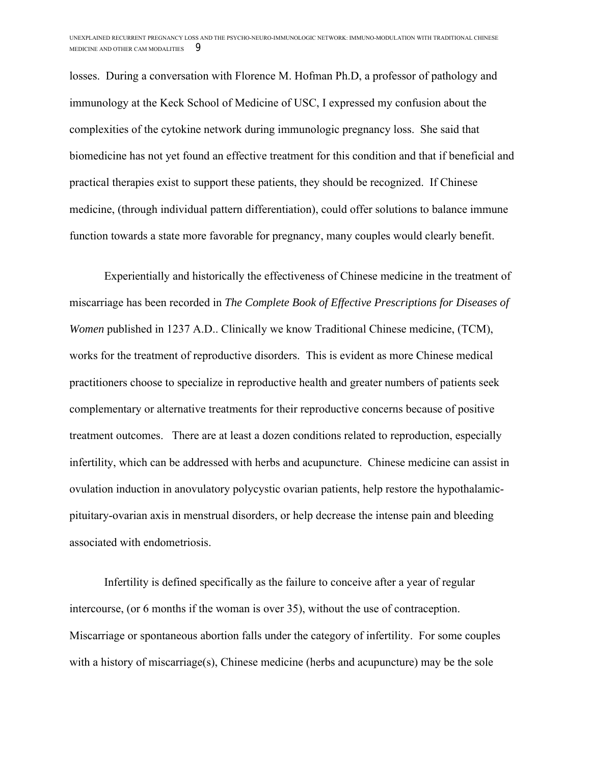losses. During a conversation with Florence M. Hofman Ph.D, a professor of pathology and immunology at the Keck School of Medicine of USC, I expressed my confusion about the complexities of the cytokine network during immunologic pregnancy loss. She said that biomedicine has not yet found an effective treatment for this condition and that if beneficial and practical therapies exist to support these patients, they should be recognized. If Chinese medicine, (through individual pattern differentiation), could offer solutions to balance immune function towards a state more favorable for pregnancy, many couples would clearly benefit.

Experientially and historically the effectiveness of Chinese medicine in the treatment of miscarriage has been recorded in *The Complete Book of Effective Prescriptions for Diseases of Women* published in 1237 A.D.. Clinically we know Traditional Chinese medicine, (TCM), works for the treatment of reproductive disorders. This is evident as more Chinese medical practitioners choose to specialize in reproductive health and greater numbers of patients seek complementary or alternative treatments for their reproductive concerns because of positive treatment outcomes. There are at least a dozen conditions related to reproduction, especially infertility, which can be addressed with herbs and acupuncture. Chinese medicine can assist in ovulation induction in anovulatory polycystic ovarian patients, help restore the hypothalamicpituitary-ovarian axis in menstrual disorders, or help decrease the intense pain and bleeding associated with endometriosis.

Infertility is defined specifically as the failure to conceive after a year of regular intercourse, (or 6 months if the woman is over 35), without the use of contraception. Miscarriage or spontaneous abortion falls under the category of infertility. For some couples with a history of miscarriage(s), Chinese medicine (herbs and acupuncture) may be the sole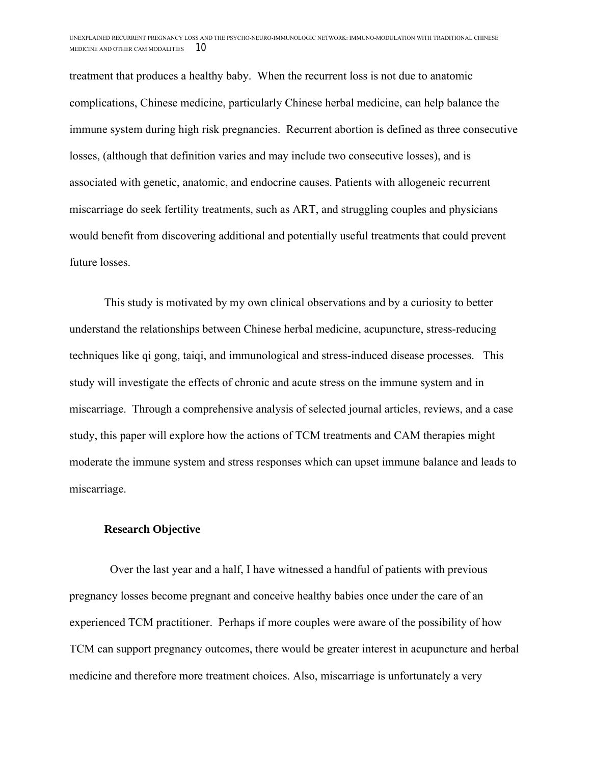treatment that produces a healthy baby. When the recurrent loss is not due to anatomic complications, Chinese medicine, particularly Chinese herbal medicine, can help balance the immune system during high risk pregnancies. Recurrent abortion is defined as three consecutive losses, (although that definition varies and may include two consecutive losses), and is associated with genetic, anatomic, and endocrine causes. Patients with allogeneic recurrent miscarriage do seek fertility treatments, such as ART, and struggling couples and physicians would benefit from discovering additional and potentially useful treatments that could prevent future losses.

This study is motivated by my own clinical observations and by a curiosity to better understand the relationships between Chinese herbal medicine, acupuncture, stress-reducing techniques like qi gong, taiqi, and immunological and stress-induced disease processes. This study will investigate the effects of chronic and acute stress on the immune system and in miscarriage. Through a comprehensive analysis of selected journal articles, reviews, and a case study, this paper will explore how the actions of TCM treatments and CAM therapies might moderate the immune system and stress responses which can upset immune balance and leads to miscarriage.

#### **Research Objective**

 Over the last year and a half, I have witnessed a handful of patients with previous pregnancy losses become pregnant and conceive healthy babies once under the care of an experienced TCM practitioner. Perhaps if more couples were aware of the possibility of how TCM can support pregnancy outcomes, there would be greater interest in acupuncture and herbal medicine and therefore more treatment choices. Also, miscarriage is unfortunately a very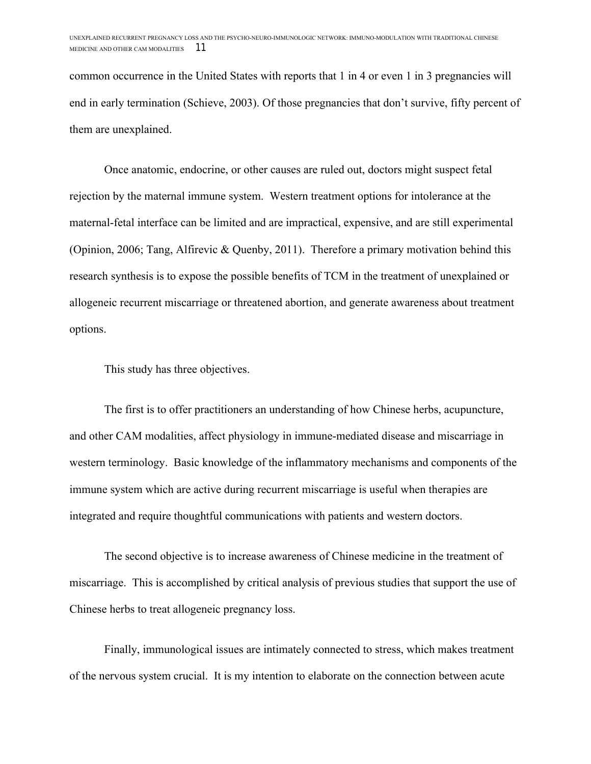common occurrence in the United States with reports that 1 in 4 or even 1 in 3 pregnancies will end in early termination (Schieve, 2003). Of those pregnancies that don't survive, fifty percent of them are unexplained.

Once anatomic, endocrine, or other causes are ruled out, doctors might suspect fetal rejection by the maternal immune system. Western treatment options for intolerance at the maternal-fetal interface can be limited and are impractical, expensive, and are still experimental (Opinion, 2006; Tang, Alfirevic & Quenby, 2011). Therefore a primary motivation behind this research synthesis is to expose the possible benefits of TCM in the treatment of unexplained or allogeneic recurrent miscarriage or threatened abortion, and generate awareness about treatment options.

This study has three objectives.

The first is to offer practitioners an understanding of how Chinese herbs, acupuncture, and other CAM modalities, affect physiology in immune-mediated disease and miscarriage in western terminology. Basic knowledge of the inflammatory mechanisms and components of the immune system which are active during recurrent miscarriage is useful when therapies are integrated and require thoughtful communications with patients and western doctors.

The second objective is to increase awareness of Chinese medicine in the treatment of miscarriage. This is accomplished by critical analysis of previous studies that support the use of Chinese herbs to treat allogeneic pregnancy loss.

Finally, immunological issues are intimately connected to stress, which makes treatment of the nervous system crucial. It is my intention to elaborate on the connection between acute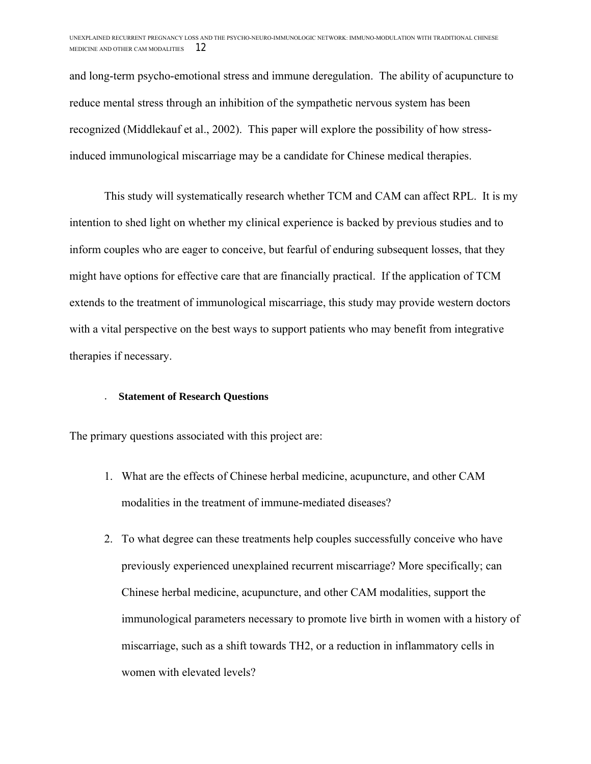and long-term psycho-emotional stress and immune deregulation. The ability of acupuncture to reduce mental stress through an inhibition of the sympathetic nervous system has been recognized (Middlekauf et al., 2002). This paper will explore the possibility of how stressinduced immunological miscarriage may be a candidate for Chinese medical therapies.

This study will systematically research whether TCM and CAM can affect RPL. It is my intention to shed light on whether my clinical experience is backed by previous studies and to inform couples who are eager to conceive, but fearful of enduring subsequent losses, that they might have options for effective care that are financially practical. If the application of TCM extends to the treatment of immunological miscarriage, this study may provide western doctors with a vital perspective on the best ways to support patients who may benefit from integrative therapies if necessary.

#### . **Statement of Research Questions**

The primary questions associated with this project are:

- 1. What are the effects of Chinese herbal medicine, acupuncture, and other CAM modalities in the treatment of immune-mediated diseases?
- 2. To what degree can these treatments help couples successfully conceive who have previously experienced unexplained recurrent miscarriage? More specifically; can Chinese herbal medicine, acupuncture, and other CAM modalities, support the immunological parameters necessary to promote live birth in women with a history of miscarriage, such as a shift towards TH2, or a reduction in inflammatory cells in women with elevated levels?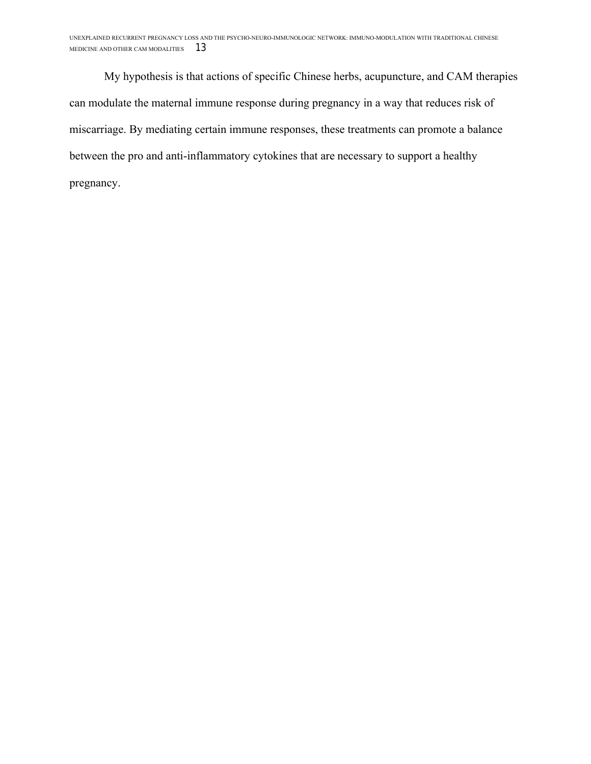My hypothesis is that actions of specific Chinese herbs, acupuncture, and CAM therapies can modulate the maternal immune response during pregnancy in a way that reduces risk of miscarriage. By mediating certain immune responses, these treatments can promote a balance between the pro and anti-inflammatory cytokines that are necessary to support a healthy pregnancy.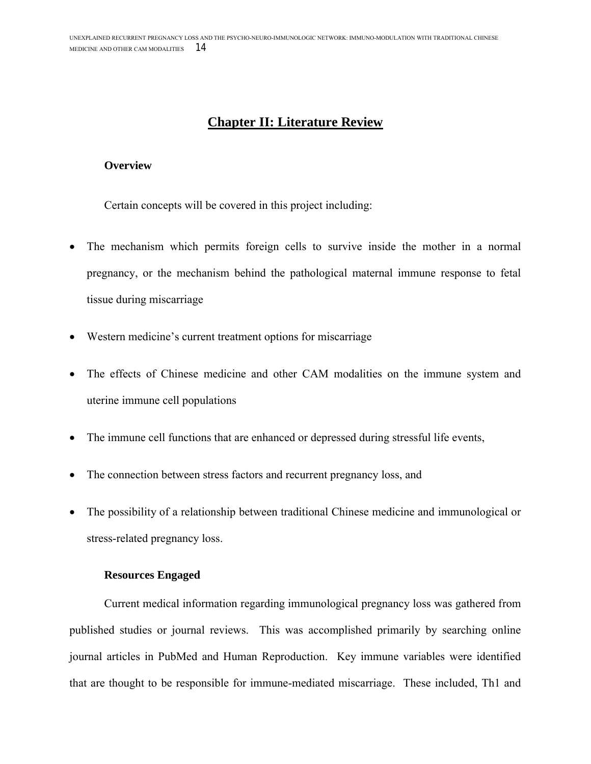## **Chapter II: Literature Review**

#### **Overview**

Certain concepts will be covered in this project including:

- The mechanism which permits foreign cells to survive inside the mother in a normal pregnancy, or the mechanism behind the pathological maternal immune response to fetal tissue during miscarriage
- Western medicine's current treatment options for miscarriage
- The effects of Chinese medicine and other CAM modalities on the immune system and uterine immune cell populations
- The immune cell functions that are enhanced or depressed during stressful life events,
- The connection between stress factors and recurrent pregnancy loss, and
- The possibility of a relationship between traditional Chinese medicine and immunological or stress-related pregnancy loss.

#### **Resources Engaged**

Current medical information regarding immunological pregnancy loss was gathered from published studies or journal reviews. This was accomplished primarily by searching online journal articles in PubMed and Human Reproduction. Key immune variables were identified that are thought to be responsible for immune-mediated miscarriage. These included, Th1 and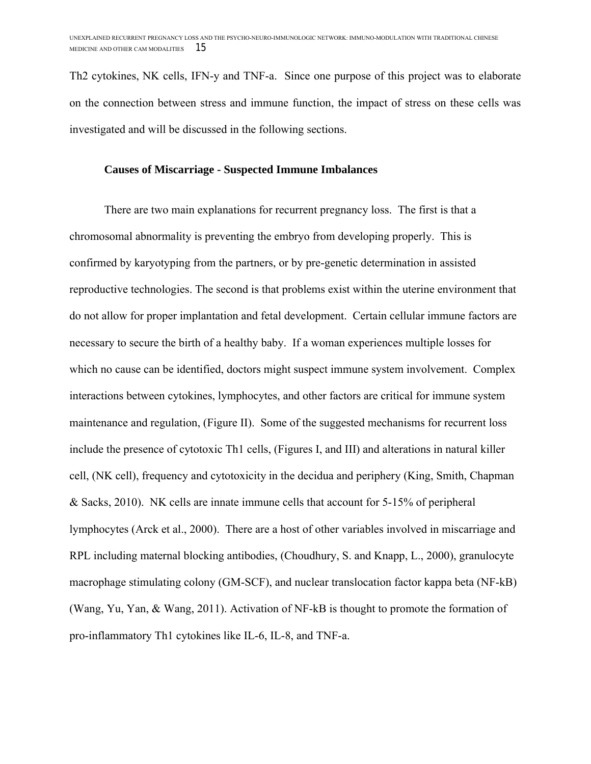Th2 cytokines, NK cells, IFN-y and TNF-a. Since one purpose of this project was to elaborate on the connection between stress and immune function, the impact of stress on these cells was investigated and will be discussed in the following sections.

#### **Causes of Miscarriage - Suspected Immune Imbalances**

There are two main explanations for recurrent pregnancy loss. The first is that a chromosomal abnormality is preventing the embryo from developing properly. This is confirmed by karyotyping from the partners, or by pre-genetic determination in assisted reproductive technologies. The second is that problems exist within the uterine environment that do not allow for proper implantation and fetal development. Certain cellular immune factors are necessary to secure the birth of a healthy baby. If a woman experiences multiple losses for which no cause can be identified, doctors might suspect immune system involvement. Complex interactions between cytokines, lymphocytes, and other factors are critical for immune system maintenance and regulation, (Figure II). Some of the suggested mechanisms for recurrent loss include the presence of cytotoxic Th1 cells, (Figures I, and III) and alterations in natural killer cell, (NK cell), frequency and cytotoxicity in the decidua and periphery (King, Smith, Chapman & Sacks, 2010). NK cells are innate immune cells that account for 5-15% of peripheral lymphocytes (Arck et al., 2000). There are a host of other variables involved in miscarriage and RPL including maternal blocking antibodies, (Choudhury, S. and Knapp, L., 2000), granulocyte macrophage stimulating colony (GM-SCF), and nuclear translocation factor kappa beta (NF-kB) (Wang, Yu, Yan, & Wang, 2011). Activation of NF-kB is thought to promote the formation of pro-inflammatory Th1 cytokines like IL-6, IL-8, and TNF-a.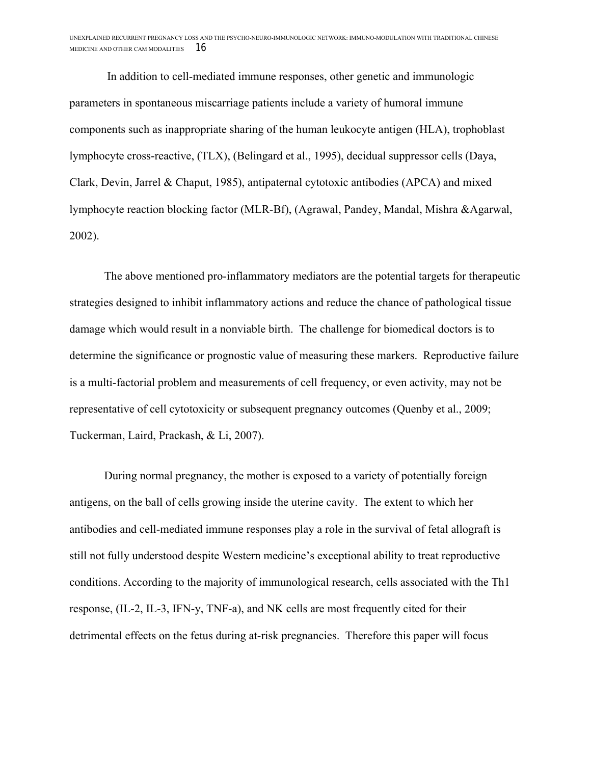In addition to cell-mediated immune responses, other genetic and immunologic parameters in spontaneous miscarriage patients include a variety of humoral immune components such as inappropriate sharing of the human leukocyte antigen (HLA), trophoblast lymphocyte cross-reactive, (TLX), (Belingard et al., 1995), decidual suppressor cells (Daya, Clark, Devin, Jarrel & Chaput, 1985), antipaternal cytotoxic antibodies (APCA) and mixed lymphocyte reaction blocking factor (MLR-Bf), (Agrawal, Pandey, Mandal, Mishra &Agarwal, 2002).

The above mentioned pro-inflammatory mediators are the potential targets for therapeutic strategies designed to inhibit inflammatory actions and reduce the chance of pathological tissue damage which would result in a nonviable birth. The challenge for biomedical doctors is to determine the significance or prognostic value of measuring these markers. Reproductive failure is a multi-factorial problem and measurements of cell frequency, or even activity, may not be representative of cell cytotoxicity or subsequent pregnancy outcomes (Quenby et al., 2009; Tuckerman, Laird, Prackash, & Li, 2007).

During normal pregnancy, the mother is exposed to a variety of potentially foreign antigens, on the ball of cells growing inside the uterine cavity. The extent to which her antibodies and cell-mediated immune responses play a role in the survival of fetal allograft is still not fully understood despite Western medicine's exceptional ability to treat reproductive conditions. According to the majority of immunological research, cells associated with the Th1 response, (IL-2, IL-3, IFN-y, TNF-a), and NK cells are most frequently cited for their detrimental effects on the fetus during at-risk pregnancies. Therefore this paper will focus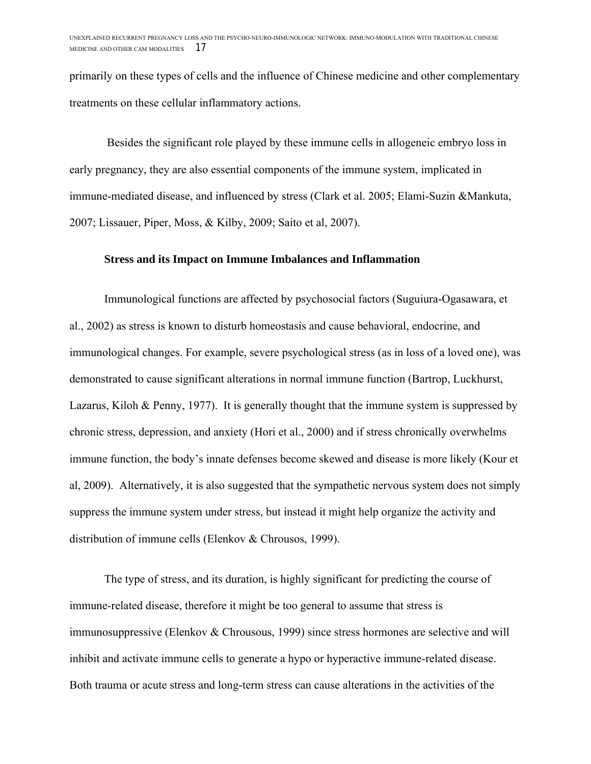primarily on these types of cells and the influence of Chinese medicine and other complementary treatments on these cellular inflammatory actions.

Besides the significant role played by these immune cells in allogeneic embryo loss in early pregnancy, they are also essential components of the immune system, implicated in immune-mediated disease, and influenced by stress (Clark et al. 2005; Elami-Suzin &Mankuta, 2007; Lissauer, Piper, Moss, & Kilby, 2009; Saito et al, 2007).

### **Stress and its Impact on Immune Imbalances and Inflammation**

Immunological functions are affected by psychosocial factors (Suguiura-Ogasawara, et al., 2002) as stress is known to disturb homeostasis and cause behavioral, endocrine, and immunological changes. For example, severe psychological stress (as in loss of a loved one), was demonstrated to cause significant alterations in normal immune function (Bartrop, Luckhurst, Lazarus, Kiloh & Penny, 1977). It is generally thought that the immune system is suppressed by chronic stress, depression, and anxiety (Hori et al., 2000) and if stress chronically overwhelms immune function, the body's innate defenses become skewed and disease is more likely (Kour et al, 2009). Alternatively, it is also suggested that the sympathetic nervous system does not simply suppress the immune system under stress, but instead it might help organize the activity and distribution of immune cells (Elenkov & Chrousos, 1999).

The type of stress, and its duration, is highly significant for predicting the course of immune-related disease, therefore it might be too general to assume that stress is immunosuppressive (Elenkov & Chrousous, 1999) since stress hormones are selective and will inhibit and activate immune cells to generate a hypo or hyperactive immune-related disease. Both trauma or acute stress and long-term stress can cause alterations in the activities of the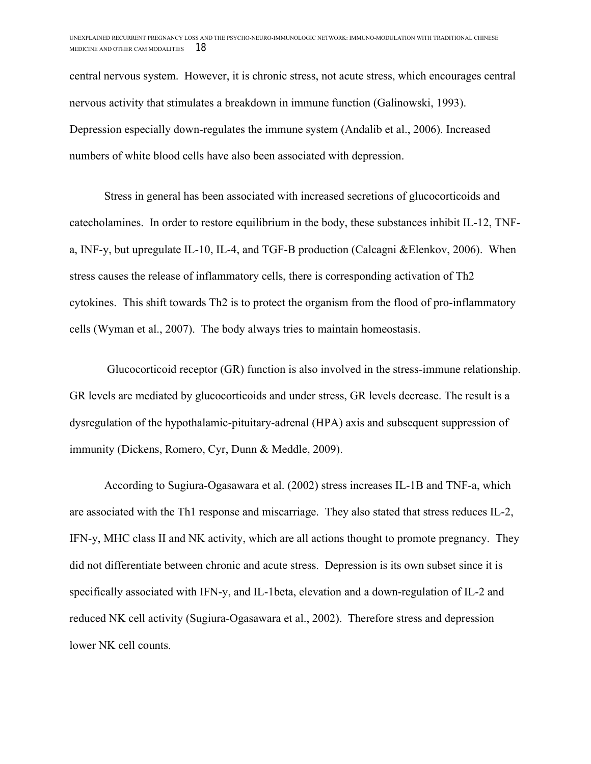central nervous system. However, it is chronic stress, not acute stress, which encourages central nervous activity that stimulates a breakdown in immune function (Galinowski, 1993). Depression especially down-regulates the immune system (Andalib et al., 2006). Increased numbers of white blood cells have also been associated with depression.

Stress in general has been associated with increased secretions of glucocorticoids and catecholamines. In order to restore equilibrium in the body, these substances inhibit IL-12, TNFa, INF-y, but upregulate IL-10, IL-4, and TGF-B production (Calcagni &Elenkov, 2006). When stress causes the release of inflammatory cells, there is corresponding activation of Th2 cytokines. This shift towards Th2 is to protect the organism from the flood of pro-inflammatory cells (Wyman et al., 2007). The body always tries to maintain homeostasis.

Glucocorticoid receptor (GR) function is also involved in the stress-immune relationship. GR levels are mediated by glucocorticoids and under stress, GR levels decrease. The result is a dysregulation of the hypothalamic-pituitary-adrenal (HPA) axis and subsequent suppression of immunity (Dickens, Romero, Cyr, Dunn & Meddle, 2009).

According to Sugiura-Ogasawara et al. (2002) stress increases IL-1B and TNF-a, which are associated with the Th1 response and miscarriage. They also stated that stress reduces IL-2, IFN-y, MHC class II and NK activity, which are all actions thought to promote pregnancy. They did not differentiate between chronic and acute stress. Depression is its own subset since it is specifically associated with IFN-y, and IL-1beta, elevation and a down-regulation of IL-2 and reduced NK cell activity (Sugiura-Ogasawara et al., 2002). Therefore stress and depression lower NK cell counts.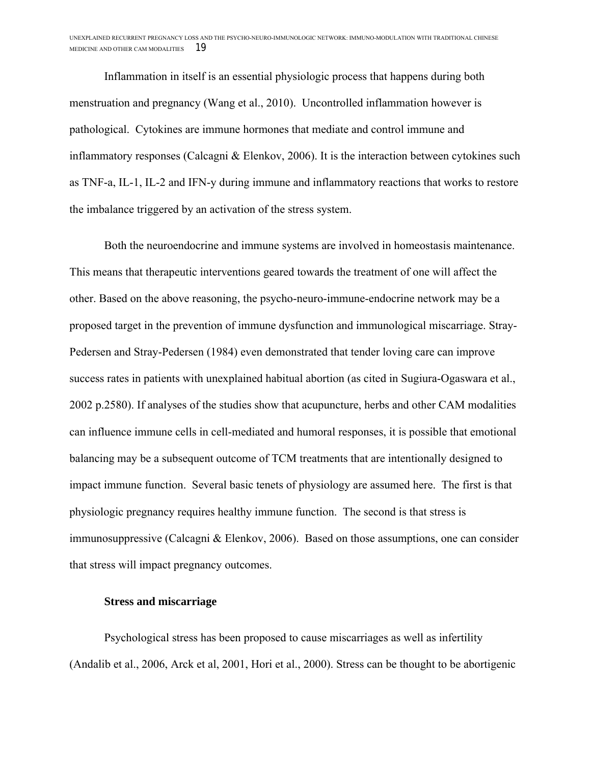Inflammation in itself is an essential physiologic process that happens during both menstruation and pregnancy (Wang et al., 2010). Uncontrolled inflammation however is pathological. Cytokines are immune hormones that mediate and control immune and inflammatory responses (Calcagni & Elenkov, 2006). It is the interaction between cytokines such as TNF-a, IL-1, IL-2 and IFN-y during immune and inflammatory reactions that works to restore the imbalance triggered by an activation of the stress system.

Both the neuroendocrine and immune systems are involved in homeostasis maintenance. This means that therapeutic interventions geared towards the treatment of one will affect the other. Based on the above reasoning, the psycho-neuro-immune-endocrine network may be a proposed target in the prevention of immune dysfunction and immunological miscarriage. Stray-Pedersen and Stray-Pedersen (1984) even demonstrated that tender loving care can improve success rates in patients with unexplained habitual abortion (as cited in Sugiura-Ogaswara et al., 2002 p.2580). If analyses of the studies show that acupuncture, herbs and other CAM modalities can influence immune cells in cell-mediated and humoral responses, it is possible that emotional balancing may be a subsequent outcome of TCM treatments that are intentionally designed to impact immune function. Several basic tenets of physiology are assumed here. The first is that physiologic pregnancy requires healthy immune function. The second is that stress is immunosuppressive (Calcagni & Elenkov, 2006). Based on those assumptions, one can consider that stress will impact pregnancy outcomes.

#### **Stress and miscarriage**

Psychological stress has been proposed to cause miscarriages as well as infertility (Andalib et al., 2006, Arck et al, 2001, Hori et al., 2000). Stress can be thought to be abortigenic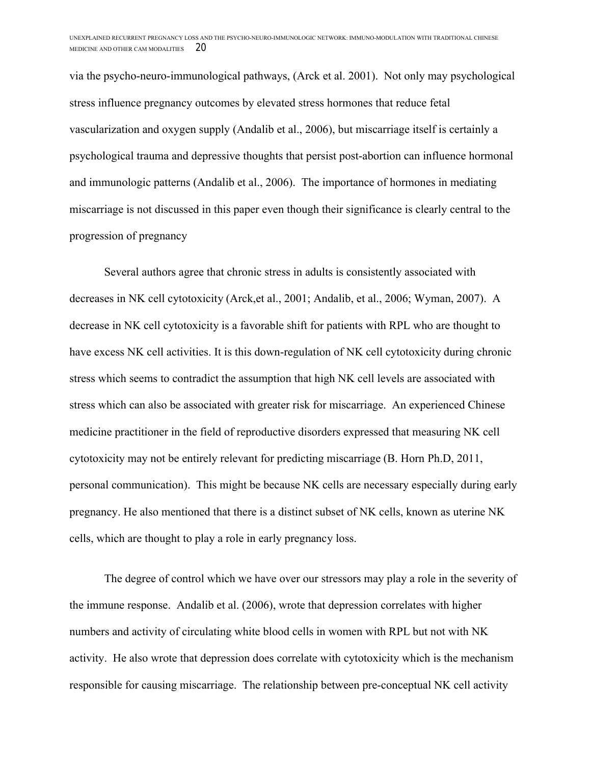via the psycho-neuro-immunological pathways, (Arck et al. 2001). Not only may psychological stress influence pregnancy outcomes by elevated stress hormones that reduce fetal vascularization and oxygen supply (Andalib et al., 2006), but miscarriage itself is certainly a psychological trauma and depressive thoughts that persist post-abortion can influence hormonal and immunologic patterns (Andalib et al., 2006). The importance of hormones in mediating miscarriage is not discussed in this paper even though their significance is clearly central to the progression of pregnancy

Several authors agree that chronic stress in adults is consistently associated with decreases in NK cell cytotoxicity (Arck,et al., 2001; Andalib, et al., 2006; Wyman, 2007). A decrease in NK cell cytotoxicity is a favorable shift for patients with RPL who are thought to have excess NK cell activities. It is this down-regulation of NK cell cytotoxicity during chronic stress which seems to contradict the assumption that high NK cell levels are associated with stress which can also be associated with greater risk for miscarriage. An experienced Chinese medicine practitioner in the field of reproductive disorders expressed that measuring NK cell cytotoxicity may not be entirely relevant for predicting miscarriage (B. Horn Ph.D, 2011, personal communication). This might be because NK cells are necessary especially during early pregnancy. He also mentioned that there is a distinct subset of NK cells, known as uterine NK cells, which are thought to play a role in early pregnancy loss.

The degree of control which we have over our stressors may play a role in the severity of the immune response. Andalib et al. (2006), wrote that depression correlates with higher numbers and activity of circulating white blood cells in women with RPL but not with NK activity. He also wrote that depression does correlate with cytotoxicity which is the mechanism responsible for causing miscarriage. The relationship between pre-conceptual NK cell activity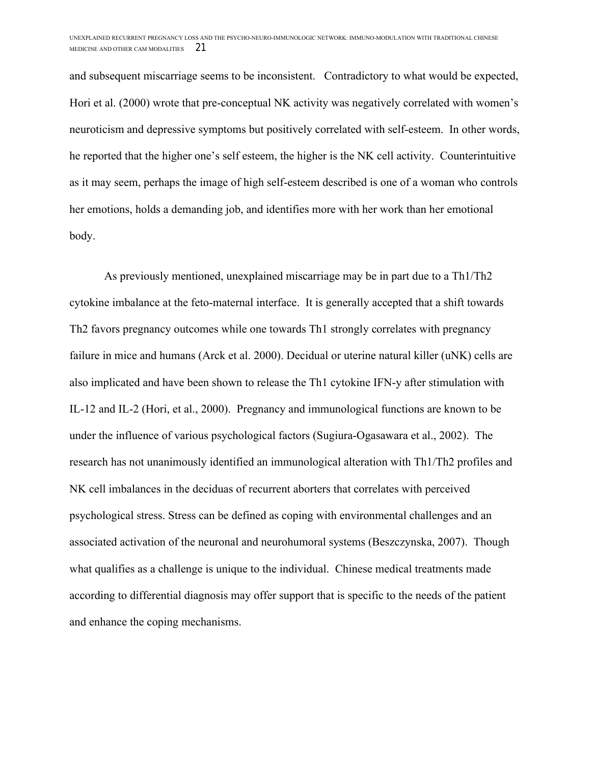and subsequent miscarriage seems to be inconsistent. Contradictory to what would be expected, Hori et al. (2000) wrote that pre-conceptual NK activity was negatively correlated with women's neuroticism and depressive symptoms but positively correlated with self-esteem. In other words, he reported that the higher one's self esteem, the higher is the NK cell activity. Counterintuitive as it may seem, perhaps the image of high self-esteem described is one of a woman who controls her emotions, holds a demanding job, and identifies more with her work than her emotional body.

As previously mentioned, unexplained miscarriage may be in part due to a Th1/Th2 cytokine imbalance at the feto-maternal interface. It is generally accepted that a shift towards Th2 favors pregnancy outcomes while one towards Th1 strongly correlates with pregnancy failure in mice and humans (Arck et al. 2000). Decidual or uterine natural killer (uNK) cells are also implicated and have been shown to release the Th1 cytokine IFN-y after stimulation with IL-12 and IL-2 (Hori, et al., 2000). Pregnancy and immunological functions are known to be under the influence of various psychological factors (Sugiura-Ogasawara et al., 2002). The research has not unanimously identified an immunological alteration with Th1/Th2 profiles and NK cell imbalances in the deciduas of recurrent aborters that correlates with perceived psychological stress. Stress can be defined as coping with environmental challenges and an associated activation of the neuronal and neurohumoral systems (Beszczynska, 2007). Though what qualifies as a challenge is unique to the individual. Chinese medical treatments made according to differential diagnosis may offer support that is specific to the needs of the patient and enhance the coping mechanisms.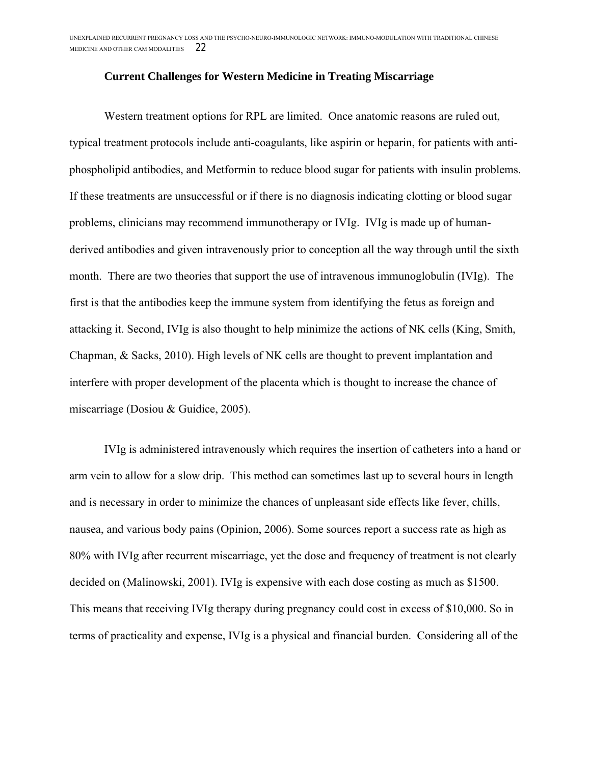#### **Current Challenges for Western Medicine in Treating Miscarriage**

Western treatment options for RPL are limited. Once anatomic reasons are ruled out, typical treatment protocols include anti-coagulants, like aspirin or heparin, for patients with antiphospholipid antibodies, and Metformin to reduce blood sugar for patients with insulin problems. If these treatments are unsuccessful or if there is no diagnosis indicating clotting or blood sugar problems, clinicians may recommend immunotherapy or IVIg. IVIg is made up of humanderived antibodies and given intravenously prior to conception all the way through until the sixth month. There are two theories that support the use of intravenous immunoglobulin (IVIg). The first is that the antibodies keep the immune system from identifying the fetus as foreign and attacking it. Second, IVIg is also thought to help minimize the actions of NK cells (King, Smith, Chapman, & Sacks, 2010). High levels of NK cells are thought to prevent implantation and interfere with proper development of the placenta which is thought to increase the chance of miscarriage (Dosiou & Guidice, 2005).

IVIg is administered intravenously which requires the insertion of catheters into a hand or arm vein to allow for a slow drip. This method can sometimes last up to several hours in length and is necessary in order to minimize the chances of unpleasant side effects like fever, chills, nausea, and various body pains (Opinion, 2006). Some sources report a success rate as high as 80% with IVIg after recurrent miscarriage, yet the dose and frequency of treatment is not clearly decided on (Malinowski, 2001). IVIg is expensive with each dose costing as much as \$1500. This means that receiving IVIg therapy during pregnancy could cost in excess of \$10,000. So in terms of practicality and expense, IVIg is a physical and financial burden. Considering all of the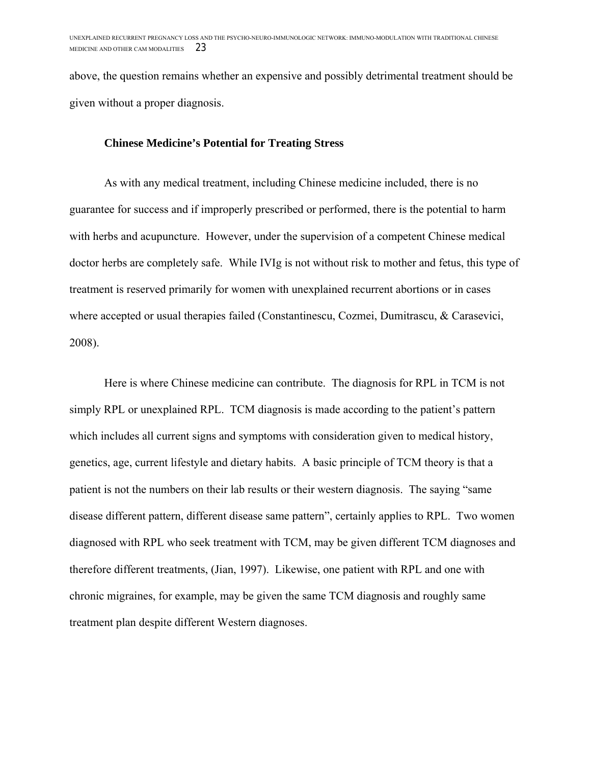above, the question remains whether an expensive and possibly detrimental treatment should be given without a proper diagnosis.

### **Chinese Medicine's Potential for Treating Stress**

As with any medical treatment, including Chinese medicine included, there is no guarantee for success and if improperly prescribed or performed, there is the potential to harm with herbs and acupuncture. However, under the supervision of a competent Chinese medical doctor herbs are completely safe. While IVIg is not without risk to mother and fetus, this type of treatment is reserved primarily for women with unexplained recurrent abortions or in cases where accepted or usual therapies failed (Constantinescu, Cozmei, Dumitrascu, & Carasevici, 2008).

Here is where Chinese medicine can contribute. The diagnosis for RPL in TCM is not simply RPL or unexplained RPL. TCM diagnosis is made according to the patient's pattern which includes all current signs and symptoms with consideration given to medical history, genetics, age, current lifestyle and dietary habits. A basic principle of TCM theory is that a patient is not the numbers on their lab results or their western diagnosis. The saying "same disease different pattern, different disease same pattern", certainly applies to RPL. Two women diagnosed with RPL who seek treatment with TCM, may be given different TCM diagnoses and therefore different treatments, (Jian, 1997). Likewise, one patient with RPL and one with chronic migraines, for example, may be given the same TCM diagnosis and roughly same treatment plan despite different Western diagnoses.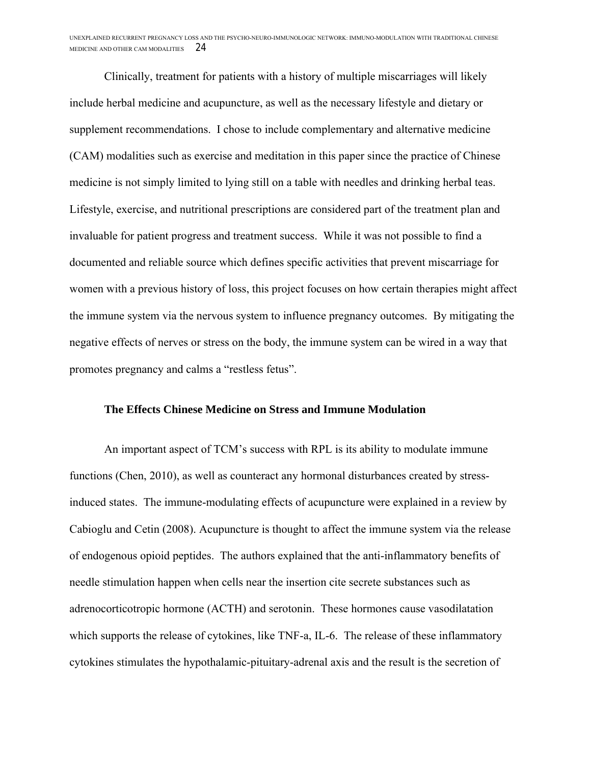Clinically, treatment for patients with a history of multiple miscarriages will likely include herbal medicine and acupuncture, as well as the necessary lifestyle and dietary or supplement recommendations. I chose to include complementary and alternative medicine (CAM) modalities such as exercise and meditation in this paper since the practice of Chinese medicine is not simply limited to lying still on a table with needles and drinking herbal teas. Lifestyle, exercise, and nutritional prescriptions are considered part of the treatment plan and invaluable for patient progress and treatment success. While it was not possible to find a documented and reliable source which defines specific activities that prevent miscarriage for women with a previous history of loss, this project focuses on how certain therapies might affect the immune system via the nervous system to influence pregnancy outcomes. By mitigating the negative effects of nerves or stress on the body, the immune system can be wired in a way that promotes pregnancy and calms a "restless fetus".

#### **The Effects Chinese Medicine on Stress and Immune Modulation**

An important aspect of TCM's success with RPL is its ability to modulate immune functions (Chen, 2010), as well as counteract any hormonal disturbances created by stressinduced states. The immune-modulating effects of acupuncture were explained in a review by Cabioglu and Cetin (2008). Acupuncture is thought to affect the immune system via the release of endogenous opioid peptides. The authors explained that the anti-inflammatory benefits of needle stimulation happen when cells near the insertion cite secrete substances such as adrenocorticotropic hormone (ACTH) and serotonin. These hormones cause vasodilatation which supports the release of cytokines, like TNF-a, IL-6. The release of these inflammatory cytokines stimulates the hypothalamic-pituitary-adrenal axis and the result is the secretion of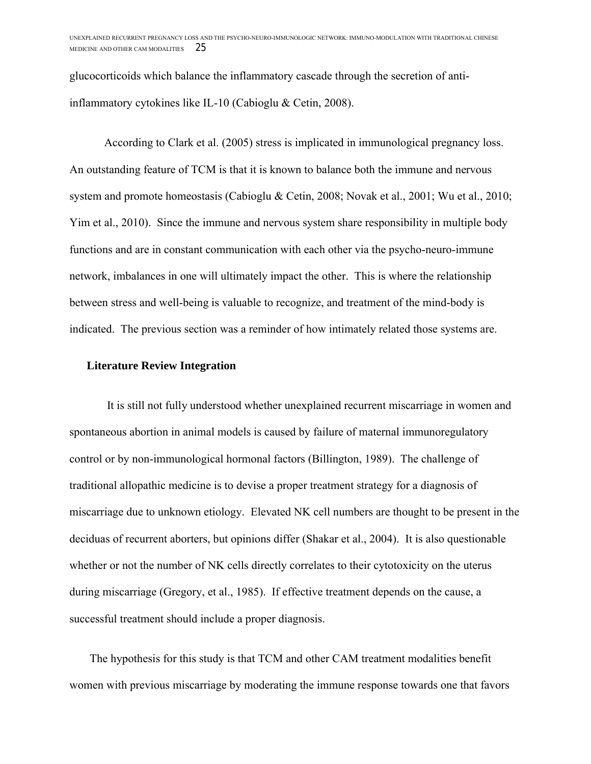glucocorticoids which balance the inflammatory cascade through the secretion of antiinflammatory cytokines like IL-10 (Cabioglu & Cetin, 2008).

According to Clark et al. (2005) stress is implicated in immunological pregnancy loss. An outstanding feature of TCM is that it is known to balance both the immune and nervous system and promote homeostasis (Cabioglu & Cetin, 2008; Novak et al., 2001; Wu et al., 2010; Yim et al., 2010). Since the immune and nervous system share responsibility in multiple body functions and are in constant communication with each other via the psycho-neuro-immune network, imbalances in one will ultimately impact the other. This is where the relationship between stress and well-being is valuable to recognize, and treatment of the mind-body is indicated. The previous section was a reminder of how intimately related those systems are.

#### **Literature Review Integration**

It is still not fully understood whether unexplained recurrent miscarriage in women and spontaneous abortion in animal models is caused by failure of maternal immunoregulatory control or by non-immunological hormonal factors (Billington, 1989). The challenge of traditional allopathic medicine is to devise a proper treatment strategy for a diagnosis of miscarriage due to unknown etiology. Elevated NK cell numbers are thought to be present in the deciduas of recurrent aborters, but opinions differ (Shakar et al., 2004). It is also questionable whether or not the number of NK cells directly correlates to their cytotoxicity on the uterus during miscarriage (Gregory, et al., 1985). If effective treatment depends on the cause, a successful treatment should include a proper diagnosis.

The hypothesis for this study is that TCM and other CAM treatment modalities benefit women with previous miscarriage by moderating the immune response towards one that favors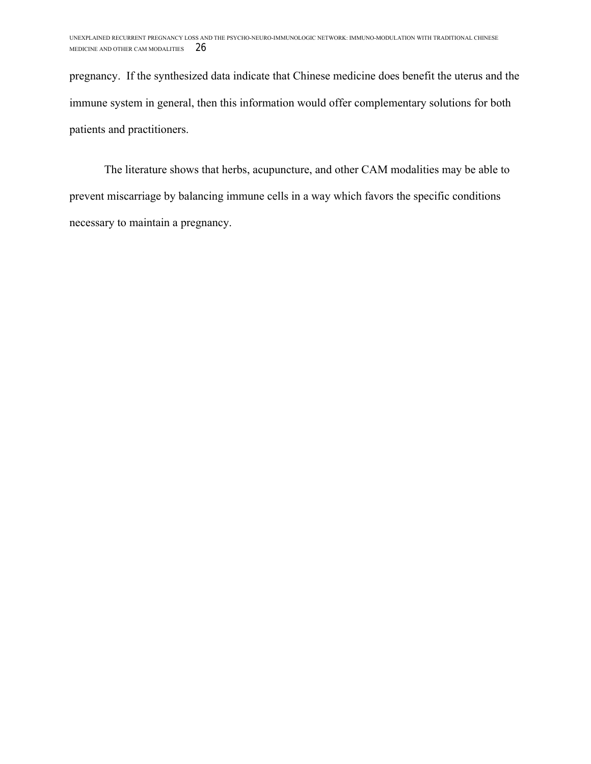pregnancy. If the synthesized data indicate that Chinese medicine does benefit the uterus and the immune system in general, then this information would offer complementary solutions for both patients and practitioners.

The literature shows that herbs, acupuncture, and other CAM modalities may be able to prevent miscarriage by balancing immune cells in a way which favors the specific conditions necessary to maintain a pregnancy.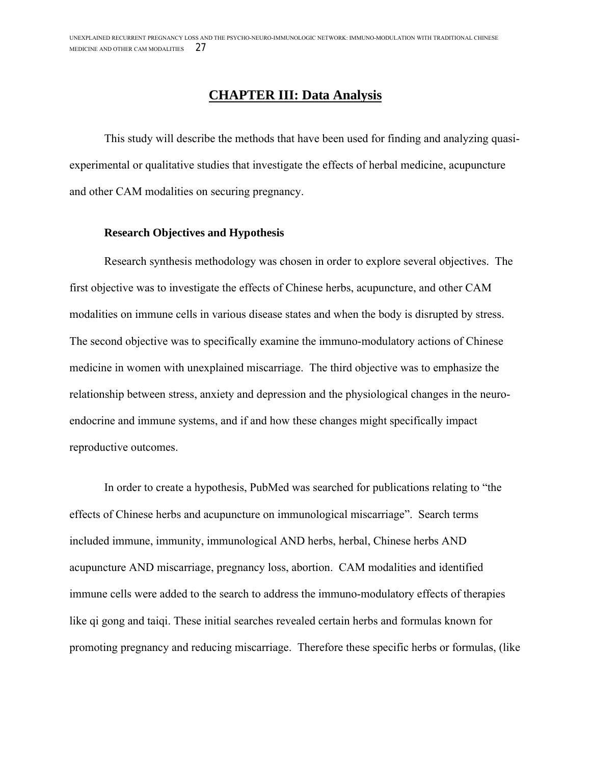## **CHAPTER III: Data Analysis**

This study will describe the methods that have been used for finding and analyzing quasiexperimental or qualitative studies that investigate the effects of herbal medicine, acupuncture and other CAM modalities on securing pregnancy.

#### **Research Objectives and Hypothesis**

Research synthesis methodology was chosen in order to explore several objectives. The first objective was to investigate the effects of Chinese herbs, acupuncture, and other CAM modalities on immune cells in various disease states and when the body is disrupted by stress. The second objective was to specifically examine the immuno-modulatory actions of Chinese medicine in women with unexplained miscarriage. The third objective was to emphasize the relationship between stress, anxiety and depression and the physiological changes in the neuroendocrine and immune systems, and if and how these changes might specifically impact reproductive outcomes.

In order to create a hypothesis, PubMed was searched for publications relating to "the effects of Chinese herbs and acupuncture on immunological miscarriage". Search terms included immune, immunity, immunological AND herbs, herbal, Chinese herbs AND acupuncture AND miscarriage, pregnancy loss, abortion. CAM modalities and identified immune cells were added to the search to address the immuno-modulatory effects of therapies like qi gong and taiqi. These initial searches revealed certain herbs and formulas known for promoting pregnancy and reducing miscarriage. Therefore these specific herbs or formulas, (like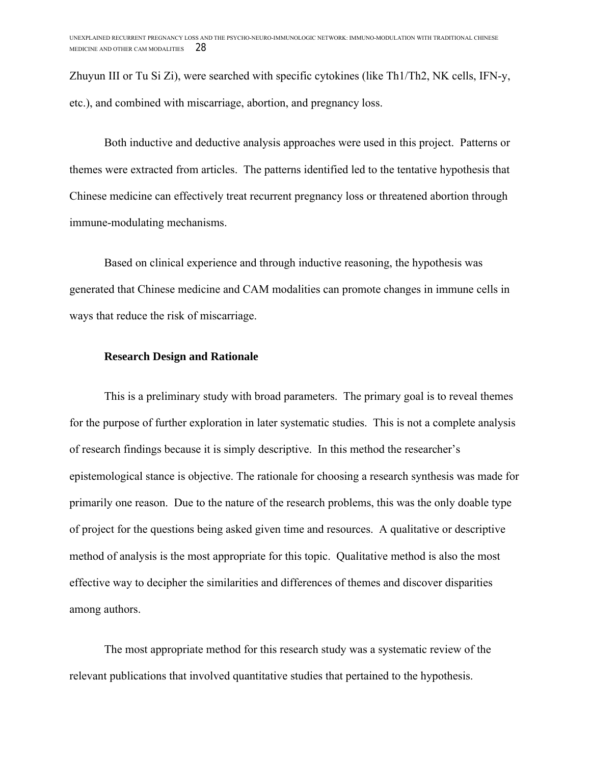Zhuyun III or Tu Si Zi), were searched with specific cytokines (like Th1/Th2, NK cells, IFN-y, etc.), and combined with miscarriage, abortion, and pregnancy loss.

Both inductive and deductive analysis approaches were used in this project. Patterns or themes were extracted from articles. The patterns identified led to the tentative hypothesis that Chinese medicine can effectively treat recurrent pregnancy loss or threatened abortion through immune-modulating mechanisms.

Based on clinical experience and through inductive reasoning, the hypothesis was generated that Chinese medicine and CAM modalities can promote changes in immune cells in ways that reduce the risk of miscarriage.

#### **Research Design and Rationale**

This is a preliminary study with broad parameters. The primary goal is to reveal themes for the purpose of further exploration in later systematic studies. This is not a complete analysis of research findings because it is simply descriptive. In this method the researcher's epistemological stance is objective. The rationale for choosing a research synthesis was made for primarily one reason. Due to the nature of the research problems, this was the only doable type of project for the questions being asked given time and resources. A qualitative or descriptive method of analysis is the most appropriate for this topic. Qualitative method is also the most effective way to decipher the similarities and differences of themes and discover disparities among authors.

The most appropriate method for this research study was a systematic review of the relevant publications that involved quantitative studies that pertained to the hypothesis.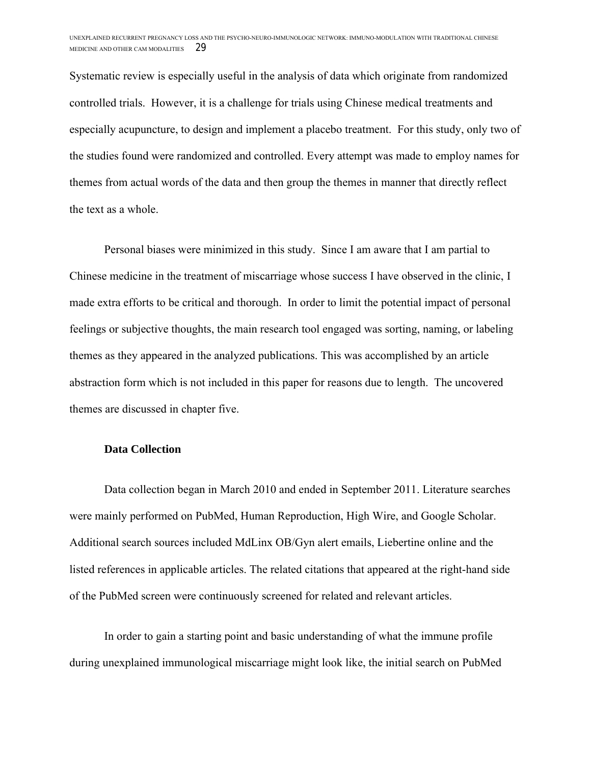Systematic review is especially useful in the analysis of data which originate from randomized controlled trials. However, it is a challenge for trials using Chinese medical treatments and especially acupuncture, to design and implement a placebo treatment. For this study, only two of the studies found were randomized and controlled. Every attempt was made to employ names for themes from actual words of the data and then group the themes in manner that directly reflect the text as a whole.

Personal biases were minimized in this study. Since I am aware that I am partial to Chinese medicine in the treatment of miscarriage whose success I have observed in the clinic, I made extra efforts to be critical and thorough. In order to limit the potential impact of personal feelings or subjective thoughts, the main research tool engaged was sorting, naming, or labeling themes as they appeared in the analyzed publications. This was accomplished by an article abstraction form which is not included in this paper for reasons due to length. The uncovered themes are discussed in chapter five.

#### **Data Collection**

Data collection began in March 2010 and ended in September 2011. Literature searches were mainly performed on PubMed, Human Reproduction, High Wire, and Google Scholar. Additional search sources included MdLinx OB/Gyn alert emails, Liebertine online and the listed references in applicable articles. The related citations that appeared at the right-hand side of the PubMed screen were continuously screened for related and relevant articles.

In order to gain a starting point and basic understanding of what the immune profile during unexplained immunological miscarriage might look like, the initial search on PubMed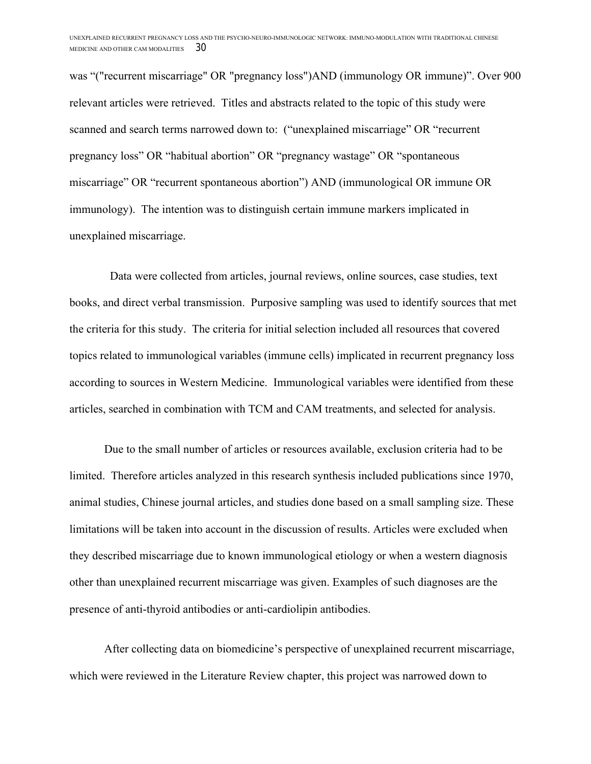was "("recurrent miscarriage" OR "pregnancy loss")AND (immunology OR immune)". Over 900 relevant articles were retrieved. Titles and abstracts related to the topic of this study were scanned and search terms narrowed down to: ("unexplained miscarriage" OR "recurrent pregnancy loss" OR "habitual abortion" OR "pregnancy wastage" OR "spontaneous miscarriage" OR "recurrent spontaneous abortion") AND (immunological OR immune OR immunology). The intention was to distinguish certain immune markers implicated in unexplained miscarriage.

 Data were collected from articles, journal reviews, online sources, case studies, text books, and direct verbal transmission. Purposive sampling was used to identify sources that met the criteria for this study. The criteria for initial selection included all resources that covered topics related to immunological variables (immune cells) implicated in recurrent pregnancy loss according to sources in Western Medicine. Immunological variables were identified from these articles, searched in combination with TCM and CAM treatments, and selected for analysis.

Due to the small number of articles or resources available, exclusion criteria had to be limited. Therefore articles analyzed in this research synthesis included publications since 1970, animal studies, Chinese journal articles, and studies done based on a small sampling size. These limitations will be taken into account in the discussion of results. Articles were excluded when they described miscarriage due to known immunological etiology or when a western diagnosis other than unexplained recurrent miscarriage was given. Examples of such diagnoses are the presence of anti-thyroid antibodies or anti-cardiolipin antibodies.

After collecting data on biomedicine's perspective of unexplained recurrent miscarriage, which were reviewed in the Literature Review chapter, this project was narrowed down to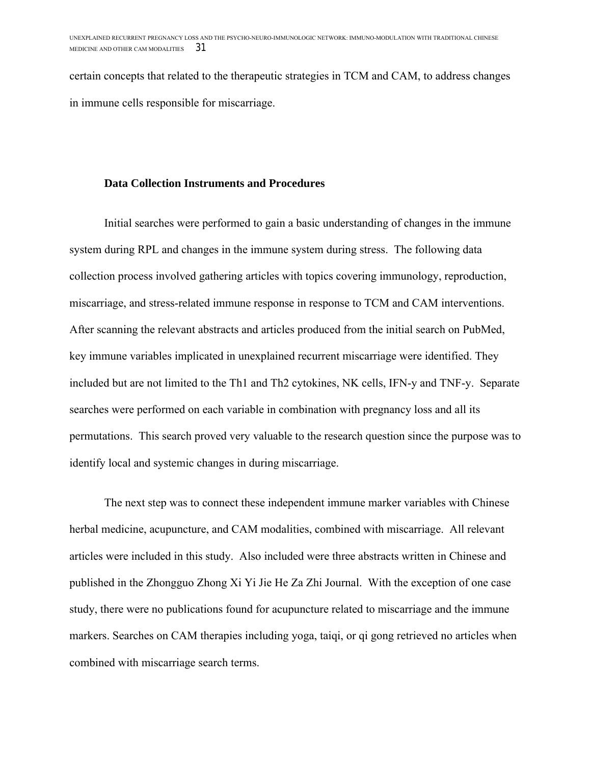certain concepts that related to the therapeutic strategies in TCM and CAM, to address changes in immune cells responsible for miscarriage.

#### **Data Collection Instruments and Procedures**

Initial searches were performed to gain a basic understanding of changes in the immune system during RPL and changes in the immune system during stress. The following data collection process involved gathering articles with topics covering immunology, reproduction, miscarriage, and stress-related immune response in response to TCM and CAM interventions. After scanning the relevant abstracts and articles produced from the initial search on PubMed, key immune variables implicated in unexplained recurrent miscarriage were identified. They included but are not limited to the Th1 and Th2 cytokines, NK cells, IFN-y and TNF-y. Separate searches were performed on each variable in combination with pregnancy loss and all its permutations. This search proved very valuable to the research question since the purpose was to identify local and systemic changes in during miscarriage.

The next step was to connect these independent immune marker variables with Chinese herbal medicine, acupuncture, and CAM modalities, combined with miscarriage. All relevant articles were included in this study. Also included were three abstracts written in Chinese and published in the Zhongguo Zhong Xi Yi Jie He Za Zhi Journal. With the exception of one case study, there were no publications found for acupuncture related to miscarriage and the immune markers. Searches on CAM therapies including yoga, taiqi, or qi gong retrieved no articles when combined with miscarriage search terms.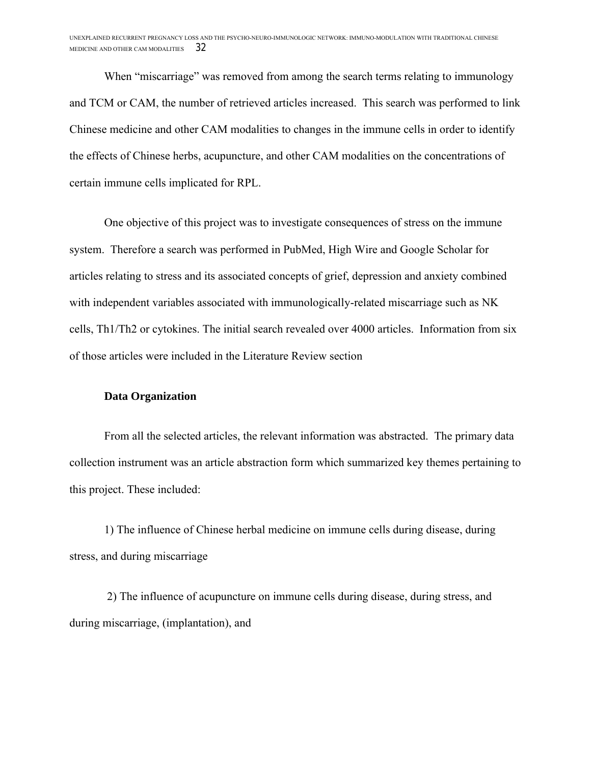When "miscarriage" was removed from among the search terms relating to immunology and TCM or CAM, the number of retrieved articles increased. This search was performed to link Chinese medicine and other CAM modalities to changes in the immune cells in order to identify the effects of Chinese herbs, acupuncture, and other CAM modalities on the concentrations of certain immune cells implicated for RPL.

One objective of this project was to investigate consequences of stress on the immune system. Therefore a search was performed in PubMed, High Wire and Google Scholar for articles relating to stress and its associated concepts of grief, depression and anxiety combined with independent variables associated with immunologically-related miscarriage such as NK cells, Th1/Th2 or cytokines. The initial search revealed over 4000 articles. Information from six of those articles were included in the Literature Review section

#### **Data Organization**

From all the selected articles, the relevant information was abstracted. The primary data collection instrument was an article abstraction form which summarized key themes pertaining to this project. These included:

1) The influence of Chinese herbal medicine on immune cells during disease, during stress, and during miscarriage

2) The influence of acupuncture on immune cells during disease, during stress, and during miscarriage, (implantation), and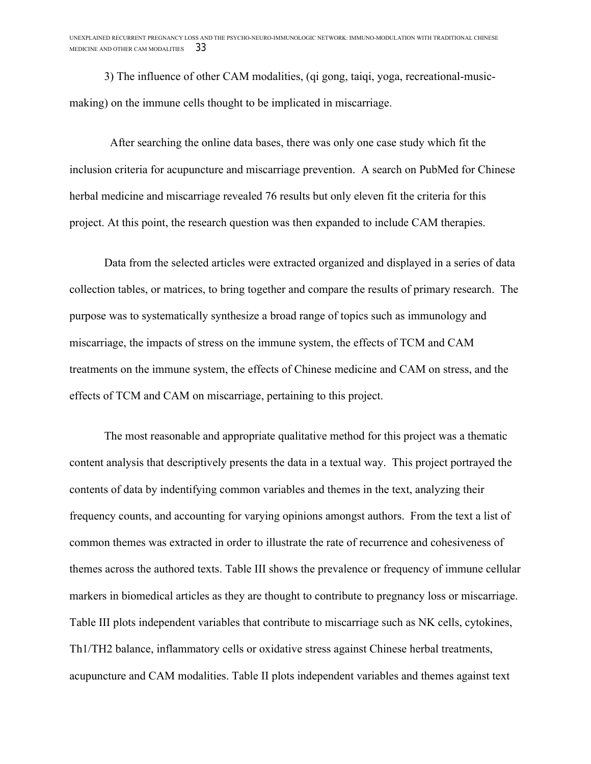3) The influence of other CAM modalities, (qi gong, taiqi, yoga, recreational-musicmaking) on the immune cells thought to be implicated in miscarriage.

 After searching the online data bases, there was only one case study which fit the inclusion criteria for acupuncture and miscarriage prevention. A search on PubMed for Chinese herbal medicine and miscarriage revealed 76 results but only eleven fit the criteria for this project. At this point, the research question was then expanded to include CAM therapies.

Data from the selected articles were extracted organized and displayed in a series of data collection tables, or matrices, to bring together and compare the results of primary research. The purpose was to systematically synthesize a broad range of topics such as immunology and miscarriage, the impacts of stress on the immune system, the effects of TCM and CAM treatments on the immune system, the effects of Chinese medicine and CAM on stress, and the effects of TCM and CAM on miscarriage, pertaining to this project.

The most reasonable and appropriate qualitative method for this project was a thematic content analysis that descriptively presents the data in a textual way. This project portrayed the contents of data by indentifying common variables and themes in the text, analyzing their frequency counts, and accounting for varying opinions amongst authors. From the text a list of common themes was extracted in order to illustrate the rate of recurrence and cohesiveness of themes across the authored texts. Table III shows the prevalence or frequency of immune cellular markers in biomedical articles as they are thought to contribute to pregnancy loss or miscarriage. Table III plots independent variables that contribute to miscarriage such as NK cells, cytokines, Th1/TH2 balance, inflammatory cells or oxidative stress against Chinese herbal treatments, acupuncture and CAM modalities. Table II plots independent variables and themes against text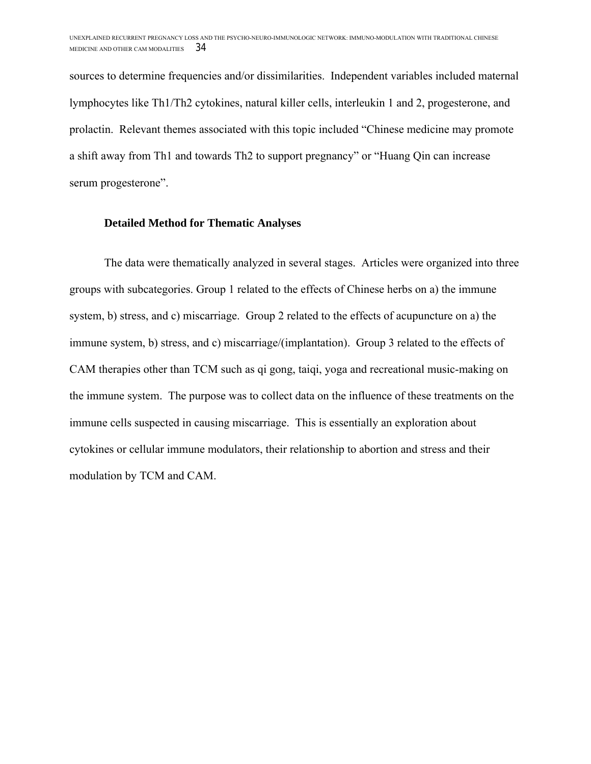sources to determine frequencies and/or dissimilarities. Independent variables included maternal lymphocytes like Th1/Th2 cytokines, natural killer cells, interleukin 1 and 2, progesterone, and prolactin. Relevant themes associated with this topic included "Chinese medicine may promote a shift away from Th1 and towards Th2 to support pregnancy" or "Huang Qin can increase serum progesterone".

#### **Detailed Method for Thematic Analyses**

The data were thematically analyzed in several stages. Articles were organized into three groups with subcategories. Group 1 related to the effects of Chinese herbs on a) the immune system, b) stress, and c) miscarriage. Group 2 related to the effects of acupuncture on a) the immune system, b) stress, and c) miscarriage/(implantation). Group 3 related to the effects of CAM therapies other than TCM such as qi gong, taiqi, yoga and recreational music-making on the immune system. The purpose was to collect data on the influence of these treatments on the immune cells suspected in causing miscarriage. This is essentially an exploration about cytokines or cellular immune modulators, their relationship to abortion and stress and their modulation by TCM and CAM.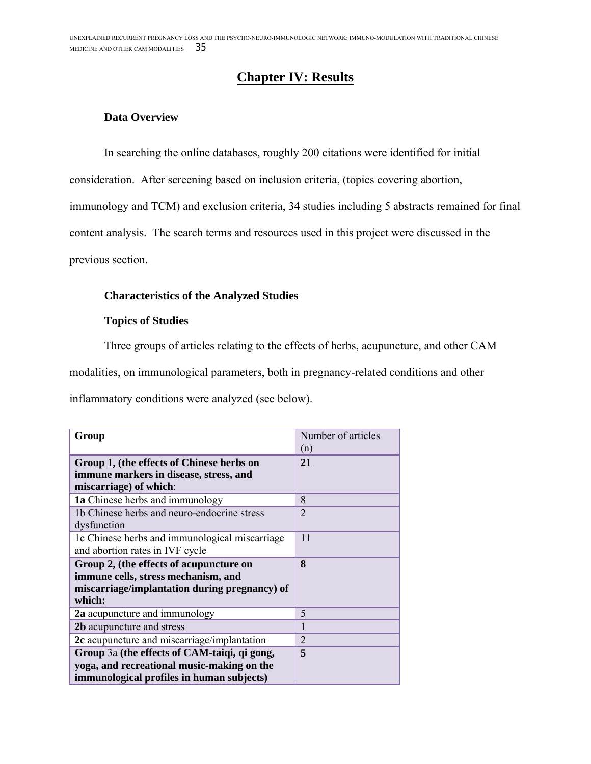## **Chapter IV: Results**

### **Data Overview**

In searching the online databases, roughly 200 citations were identified for initial

consideration. After screening based on inclusion criteria, (topics covering abortion,

immunology and TCM) and exclusion criteria, 34 studies including 5 abstracts remained for final

content analysis. The search terms and resources used in this project were discussed in the

previous section.

## **Characteristics of the Analyzed Studies**

#### **Topics of Studies**

Three groups of articles relating to the effects of herbs, acupuncture, and other CAM

modalities, on immunological parameters, both in pregnancy-related conditions and other

inflammatory conditions were analyzed (see below).

| Group                                                                             | Number of articles |
|-----------------------------------------------------------------------------------|--------------------|
|                                                                                   | (n)                |
| Group 1, (the effects of Chinese herbs on                                         | 21                 |
| immune markers in disease, stress, and<br>miscarriage) of which:                  |                    |
| 1a Chinese herbs and immunology                                                   | 8                  |
| 1b Chinese herbs and neuro-endocrine stress<br>dysfunction                        | $\mathfrak{D}$     |
| 1c Chinese herbs and immunological miscarriage<br>and abortion rates in IVF cycle | 11                 |
| Group 2, (the effects of acupuncture on                                           | 8                  |
| immune cells, stress mechanism, and                                               |                    |
| miscarriage/implantation during pregnancy) of                                     |                    |
| which:                                                                            |                    |
| <b>2a</b> acupuncture and immunology                                              | 5                  |
| 2b acupuncture and stress                                                         | 1                  |
| 2c acupuncture and miscarriage/implantation                                       | $\overline{2}$     |
| Group 3a (the effects of CAM-taiqi, qi gong,                                      | 5                  |
| yoga, and recreational music-making on the                                        |                    |
| immunological profiles in human subjects)                                         |                    |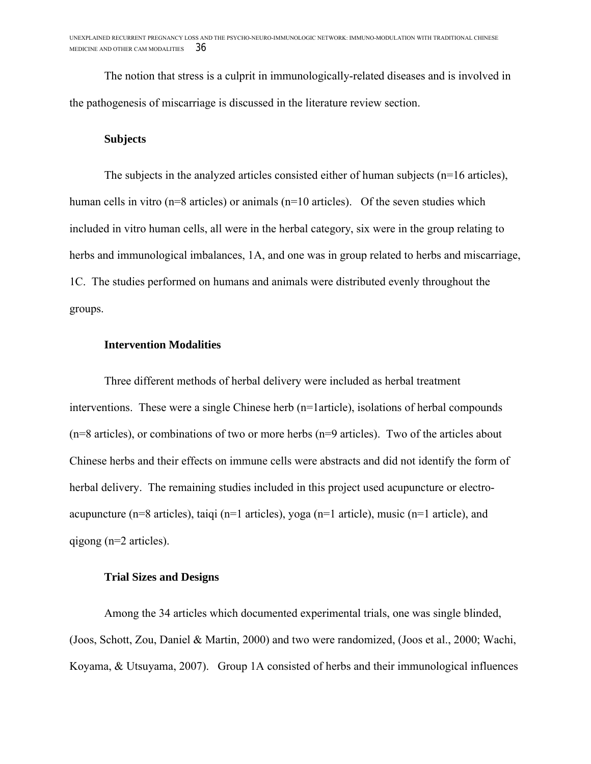The notion that stress is a culprit in immunologically-related diseases and is involved in the pathogenesis of miscarriage is discussed in the literature review section.

#### **Subjects**

The subjects in the analyzed articles consisted either of human subjects (n=16 articles), human cells in vitro (n=8 articles) or animals (n=10 articles). Of the seven studies which included in vitro human cells, all were in the herbal category, six were in the group relating to herbs and immunological imbalances, 1A, and one was in group related to herbs and miscarriage, 1C. The studies performed on humans and animals were distributed evenly throughout the groups.

#### **Intervention Modalities**

Three different methods of herbal delivery were included as herbal treatment interventions. These were a single Chinese herb (n=1article), isolations of herbal compounds (n=8 articles), or combinations of two or more herbs (n=9 articles). Two of the articles about Chinese herbs and their effects on immune cells were abstracts and did not identify the form of herbal delivery. The remaining studies included in this project used acupuncture or electroacupuncture (n=8 articles), taiqi (n=1 articles), yoga (n=1 article), music (n=1 article), and qigong (n=2 articles).

#### **Trial Sizes and Designs**

Among the 34 articles which documented experimental trials, one was single blinded, (Joos, Schott, Zou, Daniel & Martin, 2000) and two were randomized, (Joos et al., 2000; Wachi, Koyama, & Utsuyama, 2007). Group 1A consisted of herbs and their immunological influences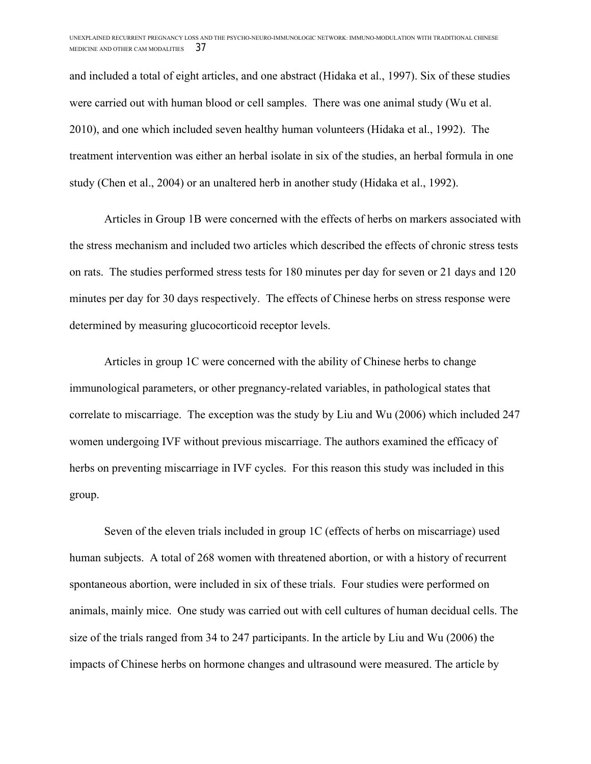and included a total of eight articles, and one abstract (Hidaka et al., 1997). Six of these studies were carried out with human blood or cell samples. There was one animal study (Wu et al. 2010), and one which included seven healthy human volunteers (Hidaka et al., 1992). The treatment intervention was either an herbal isolate in six of the studies, an herbal formula in one study (Chen et al., 2004) or an unaltered herb in another study (Hidaka et al., 1992).

Articles in Group 1B were concerned with the effects of herbs on markers associated with the stress mechanism and included two articles which described the effects of chronic stress tests on rats. The studies performed stress tests for 180 minutes per day for seven or 21 days and 120 minutes per day for 30 days respectively. The effects of Chinese herbs on stress response were determined by measuring glucocorticoid receptor levels.

Articles in group 1C were concerned with the ability of Chinese herbs to change immunological parameters, or other pregnancy-related variables, in pathological states that correlate to miscarriage. The exception was the study by Liu and Wu (2006) which included 247 women undergoing IVF without previous miscarriage. The authors examined the efficacy of herbs on preventing miscarriage in IVF cycles. For this reason this study was included in this group.

Seven of the eleven trials included in group 1C (effects of herbs on miscarriage) used human subjects. A total of 268 women with threatened abortion, or with a history of recurrent spontaneous abortion, were included in six of these trials. Four studies were performed on animals, mainly mice. One study was carried out with cell cultures of human decidual cells. The size of the trials ranged from 34 to 247 participants. In the article by Liu and Wu (2006) the impacts of Chinese herbs on hormone changes and ultrasound were measured. The article by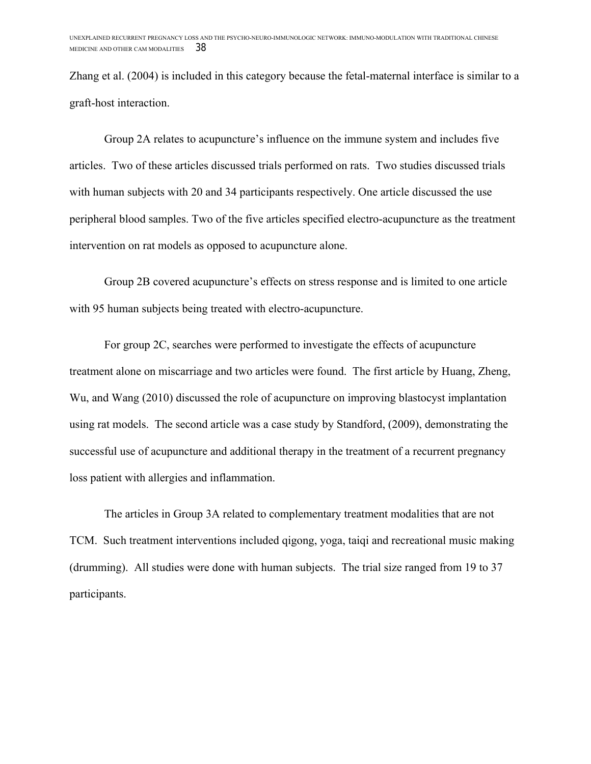Zhang et al. (2004) is included in this category because the fetal-maternal interface is similar to a graft-host interaction.

Group 2A relates to acupuncture's influence on the immune system and includes five articles. Two of these articles discussed trials performed on rats. Two studies discussed trials with human subjects with 20 and 34 participants respectively. One article discussed the use peripheral blood samples. Two of the five articles specified electro-acupuncture as the treatment intervention on rat models as opposed to acupuncture alone.

Group 2B covered acupuncture's effects on stress response and is limited to one article with 95 human subjects being treated with electro-acupuncture.

For group 2C, searches were performed to investigate the effects of acupuncture treatment alone on miscarriage and two articles were found. The first article by Huang, Zheng, Wu, and Wang (2010) discussed the role of acupuncture on improving blastocyst implantation using rat models. The second article was a case study by Standford, (2009), demonstrating the successful use of acupuncture and additional therapy in the treatment of a recurrent pregnancy loss patient with allergies and inflammation.

The articles in Group 3A related to complementary treatment modalities that are not TCM. Such treatment interventions included qigong, yoga, taiqi and recreational music making (drumming). All studies were done with human subjects. The trial size ranged from 19 to 37 participants.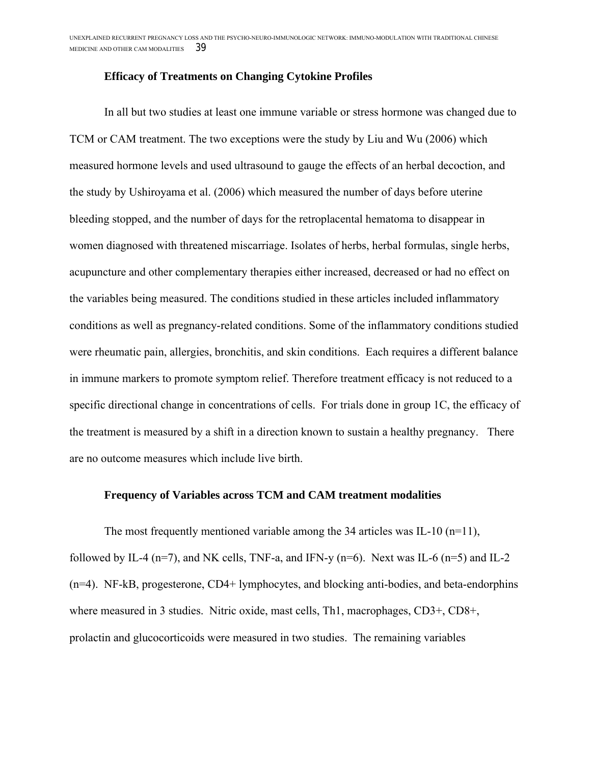#### **Efficacy of Treatments on Changing Cytokine Profiles**

In all but two studies at least one immune variable or stress hormone was changed due to TCM or CAM treatment. The two exceptions were the study by Liu and Wu (2006) which measured hormone levels and used ultrasound to gauge the effects of an herbal decoction, and the study by Ushiroyama et al. (2006) which measured the number of days before uterine bleeding stopped, and the number of days for the retroplacental hematoma to disappear in women diagnosed with threatened miscarriage. Isolates of herbs, herbal formulas, single herbs, acupuncture and other complementary therapies either increased, decreased or had no effect on the variables being measured. The conditions studied in these articles included inflammatory conditions as well as pregnancy-related conditions. Some of the inflammatory conditions studied were rheumatic pain, allergies, bronchitis, and skin conditions. Each requires a different balance in immune markers to promote symptom relief. Therefore treatment efficacy is not reduced to a specific directional change in concentrations of cells. For trials done in group 1C, the efficacy of the treatment is measured by a shift in a direction known to sustain a healthy pregnancy. There are no outcome measures which include live birth.

#### **Frequency of Variables across TCM and CAM treatment modalities**

The most frequently mentioned variable among the 34 articles was IL-10  $(n=11)$ , followed by IL-4 ( $n=7$ ), and NK cells, TNF-a, and IFN-y ( $n=6$ ). Next was IL-6 ( $n=5$ ) and IL-2 (n=4). NF-kB, progesterone, CD4+ lymphocytes, and blocking anti-bodies, and beta-endorphins where measured in 3 studies. Nitric oxide, mast cells, Th1, macrophages, CD3+, CD8+, prolactin and glucocorticoids were measured in two studies. The remaining variables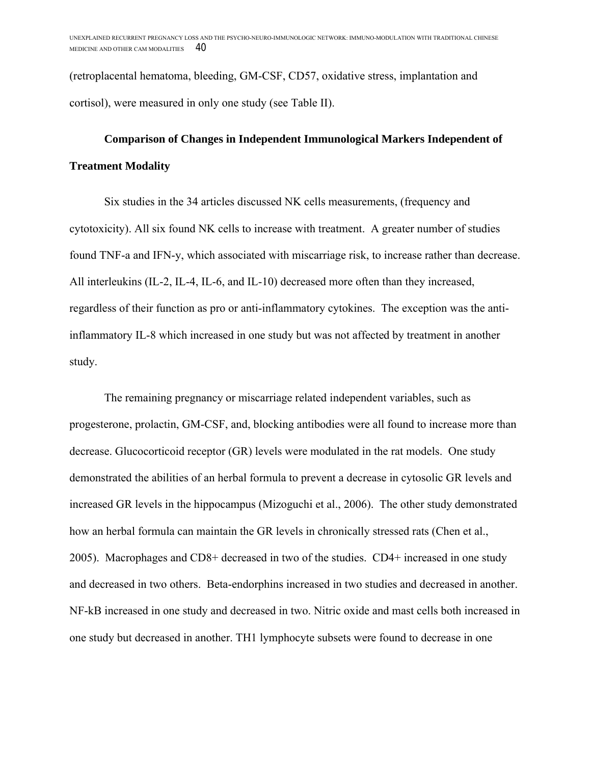(retroplacental hematoma, bleeding, GM-CSF, CD57, oxidative stress, implantation and cortisol), were measured in only one study (see Table II).

## **Comparison of Changes in Independent Immunological Markers Independent of Treatment Modality**

Six studies in the 34 articles discussed NK cells measurements, (frequency and cytotoxicity). All six found NK cells to increase with treatment. A greater number of studies found TNF-a and IFN-y, which associated with miscarriage risk, to increase rather than decrease. All interleukins (IL-2, IL-4, IL-6, and IL-10) decreased more often than they increased, regardless of their function as pro or anti-inflammatory cytokines. The exception was the antiinflammatory IL-8 which increased in one study but was not affected by treatment in another study.

The remaining pregnancy or miscarriage related independent variables, such as progesterone, prolactin, GM-CSF, and, blocking antibodies were all found to increase more than decrease. Glucocorticoid receptor (GR) levels were modulated in the rat models. One study demonstrated the abilities of an herbal formula to prevent a decrease in cytosolic GR levels and increased GR levels in the hippocampus (Mizoguchi et al., 2006). The other study demonstrated how an herbal formula can maintain the GR levels in chronically stressed rats (Chen et al., 2005). Macrophages and CD8+ decreased in two of the studies. CD4+ increased in one study and decreased in two others. Beta-endorphins increased in two studies and decreased in another. NF-kB increased in one study and decreased in two. Nitric oxide and mast cells both increased in one study but decreased in another. TH1 lymphocyte subsets were found to decrease in one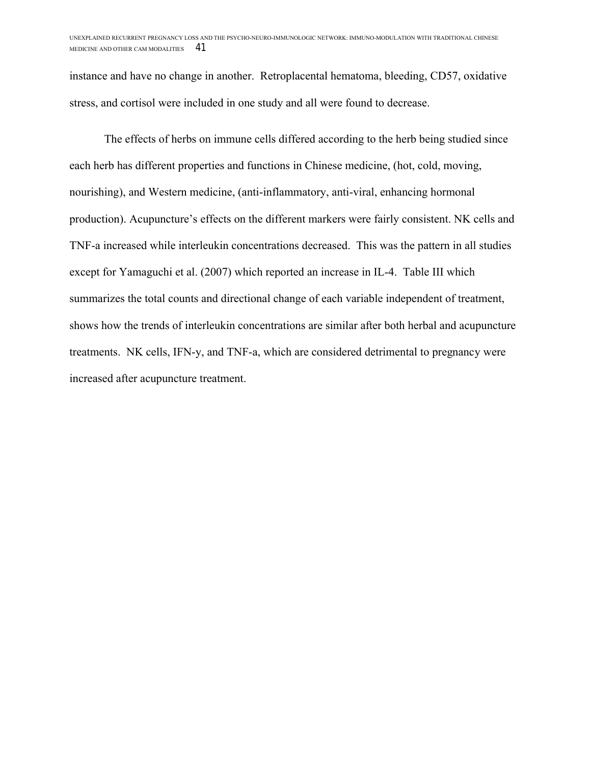instance and have no change in another. Retroplacental hematoma, bleeding, CD57, oxidative stress, and cortisol were included in one study and all were found to decrease.

The effects of herbs on immune cells differed according to the herb being studied since each herb has different properties and functions in Chinese medicine, (hot, cold, moving, nourishing), and Western medicine, (anti-inflammatory, anti-viral, enhancing hormonal production). Acupuncture's effects on the different markers were fairly consistent. NK cells and TNF-a increased while interleukin concentrations decreased. This was the pattern in all studies except for Yamaguchi et al. (2007) which reported an increase in IL-4. Table III which summarizes the total counts and directional change of each variable independent of treatment, shows how the trends of interleukin concentrations are similar after both herbal and acupuncture treatments. NK cells, IFN-y, and TNF-a, which are considered detrimental to pregnancy were increased after acupuncture treatment.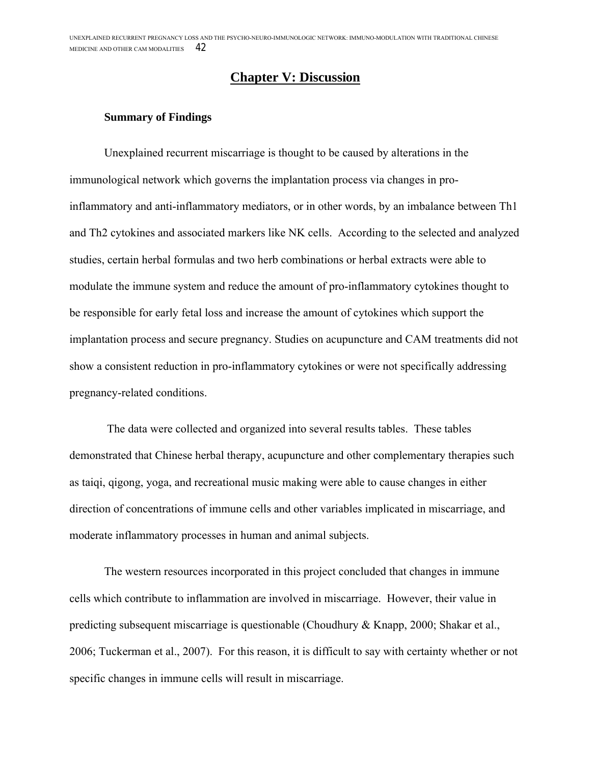### **Chapter V: Discussion**

#### **Summary of Findings**

Unexplained recurrent miscarriage is thought to be caused by alterations in the immunological network which governs the implantation process via changes in proinflammatory and anti-inflammatory mediators, or in other words, by an imbalance between Th1 and Th2 cytokines and associated markers like NK cells. According to the selected and analyzed studies, certain herbal formulas and two herb combinations or herbal extracts were able to modulate the immune system and reduce the amount of pro-inflammatory cytokines thought to be responsible for early fetal loss and increase the amount of cytokines which support the implantation process and secure pregnancy. Studies on acupuncture and CAM treatments did not show a consistent reduction in pro-inflammatory cytokines or were not specifically addressing pregnancy-related conditions.

The data were collected and organized into several results tables. These tables demonstrated that Chinese herbal therapy, acupuncture and other complementary therapies such as taiqi, qigong, yoga, and recreational music making were able to cause changes in either direction of concentrations of immune cells and other variables implicated in miscarriage, and moderate inflammatory processes in human and animal subjects.

The western resources incorporated in this project concluded that changes in immune cells which contribute to inflammation are involved in miscarriage. However, their value in predicting subsequent miscarriage is questionable (Choudhury & Knapp, 2000; Shakar et al., 2006; Tuckerman et al., 2007). For this reason, it is difficult to say with certainty whether or not specific changes in immune cells will result in miscarriage.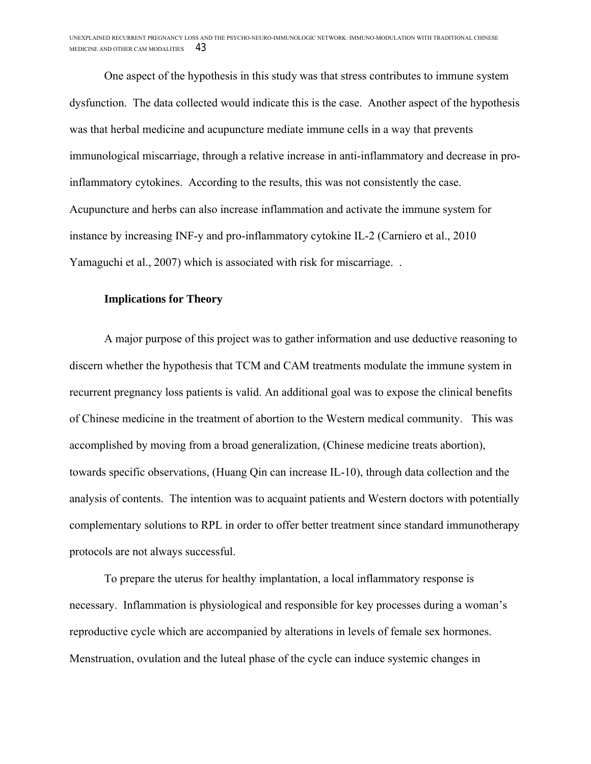One aspect of the hypothesis in this study was that stress contributes to immune system dysfunction. The data collected would indicate this is the case. Another aspect of the hypothesis was that herbal medicine and acupuncture mediate immune cells in a way that prevents immunological miscarriage, through a relative increase in anti-inflammatory and decrease in proinflammatory cytokines. According to the results, this was not consistently the case. Acupuncture and herbs can also increase inflammation and activate the immune system for instance by increasing INF-y and pro-inflammatory cytokine IL-2 (Carniero et al., 2010 Yamaguchi et al., 2007) which is associated with risk for miscarriage. .

#### **Implications for Theory**

A major purpose of this project was to gather information and use deductive reasoning to discern whether the hypothesis that TCM and CAM treatments modulate the immune system in recurrent pregnancy loss patients is valid. An additional goal was to expose the clinical benefits of Chinese medicine in the treatment of abortion to the Western medical community. This was accomplished by moving from a broad generalization, (Chinese medicine treats abortion), towards specific observations, (Huang Qin can increase IL-10), through data collection and the analysis of contents. The intention was to acquaint patients and Western doctors with potentially complementary solutions to RPL in order to offer better treatment since standard immunotherapy protocols are not always successful.

To prepare the uterus for healthy implantation, a local inflammatory response is necessary. Inflammation is physiological and responsible for key processes during a woman's reproductive cycle which are accompanied by alterations in levels of female sex hormones. Menstruation, ovulation and the luteal phase of the cycle can induce systemic changes in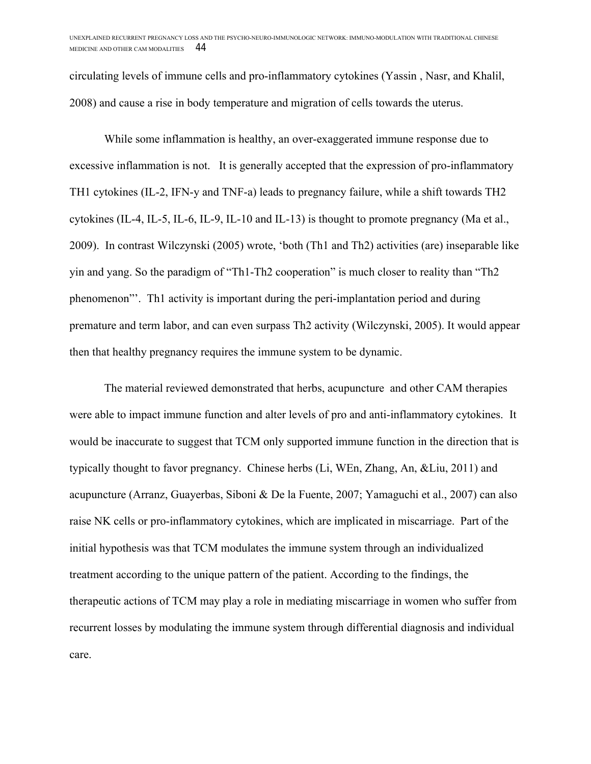circulating levels of immune cells and pro-inflammatory cytokines (Yassin , Nasr, and Khalil, 2008) and cause a rise in body temperature and migration of cells towards the uterus.

While some inflammation is healthy, an over-exaggerated immune response due to excessive inflammation is not. It is generally accepted that the expression of pro-inflammatory TH1 cytokines (IL-2, IFN-y and TNF-a) leads to pregnancy failure, while a shift towards TH2 cytokines (IL-4, IL-5, IL-6, IL-9, IL-10 and IL-13) is thought to promote pregnancy (Ma et al., 2009). In contrast Wilczynski (2005) wrote, 'both (Th1 and Th2) activities (are) inseparable like yin and yang. So the paradigm of "Th1-Th2 cooperation" is much closer to reality than "Th2 phenomenon"'. Th1 activity is important during the peri-implantation period and during premature and term labor, and can even surpass Th2 activity (Wilczynski, 2005). It would appear then that healthy pregnancy requires the immune system to be dynamic.

The material reviewed demonstrated that herbs, acupuncture and other CAM therapies were able to impact immune function and alter levels of pro and anti-inflammatory cytokines. It would be inaccurate to suggest that TCM only supported immune function in the direction that is typically thought to favor pregnancy. Chinese herbs (Li, WEn, Zhang, An, &Liu, 2011) and acupuncture (Arranz, Guayerbas, Siboni & De la Fuente, 2007; Yamaguchi et al., 2007) can also raise NK cells or pro-inflammatory cytokines, which are implicated in miscarriage. Part of the initial hypothesis was that TCM modulates the immune system through an individualized treatment according to the unique pattern of the patient. According to the findings, the therapeutic actions of TCM may play a role in mediating miscarriage in women who suffer from recurrent losses by modulating the immune system through differential diagnosis and individual care.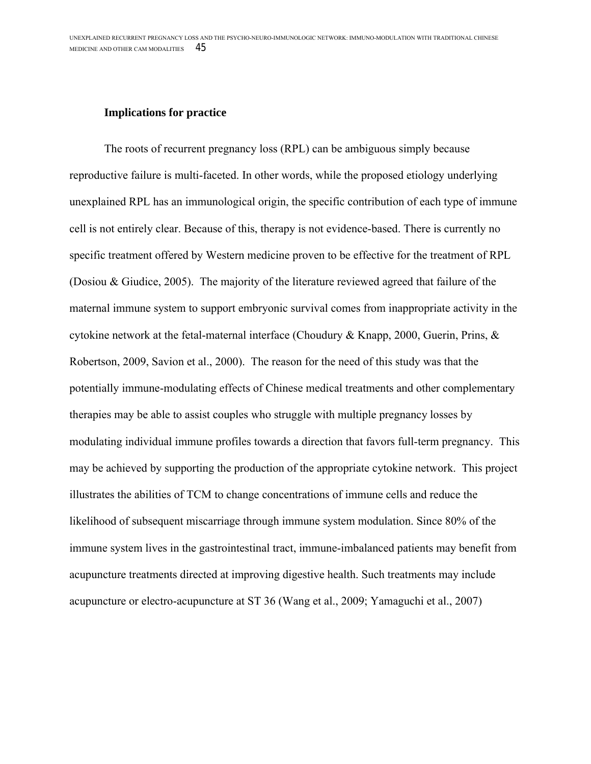#### **Implications for practice**

The roots of recurrent pregnancy loss (RPL) can be ambiguous simply because reproductive failure is multi-faceted. In other words, while the proposed etiology underlying unexplained RPL has an immunological origin, the specific contribution of each type of immune cell is not entirely clear. Because of this, therapy is not evidence-based. There is currently no specific treatment offered by Western medicine proven to be effective for the treatment of RPL (Dosiou & Giudice, 2005). The majority of the literature reviewed agreed that failure of the maternal immune system to support embryonic survival comes from inappropriate activity in the cytokine network at the fetal-maternal interface (Choudury & Knapp, 2000, Guerin, Prins, & Robertson, 2009, Savion et al., 2000). The reason for the need of this study was that the potentially immune-modulating effects of Chinese medical treatments and other complementary therapies may be able to assist couples who struggle with multiple pregnancy losses by modulating individual immune profiles towards a direction that favors full-term pregnancy. This may be achieved by supporting the production of the appropriate cytokine network. This project illustrates the abilities of TCM to change concentrations of immune cells and reduce the likelihood of subsequent miscarriage through immune system modulation. Since 80% of the immune system lives in the gastrointestinal tract, immune-imbalanced patients may benefit from acupuncture treatments directed at improving digestive health. Such treatments may include acupuncture or electro-acupuncture at ST 36 (Wang et al., 2009; Yamaguchi et al., 2007)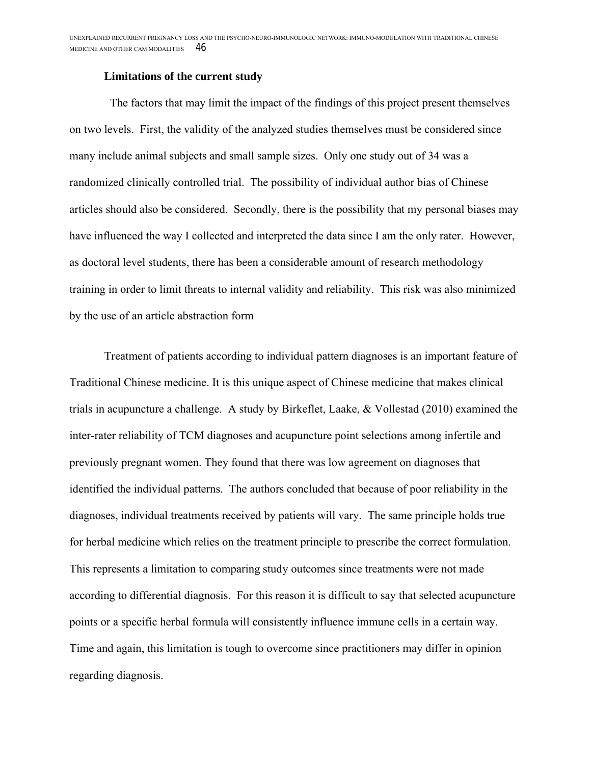#### **Limitations of the current study**

 The factors that may limit the impact of the findings of this project present themselves on two levels. First, the validity of the analyzed studies themselves must be considered since many include animal subjects and small sample sizes. Only one study out of 34 was a randomized clinically controlled trial. The possibility of individual author bias of Chinese articles should also be considered. Secondly, there is the possibility that my personal biases may have influenced the way I collected and interpreted the data since I am the only rater. However, as doctoral level students, there has been a considerable amount of research methodology training in order to limit threats to internal validity and reliability. This risk was also minimized by the use of an article abstraction form

Treatment of patients according to individual pattern diagnoses is an important feature of Traditional Chinese medicine. It is this unique aspect of Chinese medicine that makes clinical trials in acupuncture a challenge. A study by Birkeflet, Laake, & Vollestad (2010) examined the inter-rater reliability of TCM diagnoses and acupuncture point selections among infertile and previously pregnant women. They found that there was low agreement on diagnoses that identified the individual patterns. The authors concluded that because of poor reliability in the diagnoses, individual treatments received by patients will vary. The same principle holds true for herbal medicine which relies on the treatment principle to prescribe the correct formulation. This represents a limitation to comparing study outcomes since treatments were not made according to differential diagnosis. For this reason it is difficult to say that selected acupuncture points or a specific herbal formula will consistently influence immune cells in a certain way. Time and again, this limitation is tough to overcome since practitioners may differ in opinion regarding diagnosis.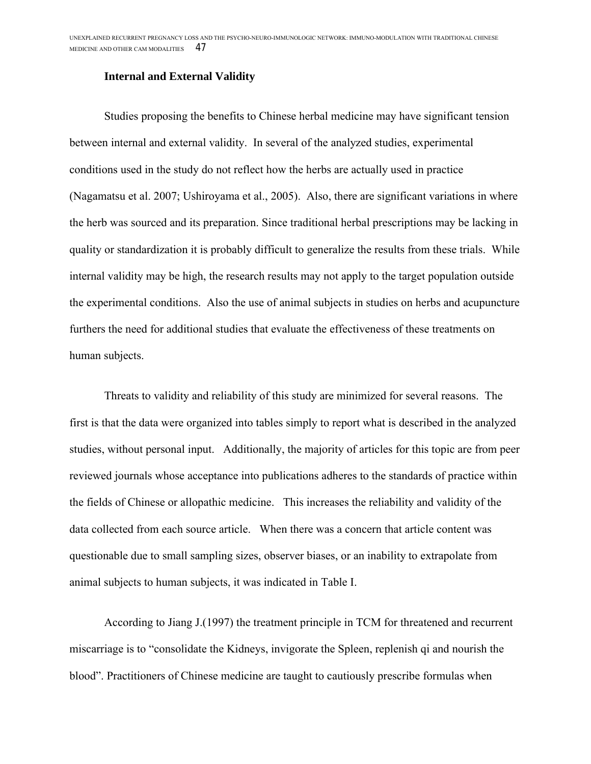#### **Internal and External Validity**

Studies proposing the benefits to Chinese herbal medicine may have significant tension between internal and external validity. In several of the analyzed studies, experimental conditions used in the study do not reflect how the herbs are actually used in practice (Nagamatsu et al. 2007; Ushiroyama et al., 2005). Also, there are significant variations in where the herb was sourced and its preparation. Since traditional herbal prescriptions may be lacking in quality or standardization it is probably difficult to generalize the results from these trials. While internal validity may be high, the research results may not apply to the target population outside the experimental conditions. Also the use of animal subjects in studies on herbs and acupuncture furthers the need for additional studies that evaluate the effectiveness of these treatments on human subjects.

Threats to validity and reliability of this study are minimized for several reasons. The first is that the data were organized into tables simply to report what is described in the analyzed studies, without personal input. Additionally, the majority of articles for this topic are from peer reviewed journals whose acceptance into publications adheres to the standards of practice within the fields of Chinese or allopathic medicine. This increases the reliability and validity of the data collected from each source article. When there was a concern that article content was questionable due to small sampling sizes, observer biases, or an inability to extrapolate from animal subjects to human subjects, it was indicated in Table I.

According to Jiang J.(1997) the treatment principle in TCM for threatened and recurrent miscarriage is to "consolidate the Kidneys, invigorate the Spleen, replenish qi and nourish the blood". Practitioners of Chinese medicine are taught to cautiously prescribe formulas when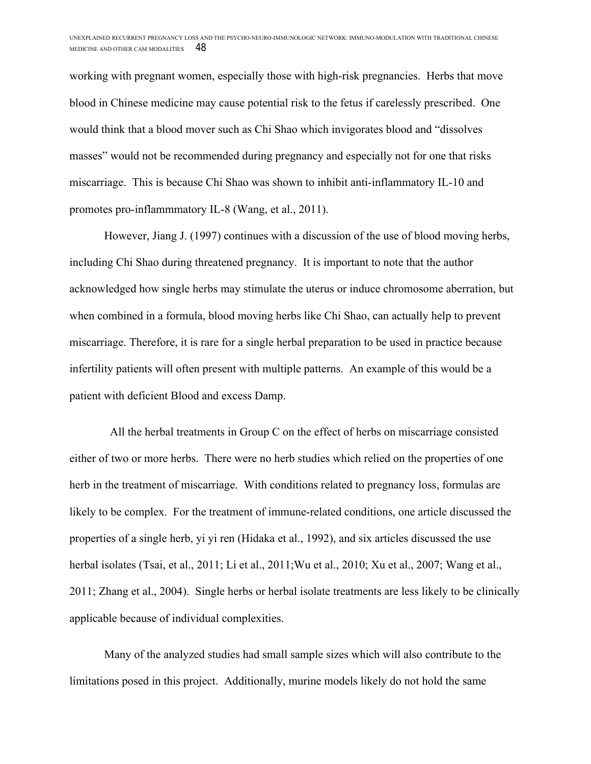working with pregnant women, especially those with high-risk pregnancies. Herbs that move blood in Chinese medicine may cause potential risk to the fetus if carelessly prescribed. One would think that a blood mover such as Chi Shao which invigorates blood and "dissolves masses" would not be recommended during pregnancy and especially not for one that risks miscarriage. This is because Chi Shao was shown to inhibit anti-inflammatory IL-10 and promotes pro-inflammmatory IL-8 (Wang, et al., 2011).

However, Jiang J. (1997) continues with a discussion of the use of blood moving herbs, including Chi Shao during threatened pregnancy. It is important to note that the author acknowledged how single herbs may stimulate the uterus or induce chromosome aberration, but when combined in a formula, blood moving herbs like Chi Shao, can actually help to prevent miscarriage. Therefore, it is rare for a single herbal preparation to be used in practice because infertility patients will often present with multiple patterns. An example of this would be a patient with deficient Blood and excess Damp.

 All the herbal treatments in Group C on the effect of herbs on miscarriage consisted either of two or more herbs. There were no herb studies which relied on the properties of one herb in the treatment of miscarriage. With conditions related to pregnancy loss, formulas are likely to be complex. For the treatment of immune-related conditions, one article discussed the properties of a single herb, yi yi ren (Hidaka et al., 1992), and six articles discussed the use herbal isolates (Tsai, et al., 2011; Li et al., 2011;Wu et al., 2010; Xu et al., 2007; Wang et al., 2011; Zhang et al., 2004). Single herbs or herbal isolate treatments are less likely to be clinically applicable because of individual complexities.

Many of the analyzed studies had small sample sizes which will also contribute to the limitations posed in this project. Additionally, murine models likely do not hold the same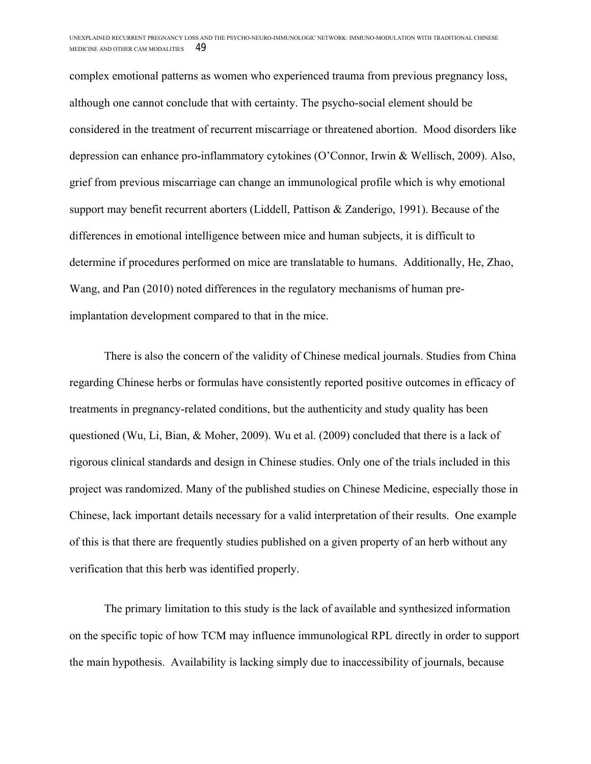complex emotional patterns as women who experienced trauma from previous pregnancy loss, although one cannot conclude that with certainty. The psycho-social element should be considered in the treatment of recurrent miscarriage or threatened abortion. Mood disorders like depression can enhance pro-inflammatory cytokines (O'Connor, Irwin & Wellisch, 2009). Also, grief from previous miscarriage can change an immunological profile which is why emotional support may benefit recurrent aborters (Liddell, Pattison & Zanderigo, 1991). Because of the differences in emotional intelligence between mice and human subjects, it is difficult to determine if procedures performed on mice are translatable to humans. Additionally, He, Zhao, Wang, and Pan (2010) noted differences in the regulatory mechanisms of human preimplantation development compared to that in the mice.

There is also the concern of the validity of Chinese medical journals. Studies from China regarding Chinese herbs or formulas have consistently reported positive outcomes in efficacy of treatments in pregnancy-related conditions, but the authenticity and study quality has been questioned (Wu, Li, Bian,  $\&$  Moher, 2009). Wu et al. (2009) concluded that there is a lack of rigorous clinical standards and design in Chinese studies. Only one of the trials included in this project was randomized. Many of the published studies on Chinese Medicine, especially those in Chinese, lack important details necessary for a valid interpretation of their results. One example of this is that there are frequently studies published on a given property of an herb without any verification that this herb was identified properly.

The primary limitation to this study is the lack of available and synthesized information on the specific topic of how TCM may influence immunological RPL directly in order to support the main hypothesis. Availability is lacking simply due to inaccessibility of journals, because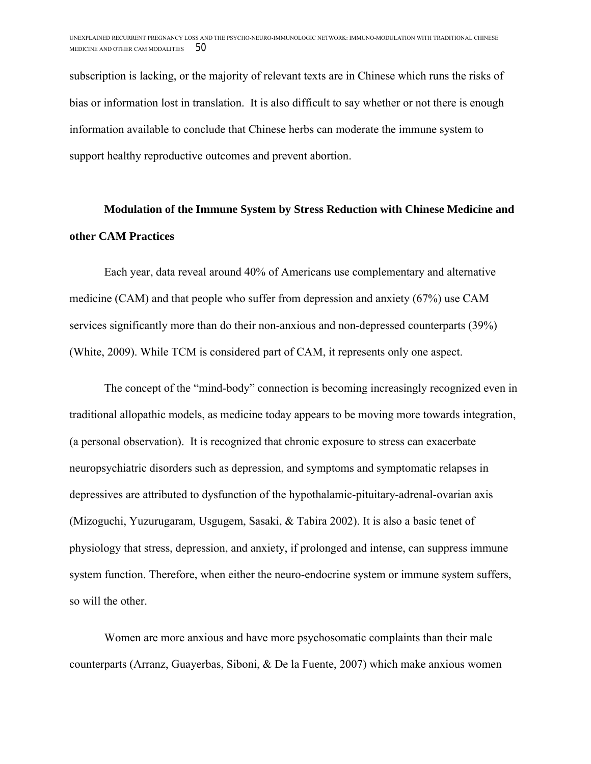subscription is lacking, or the majority of relevant texts are in Chinese which runs the risks of bias or information lost in translation. It is also difficult to say whether or not there is enough information available to conclude that Chinese herbs can moderate the immune system to support healthy reproductive outcomes and prevent abortion.

## **Modulation of the Immune System by Stress Reduction with Chinese Medicine and other CAM Practices**

Each year, data reveal around 40% of Americans use complementary and alternative medicine (CAM) and that people who suffer from depression and anxiety (67%) use CAM services significantly more than do their non-anxious and non-depressed counterparts (39%) (White, 2009). While TCM is considered part of CAM, it represents only one aspect.

The concept of the "mind-body" connection is becoming increasingly recognized even in traditional allopathic models, as medicine today appears to be moving more towards integration, (a personal observation). It is recognized that chronic exposure to stress can exacerbate neuropsychiatric disorders such as depression, and symptoms and symptomatic relapses in depressives are attributed to dysfunction of the hypothalamic-pituitary-adrenal-ovarian axis (Mizoguchi, Yuzurugaram, Usgugem, Sasaki, & Tabira 2002). It is also a basic tenet of physiology that stress, depression, and anxiety, if prolonged and intense, can suppress immune system function. Therefore, when either the neuro-endocrine system or immune system suffers, so will the other.

Women are more anxious and have more psychosomatic complaints than their male counterparts (Arranz, Guayerbas, Siboni, & De la Fuente, 2007) which make anxious women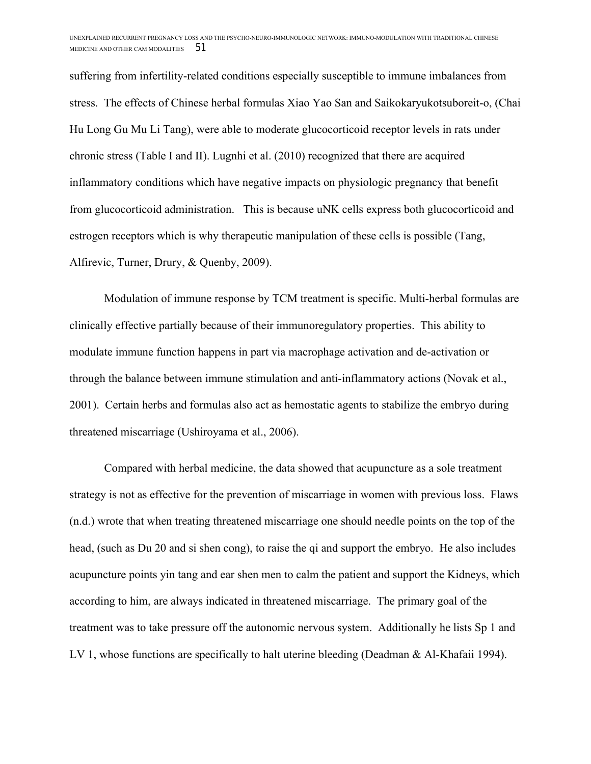suffering from infertility-related conditions especially susceptible to immune imbalances from stress. The effects of Chinese herbal formulas Xiao Yao San and Saikokaryukotsuboreit-o, (Chai Hu Long Gu Mu Li Tang), were able to moderate glucocorticoid receptor levels in rats under chronic stress (Table I and II). Lugnhi et al. (2010) recognized that there are acquired inflammatory conditions which have negative impacts on physiologic pregnancy that benefit from glucocorticoid administration. This is because uNK cells express both glucocorticoid and estrogen receptors which is why therapeutic manipulation of these cells is possible (Tang, Alfirevic, Turner, Drury, & Quenby, 2009).

Modulation of immune response by TCM treatment is specific. Multi-herbal formulas are clinically effective partially because of their immunoregulatory properties. This ability to modulate immune function happens in part via macrophage activation and de-activation or through the balance between immune stimulation and anti-inflammatory actions (Novak et al., 2001). Certain herbs and formulas also act as hemostatic agents to stabilize the embryo during threatened miscarriage (Ushiroyama et al., 2006).

Compared with herbal medicine, the data showed that acupuncture as a sole treatment strategy is not as effective for the prevention of miscarriage in women with previous loss. Flaws (n.d.) wrote that when treating threatened miscarriage one should needle points on the top of the head, (such as Du 20 and si shen cong), to raise the qi and support the embryo. He also includes acupuncture points yin tang and ear shen men to calm the patient and support the Kidneys, which according to him, are always indicated in threatened miscarriage. The primary goal of the treatment was to take pressure off the autonomic nervous system. Additionally he lists Sp 1 and LV 1, whose functions are specifically to halt uterine bleeding (Deadman & Al-Khafaii 1994).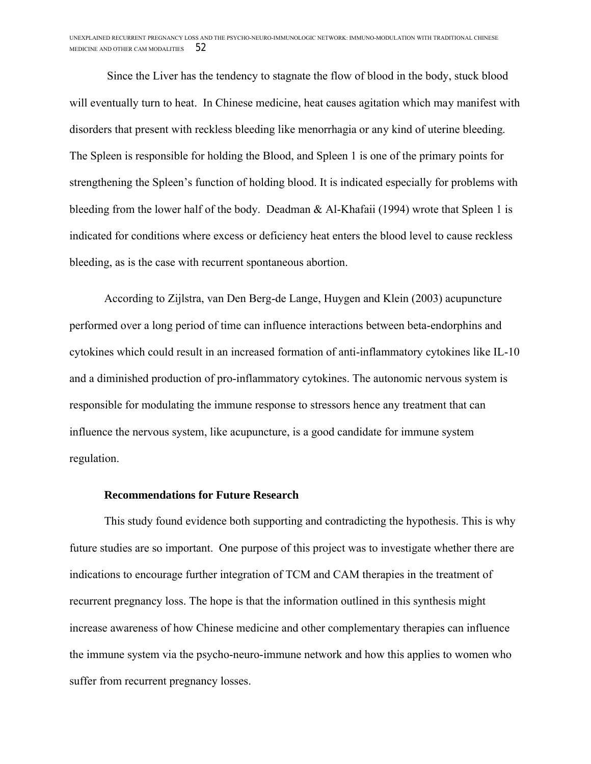Since the Liver has the tendency to stagnate the flow of blood in the body, stuck blood will eventually turn to heat. In Chinese medicine, heat causes agitation which may manifest with disorders that present with reckless bleeding like menorrhagia or any kind of uterine bleeding. The Spleen is responsible for holding the Blood, and Spleen 1 is one of the primary points for strengthening the Spleen's function of holding blood. It is indicated especially for problems with bleeding from the lower half of the body. Deadman & Al-Khafaii (1994) wrote that Spleen 1 is indicated for conditions where excess or deficiency heat enters the blood level to cause reckless bleeding, as is the case with recurrent spontaneous abortion.

According to Zijlstra, van Den Berg-de Lange, Huygen and Klein (2003) acupuncture performed over a long period of time can influence interactions between beta-endorphins and cytokines which could result in an increased formation of anti-inflammatory cytokines like IL-10 and a diminished production of pro-inflammatory cytokines. The autonomic nervous system is responsible for modulating the immune response to stressors hence any treatment that can influence the nervous system, like acupuncture, is a good candidate for immune system regulation.

#### **Recommendations for Future Research**

This study found evidence both supporting and contradicting the hypothesis. This is why future studies are so important. One purpose of this project was to investigate whether there are indications to encourage further integration of TCM and CAM therapies in the treatment of recurrent pregnancy loss. The hope is that the information outlined in this synthesis might increase awareness of how Chinese medicine and other complementary therapies can influence the immune system via the psycho-neuro-immune network and how this applies to women who suffer from recurrent pregnancy losses.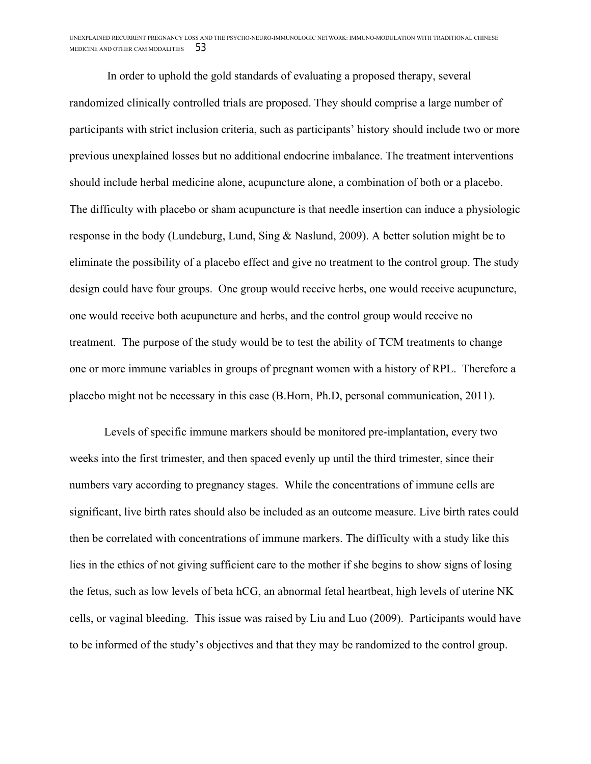In order to uphold the gold standards of evaluating a proposed therapy, several randomized clinically controlled trials are proposed. They should comprise a large number of participants with strict inclusion criteria, such as participants' history should include two or more previous unexplained losses but no additional endocrine imbalance. The treatment interventions should include herbal medicine alone, acupuncture alone, a combination of both or a placebo. The difficulty with placebo or sham acupuncture is that needle insertion can induce a physiologic response in the body (Lundeburg, Lund, Sing & Naslund, 2009). A better solution might be to eliminate the possibility of a placebo effect and give no treatment to the control group. The study design could have four groups. One group would receive herbs, one would receive acupuncture, one would receive both acupuncture and herbs, and the control group would receive no treatment. The purpose of the study would be to test the ability of TCM treatments to change one or more immune variables in groups of pregnant women with a history of RPL. Therefore a placebo might not be necessary in this case (B.Horn, Ph.D, personal communication, 2011).

Levels of specific immune markers should be monitored pre-implantation, every two weeks into the first trimester, and then spaced evenly up until the third trimester, since their numbers vary according to pregnancy stages. While the concentrations of immune cells are significant, live birth rates should also be included as an outcome measure. Live birth rates could then be correlated with concentrations of immune markers. The difficulty with a study like this lies in the ethics of not giving sufficient care to the mother if she begins to show signs of losing the fetus, such as low levels of beta hCG, an abnormal fetal heartbeat, high levels of uterine NK cells, or vaginal bleeding. This issue was raised by Liu and Luo (2009). Participants would have to be informed of the study's objectives and that they may be randomized to the control group.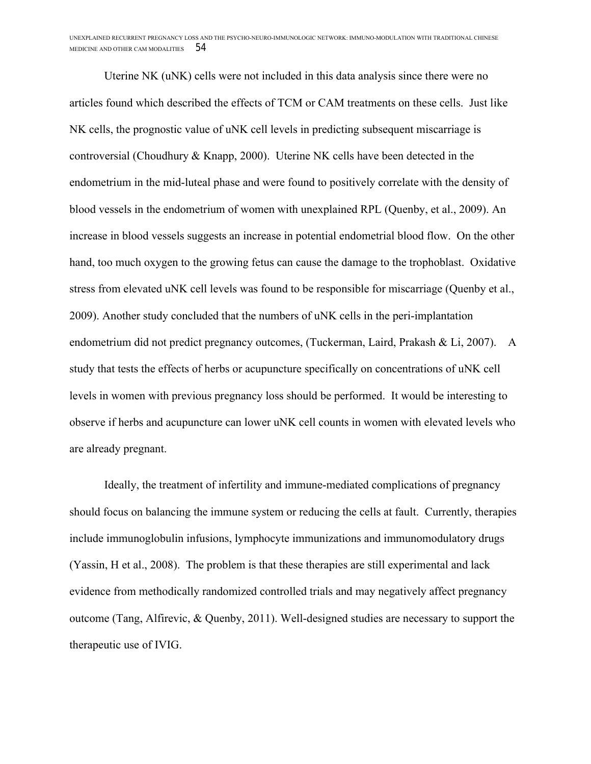Uterine NK (uNK) cells were not included in this data analysis since there were no articles found which described the effects of TCM or CAM treatments on these cells. Just like NK cells, the prognostic value of uNK cell levels in predicting subsequent miscarriage is controversial (Choudhury & Knapp, 2000). Uterine NK cells have been detected in the endometrium in the mid-luteal phase and were found to positively correlate with the density of blood vessels in the endometrium of women with unexplained RPL (Quenby, et al., 2009). An increase in blood vessels suggests an increase in potential endometrial blood flow. On the other hand, too much oxygen to the growing fetus can cause the damage to the trophoblast. Oxidative stress from elevated uNK cell levels was found to be responsible for miscarriage (Quenby et al., 2009). Another study concluded that the numbers of uNK cells in the peri-implantation endometrium did not predict pregnancy outcomes, (Tuckerman, Laird, Prakash & Li, 2007). A study that tests the effects of herbs or acupuncture specifically on concentrations of uNK cell levels in women with previous pregnancy loss should be performed. It would be interesting to observe if herbs and acupuncture can lower uNK cell counts in women with elevated levels who are already pregnant.

Ideally, the treatment of infertility and immune-mediated complications of pregnancy should focus on balancing the immune system or reducing the cells at fault. Currently, therapies include immunoglobulin infusions, lymphocyte immunizations and immunomodulatory drugs (Yassin, H et al., 2008). The problem is that these therapies are still experimental and lack evidence from methodically randomized controlled trials and may negatively affect pregnancy outcome (Tang, Alfirevic, & Quenby, 2011). Well-designed studies are necessary to support the therapeutic use of IVIG.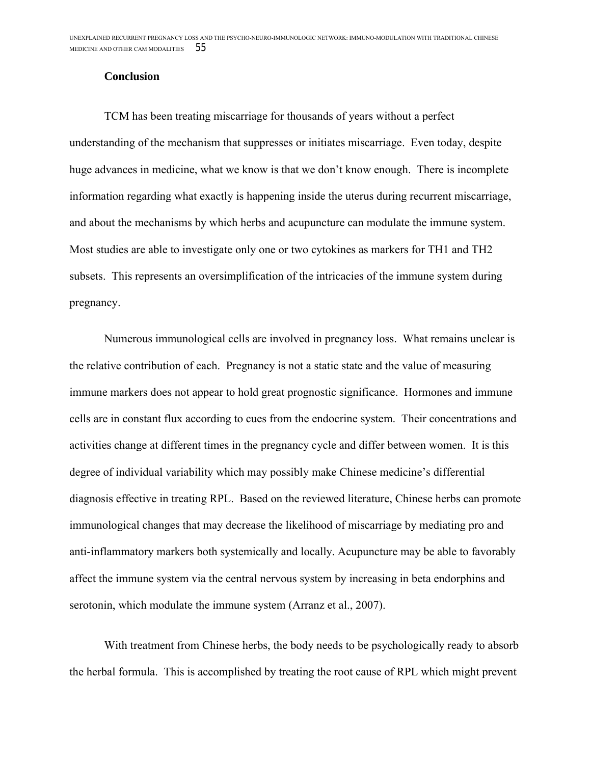#### **Conclusion**

TCM has been treating miscarriage for thousands of years without a perfect understanding of the mechanism that suppresses or initiates miscarriage. Even today, despite huge advances in medicine, what we know is that we don't know enough. There is incomplete information regarding what exactly is happening inside the uterus during recurrent miscarriage, and about the mechanisms by which herbs and acupuncture can modulate the immune system. Most studies are able to investigate only one or two cytokines as markers for TH1 and TH2 subsets. This represents an oversimplification of the intricacies of the immune system during pregnancy.

Numerous immunological cells are involved in pregnancy loss. What remains unclear is the relative contribution of each. Pregnancy is not a static state and the value of measuring immune markers does not appear to hold great prognostic significance. Hormones and immune cells are in constant flux according to cues from the endocrine system. Their concentrations and activities change at different times in the pregnancy cycle and differ between women. It is this degree of individual variability which may possibly make Chinese medicine's differential diagnosis effective in treating RPL. Based on the reviewed literature, Chinese herbs can promote immunological changes that may decrease the likelihood of miscarriage by mediating pro and anti-inflammatory markers both systemically and locally. Acupuncture may be able to favorably affect the immune system via the central nervous system by increasing in beta endorphins and serotonin, which modulate the immune system (Arranz et al., 2007).

With treatment from Chinese herbs, the body needs to be psychologically ready to absorb the herbal formula. This is accomplished by treating the root cause of RPL which might prevent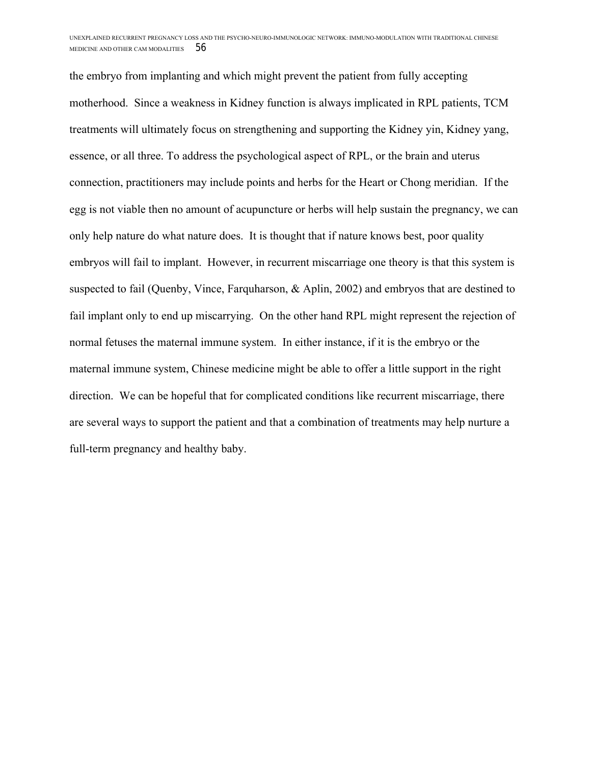the embryo from implanting and which might prevent the patient from fully accepting motherhood. Since a weakness in Kidney function is always implicated in RPL patients, TCM treatments will ultimately focus on strengthening and supporting the Kidney yin, Kidney yang, essence, or all three. To address the psychological aspect of RPL, or the brain and uterus connection, practitioners may include points and herbs for the Heart or Chong meridian. If the egg is not viable then no amount of acupuncture or herbs will help sustain the pregnancy, we can only help nature do what nature does. It is thought that if nature knows best, poor quality embryos will fail to implant. However, in recurrent miscarriage one theory is that this system is suspected to fail (Quenby, Vince, Farquharson, & Aplin, 2002) and embryos that are destined to fail implant only to end up miscarrying. On the other hand RPL might represent the rejection of normal fetuses the maternal immune system. In either instance, if it is the embryo or the maternal immune system, Chinese medicine might be able to offer a little support in the right direction. We can be hopeful that for complicated conditions like recurrent miscarriage, there are several ways to support the patient and that a combination of treatments may help nurture a full-term pregnancy and healthy baby.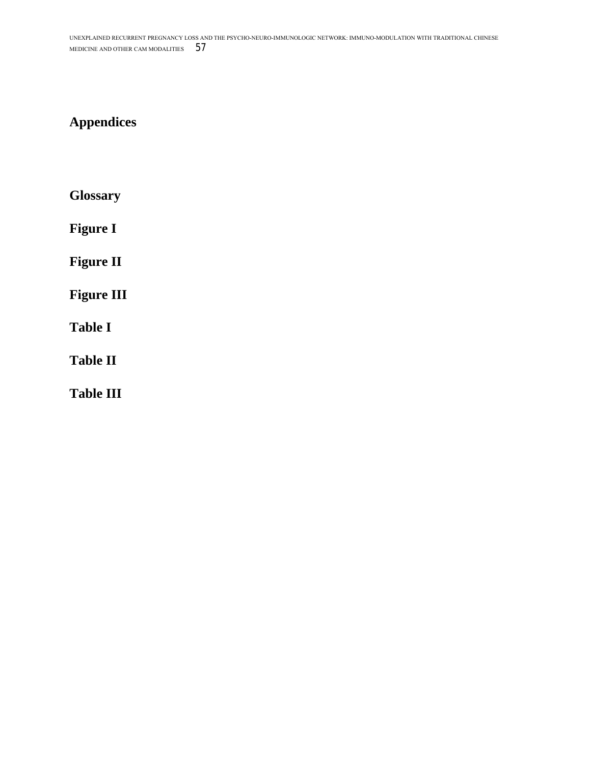## **Appendices**

**Glossary**

**Figure I**

**Figure II**

**Figure III**

**Table I**

**Table II**

**Table III**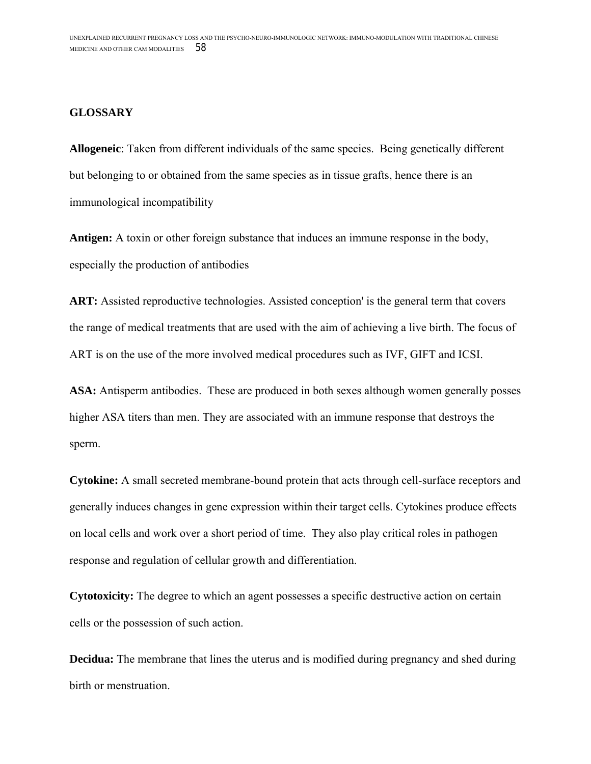#### **GLOSSARY**

**Allogeneic**: Taken from different individuals of the same species. Being genetically different but belonging to or obtained from the same species as in tissue grafts, hence there is an immunological incompatibility

**Antigen:** A toxin or other foreign substance that induces an immune response in the body, especially the production of antibodies

ART: Assisted reproductive technologies. Assisted conception' is the general term that covers the range of medical treatments that are used with the aim of achieving a live birth. The focus of ART is on the use of the more involved medical procedures such as IVF, GIFT and ICSI.

ASA: Antisperm antibodies. These are produced in both sexes although women generally posses higher ASA titers than men. They are associated with an immune response that destroys the sperm.

**Cytokine:** A small secreted membrane-bound protein that acts through cell-surface receptors and generally induces changes in gene expression within their target cells. Cytokines produce effects on local cells and work over a short period of time. They also play critical roles in pathogen response and regulation of cellular growth and differentiation.

**Cytotoxicity:** The degree to which an agent possesses a specific destructive action on certain cells or the possession of such action.

**Decidua:** The membrane that lines the uterus and is modified during pregnancy and shed during birth or menstruation.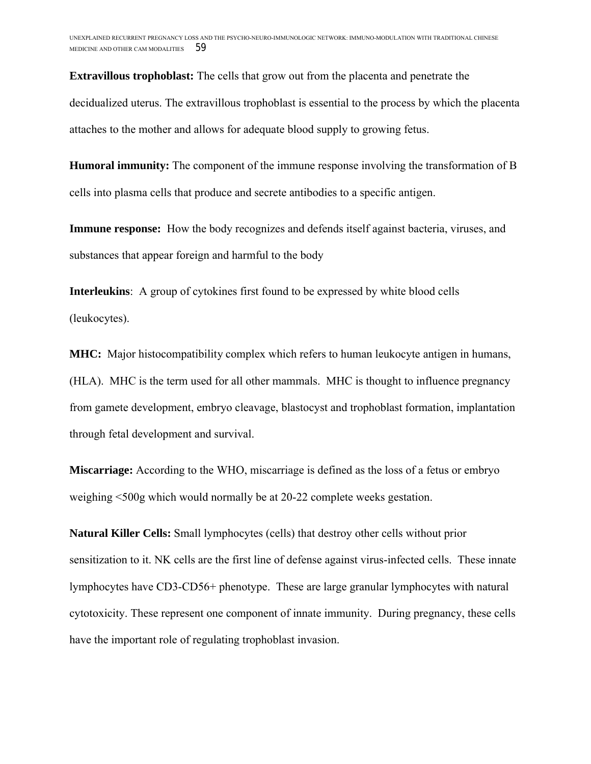**Extravillous trophoblast:** The cells that grow out from the placenta and penetrate the decidualized uterus. The extravillous trophoblast is essential to the process by which the placenta attaches to the mother and allows for adequate blood supply to growing fetus.

**Humoral immunity:** The component of the immune response involving the transformation of B cells into plasma cells that produce and secrete antibodies to a specific antigen.

**Immune response:** How the body recognizes and defends itself against bacteria, viruses, and substances that appear foreign and harmful to the body

**Interleukins**: A group of cytokines first found to be expressed by white blood cells (leukocytes).

**MHC:** Major histocompatibility complex which refers to human leukocyte antigen in humans, (HLA). MHC is the term used for all other mammals. MHC is thought to influence pregnancy from gamete development, embryo cleavage, blastocyst and trophoblast formation, implantation through fetal development and survival.

**Miscarriage:** According to the WHO, miscarriage is defined as the loss of a fetus or embryo weighing <500g which would normally be at 20-22 complete weeks gestation.

**Natural Killer Cells:** Small lymphocytes (cells) that destroy other cells without prior sensitization to it. NK cells are the first line of defense against virus-infected cells. These innate lymphocytes have CD3-CD56+ phenotype. These are large granular lymphocytes with natural cytotoxicity. These represent one component of innate immunity. During pregnancy, these cells have the important role of regulating trophoblast invasion.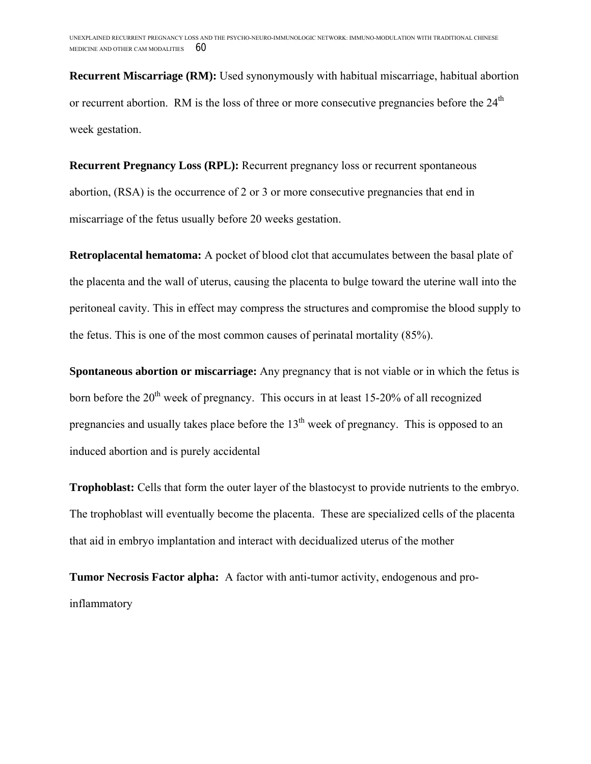**Recurrent Miscarriage (RM):** Used synonymously with habitual miscarriage, habitual abortion or recurrent abortion. RM is the loss of three or more consecutive pregnancies before the  $24<sup>th</sup>$ week gestation.

**Recurrent Pregnancy Loss (RPL):** Recurrent pregnancy loss or recurrent spontaneous abortion, (RSA) is the occurrence of 2 or 3 or more consecutive pregnancies that end in miscarriage of the fetus usually before 20 weeks gestation.

**Retroplacental hematoma:** A pocket of blood clot that accumulates between the basal plate of the placenta and the wall of uterus, causing the placenta to bulge toward the uterine wall into the peritoneal cavity. This in effect may compress the structures and compromise the blood supply to the fetus. This is one of the most common causes of perinatal mortality (85%).

**Spontaneous abortion or miscarriage:** Any pregnancy that is not viable or in which the fetus is born before the  $20<sup>th</sup>$  week of pregnancy. This occurs in at least 15-20% of all recognized pregnancies and usually takes place before the  $13<sup>th</sup>$  week of pregnancy. This is opposed to an induced abortion and is purely accidental

**Trophoblast:** Cells that form the outer layer of the blastocyst to provide nutrients to the embryo. The trophoblast will eventually become the placenta. These are specialized cells of the placenta that aid in embryo implantation and interact with decidualized uterus of the mother

**Tumor Necrosis Factor alpha:** A factor with anti-tumor activity, endogenous and proinflammatory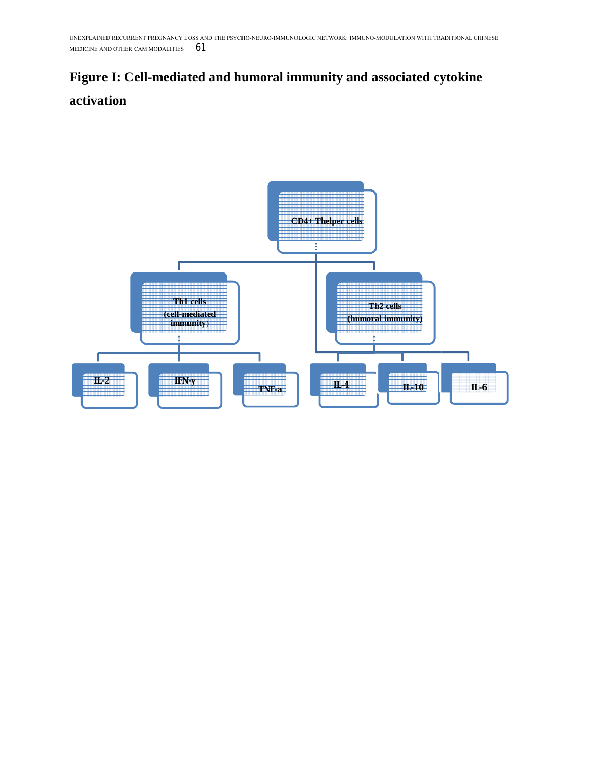# **Figure I: Cell-mediated and humoral immunity and associated cytokine activation**

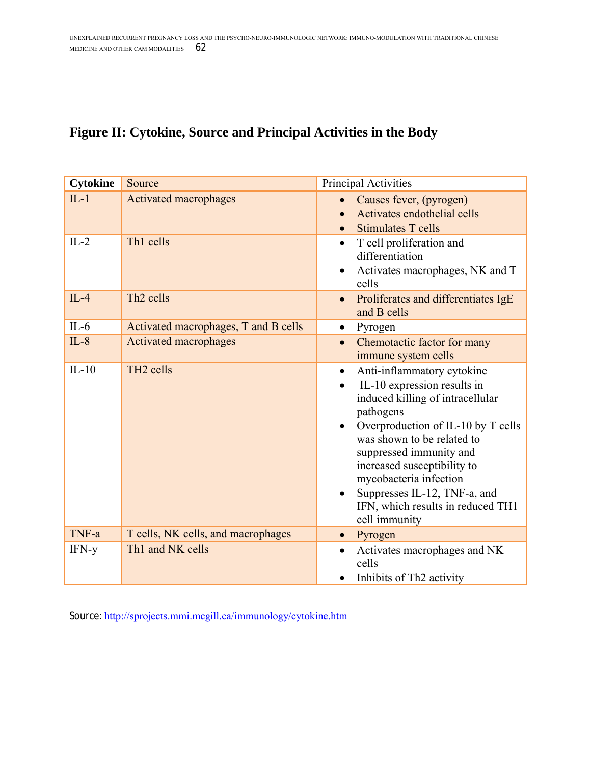## **Figure II: Cytokine, Source and Principal Activities in the Body**

| <b>Cytokine</b> | Source                               | Principal Activities                                                                                                                                                                                                                                                                                                                                                  |
|-----------------|--------------------------------------|-----------------------------------------------------------------------------------------------------------------------------------------------------------------------------------------------------------------------------------------------------------------------------------------------------------------------------------------------------------------------|
| $IL-1$          | <b>Activated macrophages</b>         | Causes fever, (pyrogen)<br>Activates endothelial cells<br><b>Stimulates T cells</b>                                                                                                                                                                                                                                                                                   |
| $IL-2$          | Th1 cells                            | T cell proliferation and<br>$\bullet$<br>differentiation<br>Activates macrophages, NK and T<br>cells                                                                                                                                                                                                                                                                  |
| $IL-4$          | Th <sub>2</sub> cells                | Proliferates and differentiates IgE<br>$\bullet$<br>and B cells                                                                                                                                                                                                                                                                                                       |
| $IL-6$          | Activated macrophages, T and B cells | Pyrogen<br>$\bullet$                                                                                                                                                                                                                                                                                                                                                  |
| $IL-8$          | Activated macrophages                | Chemotactic factor for many<br>$\bullet$<br>immune system cells                                                                                                                                                                                                                                                                                                       |
| $IL-10$         | TH <sub>2</sub> cells                | Anti-inflammatory cytokine<br>$\bullet$<br>IL-10 expression results in<br>induced killing of intracellular<br>pathogens<br>Overproduction of IL-10 by T cells<br>was shown to be related to<br>suppressed immunity and<br>increased susceptibility to<br>mycobacteria infection<br>Suppresses IL-12, TNF-a, and<br>IFN, which results in reduced TH1<br>cell immunity |
| TNF-a           | T cells, NK cells, and macrophages   | Pyrogen<br>$\bullet$                                                                                                                                                                                                                                                                                                                                                  |
| IFN-y           | Th1 and NK cells                     | Activates macrophages and NK<br>$\bullet$<br>cells<br>Inhibits of Th <sub>2</sub> activity                                                                                                                                                                                                                                                                            |

Source: http://sprojects.mmi.mcgill.ca/immunology/cytokine.htm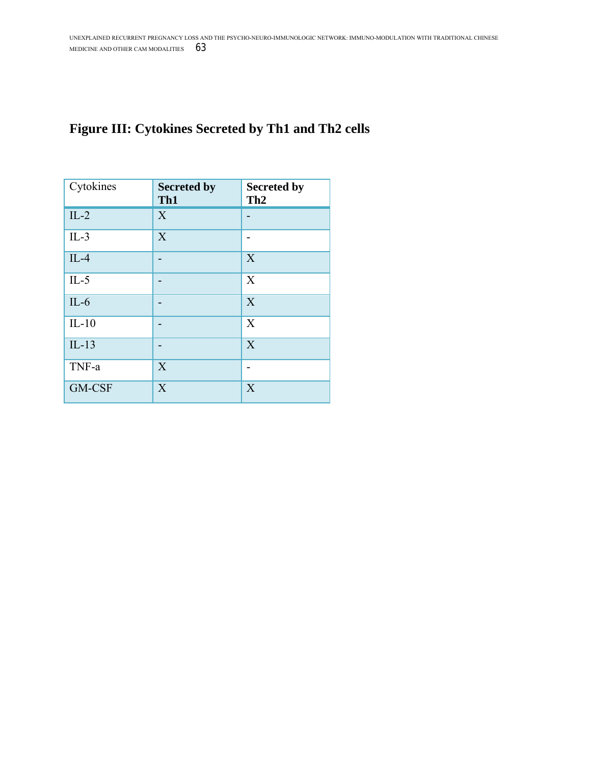## **Figure III: Cytokines Secreted by Th1 and Th2 cells**

| Cytokines | <b>Secreted by</b><br>Th1 | <b>Secreted by</b><br>Th <sub>2</sub> |
|-----------|---------------------------|---------------------------------------|
| $IL-2$    | X                         |                                       |
| $IL-3$    | X                         |                                       |
| $IL-4$    |                           | X                                     |
| $IL-5$    |                           | X                                     |
| $IL-6$    |                           | X                                     |
| $IL-10$   | -                         | X                                     |
| $IL-13$   |                           | X                                     |
| TNF-a     | X                         |                                       |
| GM-CSF    | X                         | X                                     |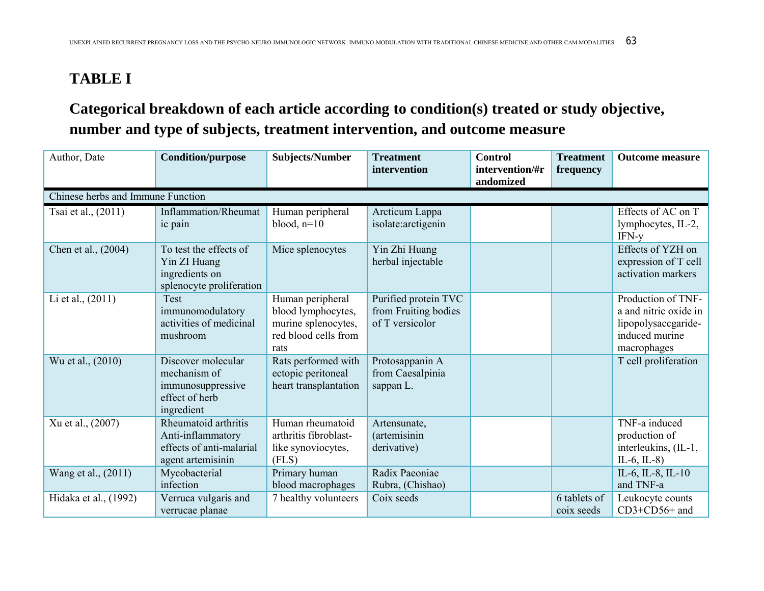# **TABLE I**

## **Categorical breakdown of each article according to condition(s) treated or study objective, number and type of subjects, treatment intervention, and outcome measure**

| Author, Date                      | <b>Condition/purpose</b>                                                                   | <b>Subjects/Number</b>                                                                        | <b>Treatment</b><br>intervention                                | <b>Control</b><br>intervention/#r<br>andomized | <b>Treatment</b><br>frequency | <b>Outcome measure</b>                                                                              |
|-----------------------------------|--------------------------------------------------------------------------------------------|-----------------------------------------------------------------------------------------------|-----------------------------------------------------------------|------------------------------------------------|-------------------------------|-----------------------------------------------------------------------------------------------------|
| Chinese herbs and Immune Function |                                                                                            |                                                                                               |                                                                 |                                                |                               |                                                                                                     |
| Tsai et al., (2011)               | Inflammation/Rheumat<br>ic pain                                                            | Human peripheral<br>blood, $n=10$                                                             | Arcticum Lappa<br>isolate: arctigenin                           |                                                |                               | Effects of AC on T<br>lymphocytes, IL-2,<br>IFN-y                                                   |
| Chen et al., (2004)               | To test the effects of<br>Yin ZI Huang<br>ingredients on<br>splenocyte proliferation       | Mice splenocytes                                                                              | Yin Zhi Huang<br>herbal injectable                              |                                                |                               | Effects of YZH on<br>expression of T cell<br>activation markers                                     |
| Li et al., (2011)                 | Test<br>immunomodulatory<br>activities of medicinal<br>mushroom                            | Human peripheral<br>blood lymphocytes,<br>murine splenocytes,<br>red blood cells from<br>rats | Purified protein TVC<br>from Fruiting bodies<br>of T versicolor |                                                |                               | Production of TNF-<br>a and nitric oxide in<br>lipopolysaccgaride-<br>induced murine<br>macrophages |
| Wu et al., (2010)                 | Discover molecular<br>mechanism of<br>immunosuppressive<br>effect of herb<br>ingredient    | Rats performed with<br>ectopic peritoneal<br>heart transplantation                            | Protosappanin A<br>from Caesalpinia<br>sappan L.                |                                                |                               | T cell proliferation                                                                                |
| Xu et al., (2007)                 | Rheumatoid arthritis<br>Anti-inflammatory<br>effects of anti-malarial<br>agent artemisinin | Human rheumatoid<br>arthritis fibroblast-<br>like synoviocytes,<br>(FLS)                      | Artensunate,<br><i>(artemisinin)</i><br>derivative)             |                                                |                               | TNF-a induced<br>production of<br>interleukins, (IL-1,<br>$IL-6$ , $IL-8$ )                         |
| Wang et al., (2011)               | Mycobacterial<br>infection                                                                 | Primary human<br>blood macrophages                                                            | Radix Paeoniae<br>Rubra, (Chishao)                              |                                                |                               | IL-6, IL-8, IL-10<br>and TNF-a                                                                      |
| Hidaka et al., (1992)             | Verruca vulgaris and<br>verrucae planae                                                    | 7 healthy volunteers                                                                          | Coix seeds                                                      |                                                | 6 tablets of<br>coix seeds    | Leukocyte counts<br>CD3+CD56+ and                                                                   |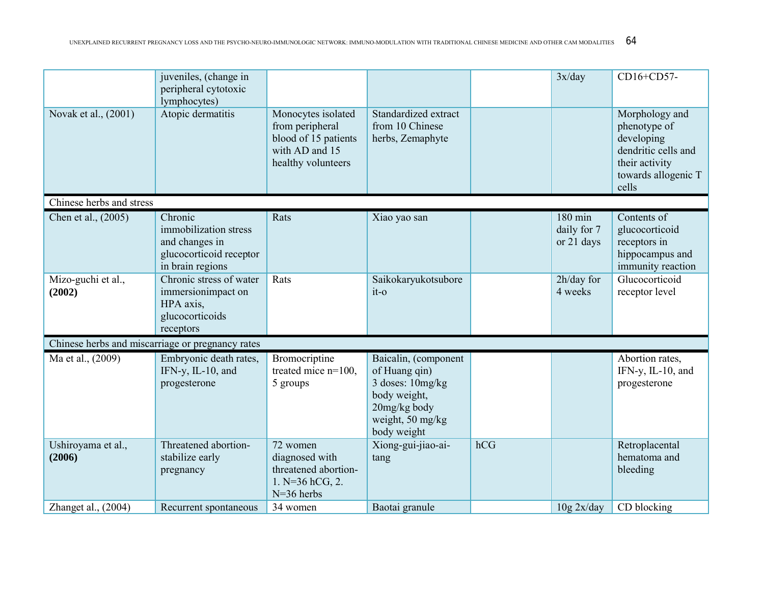|                              | juveniles, (change in<br>peripheral cytotoxic<br>lymphocytes)                                     |                                                                                                       |                                                                                                                              |     | 3x/day                               | CD16+CD57-                                                                                                            |
|------------------------------|---------------------------------------------------------------------------------------------------|-------------------------------------------------------------------------------------------------------|------------------------------------------------------------------------------------------------------------------------------|-----|--------------------------------------|-----------------------------------------------------------------------------------------------------------------------|
| Novak et al., (2001)         | Atopic dermatitis                                                                                 | Monocytes isolated<br>from peripheral<br>blood of 15 patients<br>with AD and 15<br>healthy volunteers | Standardized extract<br>from 10 Chinese<br>herbs, Zemaphyte                                                                  |     |                                      | Morphology and<br>phenotype of<br>developing<br>dendritic cells and<br>their activity<br>towards allogenic T<br>cells |
| Chinese herbs and stress     |                                                                                                   |                                                                                                       |                                                                                                                              |     |                                      |                                                                                                                       |
| Chen et al., (2005)          | Chronic<br>immobilization stress<br>and changes in<br>glucocorticoid receptor<br>in brain regions | Rats                                                                                                  | Xiao yao san                                                                                                                 |     | 180 min<br>daily for 7<br>or 21 days | Contents of<br>glucocorticoid<br>receptors in<br>hippocampus and<br>immunity reaction                                 |
| Mizo-guchi et al.,<br>(2002) | Chronic stress of water<br>immersionimpact on<br>HPA axis,<br>glucocorticoids<br>receptors        | Rats                                                                                                  | Saikokaryukotsubore<br>$it-o$                                                                                                |     | 2h/day for<br>4 weeks                | Glucocorticoid<br>receptor level                                                                                      |
|                              | Chinese herbs and miscarriage or pregnancy rates                                                  |                                                                                                       |                                                                                                                              |     |                                      |                                                                                                                       |
| Ma et al., (2009)            | Embryonic death rates,<br>IFN-y, IL-10, and<br>progesterone<br>Threatened abortion-               | Bromocriptine<br>treated mice n=100,<br>5 groups<br>72 women                                          | Baicalin, (component<br>of Huang qin)<br>3 doses: 10mg/kg<br>body weight,<br>20mg/kg body<br>weight, 50 mg/kg<br>body weight | hCG |                                      | Abortion rates,<br>IFN-y, IL-10, and<br>progesterone                                                                  |
| Ushiroyama et al.,<br>(2006) | stabilize early<br>pregnancy                                                                      | diagnosed with<br>threatened abortion-<br>1. $N=36$ hCG, 2.<br>$N=36$ herbs                           | Xiong-gui-jiao-ai-<br>tang                                                                                                   |     |                                      | Retroplacental<br>hematoma and<br>bleeding                                                                            |
| Zhanget al., $(2004)$        | Recurrent spontaneous                                                                             | 34 women                                                                                              | Baotai granule                                                                                                               |     | 10g 2x/day                           | CD blocking                                                                                                           |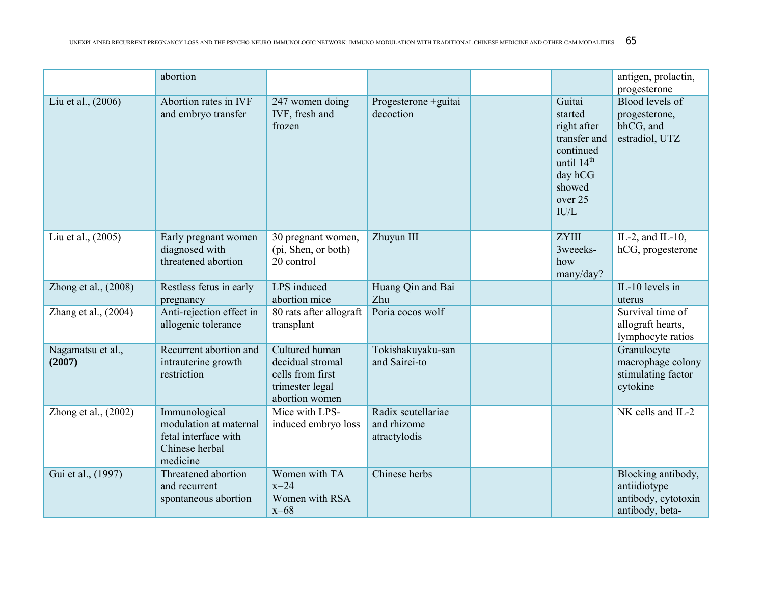|                             | abortion                                                                                      |                                                                                             |                                                   |                                                                                                                                 | antigen, prolactin,<br>progesterone                                          |
|-----------------------------|-----------------------------------------------------------------------------------------------|---------------------------------------------------------------------------------------------|---------------------------------------------------|---------------------------------------------------------------------------------------------------------------------------------|------------------------------------------------------------------------------|
| Liu et al., (2006)          | Abortion rates in IVF<br>and embryo transfer                                                  | 247 women doing<br>IVF, fresh and<br>frozen                                                 | Progesterone +guitai<br>decoction                 | Guitai<br>started<br>right after<br>transfer and<br>continued<br>until 14 <sup>th</sup><br>day hCG<br>showed<br>over 25<br>IU/L | <b>Blood levels of</b><br>progesterone,<br>bhCG, and<br>estradiol, UTZ       |
| Liu et al., (2005)          | Early pregnant women<br>diagnosed with<br>threatened abortion                                 | 30 pregnant women,<br>(pi, Shen, or both)<br>20 control                                     | Zhuyun III                                        | <b>ZYIII</b><br>3weeeks-<br>how<br>many/day?                                                                                    | IL-2, and IL-10,<br>hCG, progesterone                                        |
| Zhong et al., (2008)        | Restless fetus in early<br>pregnancy                                                          | LPS induced<br>abortion mice                                                                | Huang Qin and Bai<br>Zhu                          |                                                                                                                                 | IL-10 levels in<br>uterus                                                    |
| Zhang et al., (2004)        | Anti-rejection effect in<br>allogenic tolerance                                               | 80 rats after allograft<br>transplant                                                       | Poria cocos wolf                                  |                                                                                                                                 | Survival time of<br>allograft hearts,<br>lymphocyte ratios                   |
| Nagamatsu et al.,<br>(2007) | Recurrent abortion and<br>intrauterine growth<br>restriction                                  | Cultured human<br>decidual stromal<br>cells from first<br>trimester legal<br>abortion women | Tokishakuyaku-san<br>and Sairei-to                |                                                                                                                                 | Granulocyte<br>macrophage colony<br>stimulating factor<br>cytokine           |
| Zhong et al., $(2002)$      | Immunological<br>modulation at maternal<br>fetal interface with<br>Chinese herbal<br>medicine | Mice with LPS-<br>induced embryo loss                                                       | Radix scutellariae<br>and rhizome<br>atractylodis |                                                                                                                                 | NK cells and IL-2                                                            |
| Gui et al., (1997)          | Threatened abortion<br>and recurrent<br>spontaneous abortion                                  | Women with TA<br>$x=24$<br>Women with RSA<br>$x=68$                                         | Chinese herbs                                     |                                                                                                                                 | Blocking antibody,<br>antiidiotype<br>antibody, cytotoxin<br>antibody, beta- |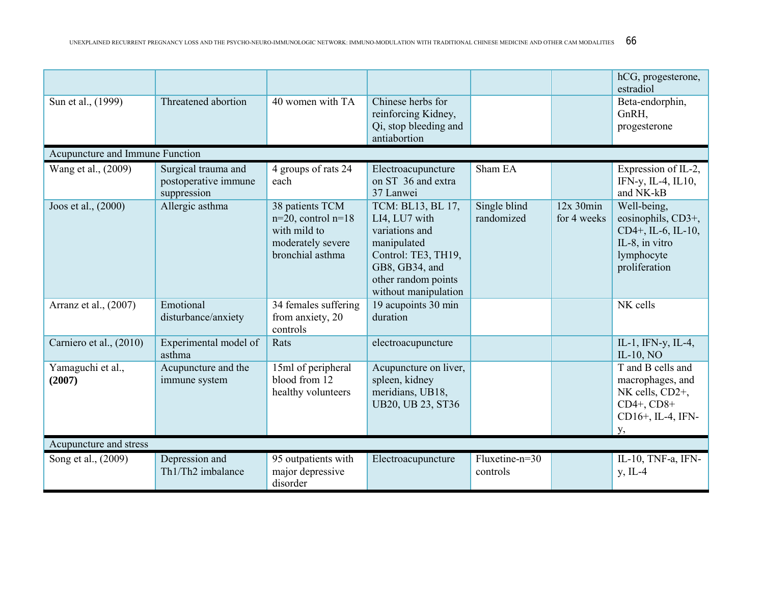|                                 |                                                            |                                                                                                     |                                                                                                                                                             |                            |                               | hCG, progesterone,<br>estradiol                                                                          |
|---------------------------------|------------------------------------------------------------|-----------------------------------------------------------------------------------------------------|-------------------------------------------------------------------------------------------------------------------------------------------------------------|----------------------------|-------------------------------|----------------------------------------------------------------------------------------------------------|
| Sun et al., (1999)              | Threatened abortion                                        | 40 women with TA                                                                                    | Chinese herbs for<br>reinforcing Kidney,<br>Qi, stop bleeding and<br>antiabortion                                                                           |                            |                               | Beta-endorphin,<br>GnRH,<br>progesterone                                                                 |
| Acupuncture and Immune Function |                                                            |                                                                                                     |                                                                                                                                                             |                            |                               |                                                                                                          |
| Wang et al., (2009)             | Surgical trauma and<br>postoperative immune<br>suppression | 4 groups of rats 24<br>each                                                                         | Electroacupuncture<br>on ST 36 and extra<br>37 Lanwei                                                                                                       | Sham EA                    |                               | Expression of IL-2,<br>IFN-y, IL-4, IL10,<br>and NK-kB                                                   |
| Joos et al., (2000)             | Allergic asthma                                            | 38 patients TCM<br>$n=20$ , control $n=18$<br>with mild to<br>moderately severe<br>bronchial asthma | TCM: BL13, BL 17,<br>LI4, LU7 with<br>variations and<br>manipulated<br>Control: TE3, TH19,<br>GB8, GB34, and<br>other random points<br>without manipulation | Single blind<br>randomized | $12x$ 30 $min$<br>for 4 weeks | Well-being,<br>eosinophils, CD3+,<br>CD4+, IL-6, IL-10,<br>IL-8, in vitro<br>lymphocyte<br>proliferation |
| Arranz et al., (2007)           | Emotional<br>disturbance/anxiety                           | 34 females suffering<br>from anxiety, 20<br>controls                                                | 19 acupoints 30 min<br>duration                                                                                                                             |                            |                               | NK cells                                                                                                 |
| Carniero et al., (2010)         | Experimental model of<br>asthma                            | Rats                                                                                                | electroacupuncture                                                                                                                                          |                            |                               | IL-1, IFN-y, IL-4,<br>IL-10, $NO$                                                                        |
| Yamaguchi et al.,<br>(2007)     | Acupuncture and the<br>immune system                       | 15ml of peripheral<br>blood from 12<br>healthy volunteers                                           | Acupuncture on liver,<br>spleen, kidney<br>meridians, UB18,<br><b>UB20, UB 23, ST36</b>                                                                     |                            |                               | T and B cells and<br>macrophages, and<br>NK cells, CD2+,<br>$CD4+$ , $CD8+$<br>CD16+, IL-4, IFN-<br>у,   |
| Acupuncture and stress          |                                                            |                                                                                                     |                                                                                                                                                             |                            |                               |                                                                                                          |
| Song et al., (2009)             | Depression and<br>Th1/Th2 imbalance                        | 95 outpatients with<br>major depressive<br>disorder                                                 | Electroacupuncture                                                                                                                                          | Fluxetine-n=30<br>controls |                               | IL-10, TNF-a, IFN-<br>$y$ , IL-4                                                                         |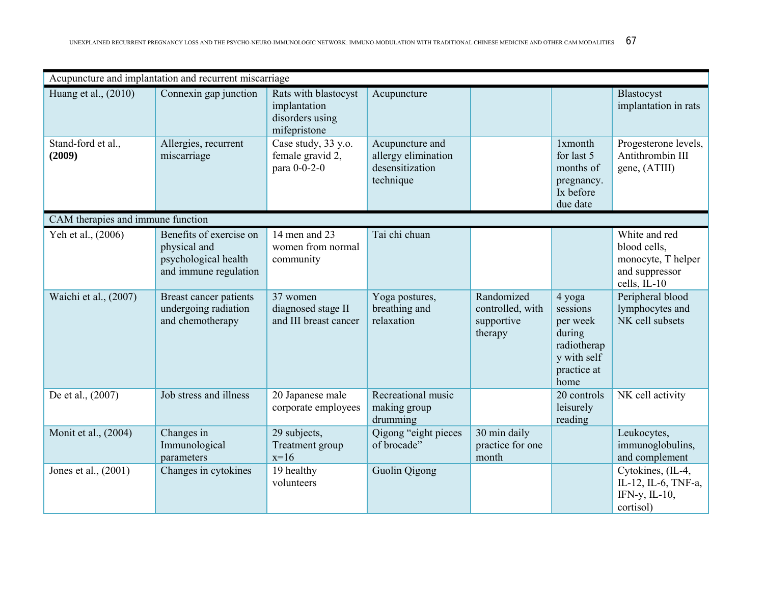|                                   | Acupuncture and implantation and recurrent miscarriage                                   |                                                                         |                                                                        |                                                         |                                                                                               |                                                                                       |
|-----------------------------------|------------------------------------------------------------------------------------------|-------------------------------------------------------------------------|------------------------------------------------------------------------|---------------------------------------------------------|-----------------------------------------------------------------------------------------------|---------------------------------------------------------------------------------------|
| Huang et al., (2010)              | Connexin gap junction                                                                    | Rats with blastocyst<br>implantation<br>disorders using<br>mifepristone | Acupuncture                                                            |                                                         |                                                                                               | Blastocyst<br>implantation in rats                                                    |
| Stand-ford et al.,<br>(2009)      | Allergies, recurrent<br>miscarriage                                                      | Case study, 33 y.o.<br>female gravid 2,<br>para 0-0-2-0                 | Acupuncture and<br>allergy elimination<br>desensitization<br>technique |                                                         | 1xmonth<br>for last 5<br>months of<br>pregnancy.<br>Ix before<br>due date                     | Progesterone levels,<br>Antithrombin III<br>gene, (ATIII)                             |
| CAM therapies and immune function |                                                                                          |                                                                         |                                                                        |                                                         |                                                                                               |                                                                                       |
| Yeh et al., (2006)                | Benefits of exercise on<br>physical and<br>psychological health<br>and immune regulation | 14 men and 23<br>women from normal<br>community                         | Tai chi chuan                                                          |                                                         |                                                                                               | White and red<br>blood cells,<br>monocyte, T helper<br>and suppressor<br>cells, IL-10 |
| Waichi et al., (2007)             | Breast cancer patients<br>undergoing radiation<br>and chemotherapy                       | 37 women<br>diagnosed stage II<br>and III breast cancer                 | Yoga postures,<br>breathing and<br>relaxation                          | Randomized<br>controlled, with<br>supportive<br>therapy | 4 yoga<br>sessions<br>per week<br>during<br>radiotherap<br>y with self<br>practice at<br>home | Peripheral blood<br>lymphocytes and<br>NK cell subsets                                |
| De et al., (2007)                 | Job stress and illness                                                                   | 20 Japanese male<br>corporate employees                                 | Recreational music<br>making group<br>drumming                         |                                                         | 20 controls<br>leisurely<br>reading                                                           | NK cell activity                                                                      |
| Monit et al., (2004)              | Changes in<br>Immunological<br>parameters                                                | 29 subjects,<br>Treatment group<br>$x=16$                               | Qigong "eight pieces<br>of brocade"                                    | 30 min daily<br>practice for one<br>month               |                                                                                               | Leukocytes,<br>immunoglobulins,<br>and complement                                     |
| Jones et al., (2001)              | Changes in cytokines                                                                     | 19 healthy<br>volunteers                                                | Guolin Qigong                                                          |                                                         |                                                                                               | Cytokines, (IL-4,<br>IL-12, IL-6, TNF-a,<br>IFN-y, $IL-10$ ,<br>cortisol)             |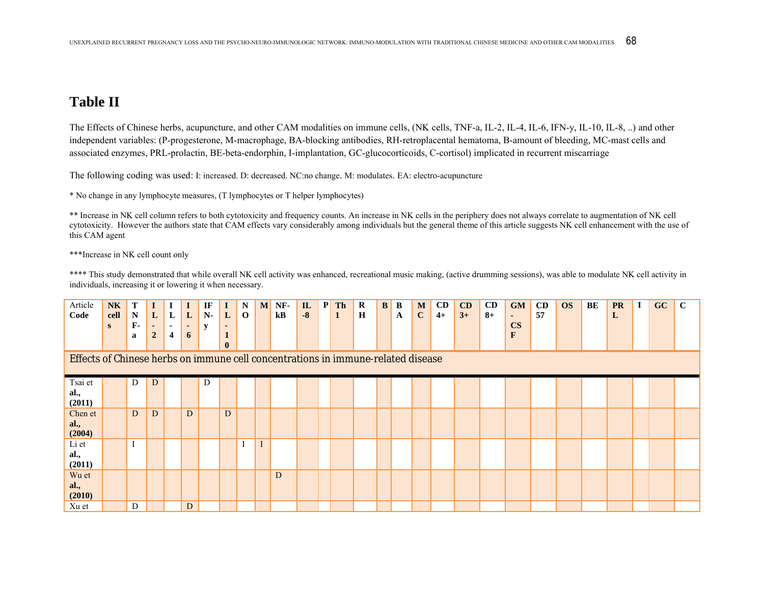### **Table II**

The Effects of Chinese herbs, acupuncture, and other CAM modalities on immune cells, (NK cells, TNF-a, IL-2, IL-4, IL-6, IFN-y, IL-10, IL-8, ..) and other independent variables: (P-progesterone, M-macrophage, BA-blocking antibodies, RH-retroplacental hematoma, B-amount of bleeding, MC-mast cells and associated enzymes, PRL-prolactin, BE-beta-endorphin, I-implantation, GC-glucocorticoids, C-cortisol) implicated in recurrent miscarriage

The following coding was used: I: increased. D: decreased. NC:no change. M: modulates. EA: electro-acupuncture

\* No change in any lymphocyte measures, (T lymphocytes or T helper lymphocytes)

\*\* Increase in NK cell column refers to both cytotoxicity and frequency counts. An increase in NK cells in the periphery does not always correlate to augmentation of NK cell cytotoxicity. However the authors state that CAM effects vary considerably among individuals but the general theme of this article suggests NK cell enhancement with the use of this CAM agent

\*\*\*Increase in NK cell count only

\*\*\*\* This study demonstrated that while overall NK cell activity was enhanced, recreational music making, (active drumming sessions), was able to modulate NK cell activity in individuals, increasing it or lowering it when necessary.

| Article<br>Code                                                                  | <b>NK</b><br>cell<br>S | T<br>$\mathbf N$<br>$F -$<br>a | L<br>$\overline{\phantom{a}}$<br>$\overline{2}$ | L<br>$\sim$<br>4 | L<br>$\sim$<br>6 | IF<br>$N-$<br>$\mathbf{v}$ | $\bf{I}$<br>L<br>$\bf{I}$<br>$\bf{0}$ | N<br>$\mathbf 0$ | M       | NF-<br>$\mathbf{k}$ <b>B</b> | $\mathbf{I}$<br>$-8$ | $\mathbf{P}$ | <b>Th</b><br>1 | $\mathbf R$<br>H | B | B<br>A | M<br>$\mathbf C$ | CD<br>$4+$ | CD<br>$3+$ | CD<br>$8+$ | <b>GM</b><br>$\sim$<br>$\overline{\text{CS}}$<br>F | CD<br>57 | <b>OS</b> | BE | <b>PR</b><br>L | GC | $\mathbf C$ |
|----------------------------------------------------------------------------------|------------------------|--------------------------------|-------------------------------------------------|------------------|------------------|----------------------------|---------------------------------------|------------------|---------|------------------------------|----------------------|--------------|----------------|------------------|---|--------|------------------|------------|------------|------------|----------------------------------------------------|----------|-----------|----|----------------|----|-------------|
| Effects of Chinese herbs on immune cell concentrations in immune-related disease |                        |                                |                                                 |                  |                  |                            |                                       |                  |         |                              |                      |              |                |                  |   |        |                  |            |            |            |                                                    |          |           |    |                |    |             |
| Tsai et<br>al.,<br>(2011)                                                        |                        | D                              | D                                               |                  |                  | D                          |                                       |                  |         |                              |                      |              |                |                  |   |        |                  |            |            |            |                                                    |          |           |    |                |    |             |
| Chen et<br>al.,<br>(2004)                                                        |                        | D                              | D                                               |                  | D                |                            | $\overline{D}$                        |                  |         |                              |                      |              |                |                  |   |        |                  |            |            |            |                                                    |          |           |    |                |    |             |
| Li et<br>al.,<br>(2011)                                                          |                        |                                |                                                 |                  |                  |                            |                                       |                  | $\perp$ |                              |                      |              |                |                  |   |        |                  |            |            |            |                                                    |          |           |    |                |    |             |
| Wu et<br>al.,<br>(2010)                                                          |                        |                                |                                                 |                  |                  |                            |                                       |                  |         | D                            |                      |              |                |                  |   |        |                  |            |            |            |                                                    |          |           |    |                |    |             |
| Xu et                                                                            |                        | D                              |                                                 |                  | D                |                            |                                       |                  |         |                              |                      |              |                |                  |   |        |                  |            |            |            |                                                    |          |           |    |                |    |             |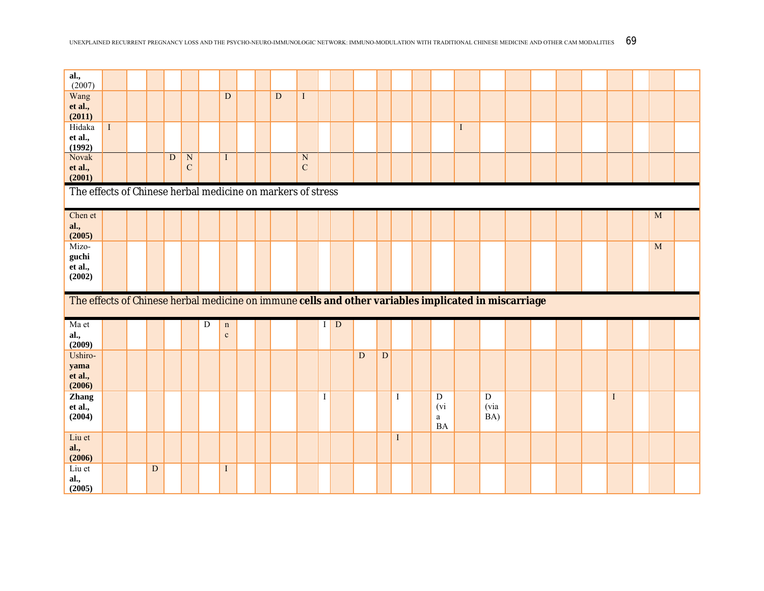| al.,<br>(2007)                                                                                       |         |                         |             |                                    |   |                            |  |                |                                        |         |             |   |             |              |                                               |              |                               |  |  |             |   |  |
|------------------------------------------------------------------------------------------------------|---------|-------------------------|-------------|------------------------------------|---|----------------------------|--|----------------|----------------------------------------|---------|-------------|---|-------------|--------------|-----------------------------------------------|--------------|-------------------------------|--|--|-------------|---|--|
| Wang<br>et al.,<br>(2011)                                                                            |         |                         |             |                                    |   | $\mathbf D$                |  | $\overline{D}$ | $\mathbf{I}$                           |         |             |   |             |              |                                               |              |                               |  |  |             |   |  |
| Hidaka<br>et al.,<br>(1992)                                                                          | $\rm I$ |                         |             |                                    |   |                            |  |                |                                        |         |             |   |             |              |                                               | $\mathbf{I}$ |                               |  |  |             |   |  |
| Novak<br>et al.,<br>(2001)                                                                           |         |                         | $\mathbf D$ | $\overline{\text{N}}$<br>${\bf C}$ |   | $\mathbf{I}$               |  |                | $\overline{\text{N}}$<br>$\mathcal{C}$ |         |             |   |             |              |                                               |              |                               |  |  |             |   |  |
| The effects of Chinese herbal medicine on markers of stress                                          |         |                         |             |                                    |   |                            |  |                |                                        |         |             |   |             |              |                                               |              |                               |  |  |             |   |  |
| Chen et<br>al.,<br>(2005)                                                                            |         |                         |             |                                    |   |                            |  |                |                                        |         |             |   |             |              |                                               |              |                               |  |  |             | M |  |
| Mizo-<br>guchi<br>et al.,<br>(2002)                                                                  |         |                         |             |                                    |   |                            |  |                |                                        |         |             |   |             |              |                                               |              |                               |  |  |             | M |  |
| The effects of Chinese herbal medicine on immune cells and other variables implicated in miscarriage |         |                         |             |                                    |   |                            |  |                |                                        |         |             |   |             |              |                                               |              |                               |  |  |             |   |  |
| Ma et<br>al.,<br>(2009)                                                                              |         |                         |             |                                    | D | $\mathbf n$<br>$\mathbf c$ |  |                |                                        | I       | $\mathbf D$ |   |             |              |                                               |              |                               |  |  |             |   |  |
| Ushiro-<br>yama<br>et al.,<br>(2006)                                                                 |         |                         |             |                                    |   |                            |  |                |                                        |         |             | D | $\mathbf D$ |              |                                               |              |                               |  |  |             |   |  |
| Zhang<br>et al.,<br>(2004)                                                                           |         |                         |             |                                    |   |                            |  |                |                                        | $\bf I$ |             |   |             | $\mathbf I$  | ${\bf D}$<br>(v)<br>$\mathbf{a}$<br><b>BA</b> |              | $\overline{D}$<br>(via<br>BA) |  |  | $\mathbf I$ |   |  |
| Liu et<br>al.,                                                                                       |         |                         |             |                                    |   |                            |  |                |                                        |         |             |   |             | $\mathbf{I}$ |                                               |              |                               |  |  |             |   |  |
| (2006)<br>Liu et                                                                                     |         | $\overline{\mathbf{D}}$ |             |                                    |   |                            |  |                |                                        |         |             |   |             |              |                                               |              |                               |  |  |             |   |  |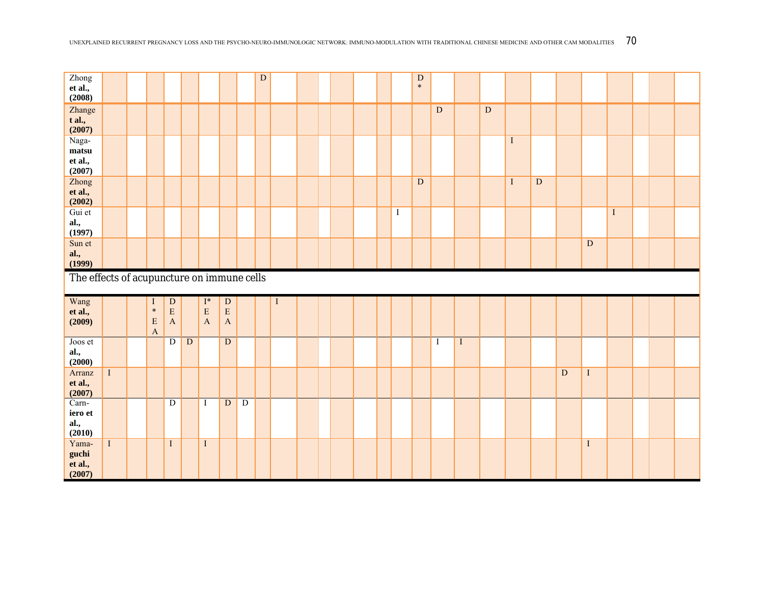| Zhong<br>et al.,<br>(2008)                 |         |                                                          |                                       |              |                                             |                                         |                | ${\bf D}$ |   |  |  |              | ${\bf D}$<br>$\ast$ |           |          |           |             |                         |                |                         |             |  |  |
|--------------------------------------------|---------|----------------------------------------------------------|---------------------------------------|--------------|---------------------------------------------|-----------------------------------------|----------------|-----------|---|--|--|--------------|---------------------|-----------|----------|-----------|-------------|-------------------------|----------------|-------------------------|-------------|--|--|
| Zhange<br>$t$ al.,<br>(2007)               |         |                                                          |                                       |              |                                             |                                         |                |           |   |  |  |              |                     | ${\bf D}$ |          | ${\bf D}$ |             |                         |                |                         |             |  |  |
| Naga-<br>matsu<br>et al.,<br>(2007)        |         |                                                          |                                       |              |                                             |                                         |                |           |   |  |  |              |                     |           |          |           | $\mathbf I$ |                         |                |                         |             |  |  |
| Zhong<br>et al.,<br>(2002)                 |         |                                                          |                                       |              |                                             |                                         |                |           |   |  |  |              | ${\bf D}$           |           |          |           | $\mathbf I$ | $\overline{\mathbf{D}}$ |                |                         |             |  |  |
| Gui et<br>al.,<br>(1997)                   |         |                                                          |                                       |              |                                             |                                         |                |           |   |  |  | $\mathbf{I}$ |                     |           |          |           |             |                         |                |                         | $\mathbf I$ |  |  |
| Sun et<br>al.,<br>(1999)                   |         |                                                          |                                       |              |                                             |                                         |                |           |   |  |  |              |                     |           |          |           |             |                         |                | $\overline{\mathbf{D}}$ |             |  |  |
| The effects of acupuncture on immune cells |         |                                                          |                                       |              |                                             |                                         |                |           |   |  |  |              |                     |           |          |           |             |                         |                |                         |             |  |  |
|                                            |         |                                                          |                                       |              |                                             |                                         |                |           |   |  |  |              |                     |           |          |           |             |                         |                |                         |             |  |  |
| Wang<br>et al.,<br>(2009)                  |         | $\bf{I}$<br>$\ast$<br>${\bf E}$<br>$\boldsymbol{\rm{A}}$ | ${\bf D}$<br>${\bf E}$<br>$\mathbf A$ |              | $\mathbf{I}^*$<br>${\bf E}$<br>$\mathbf{A}$ | ${\bf D}$<br>$\mathbf E$<br>$\mathbf A$ |                |           | Ι |  |  |              |                     |           |          |           |             |                         |                |                         |             |  |  |
| Joos et<br>al.,<br>(2000)                  |         |                                                          | $\mathbf D$                           | $\mathbf{D}$ |                                             | ${\bf D}$                               |                |           |   |  |  |              |                     | Ι         | $\bf{I}$ |           |             |                         |                |                         |             |  |  |
| Arranz<br>et al.,<br>(2007)                | $\rm I$ |                                                          |                                       |              |                                             |                                         |                |           |   |  |  |              |                     |           |          |           |             |                         | $\overline{D}$ | $\mathbf I$             |             |  |  |
| Carn-<br>iero et<br>al.,<br>(2010)         |         |                                                          | $\overline{D}$                        |              | $\mathbf I$                                 | $\overline{\text{D}}$                   | $\overline{D}$ |           |   |  |  |              |                     |           |          |           |             |                         |                |                         |             |  |  |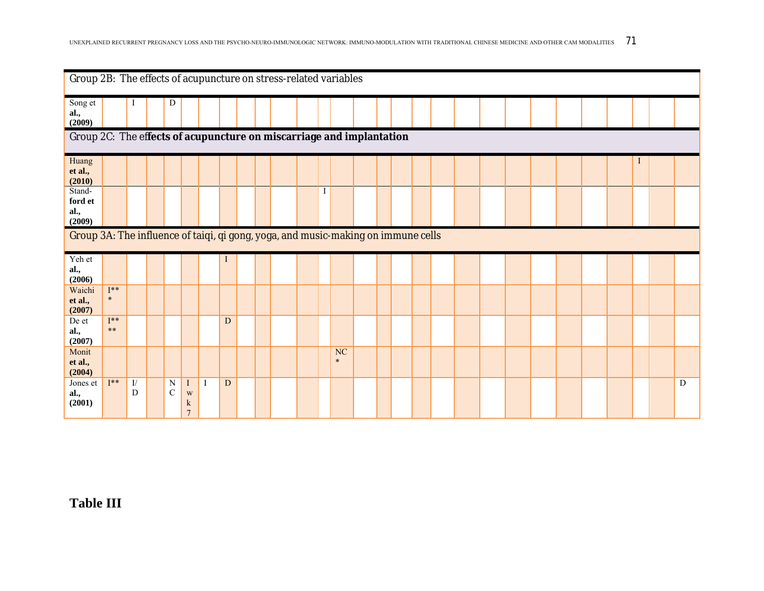|                                                                                             | Group 2B: The effects of acupuncture on stress-related variables<br>D<br>I |         |  |                    |                                               |              |           |  |  |  |  |  |                     |  |  |  |  |  |  |  |  |   |
|---------------------------------------------------------------------------------------------|----------------------------------------------------------------------------|---------|--|--------------------|-----------------------------------------------|--------------|-----------|--|--|--|--|--|---------------------|--|--|--|--|--|--|--|--|---|
| Song et<br>al.,<br>(2009)                                                                   | Group 2C: The effects of acupuncture on miscarriage and implantation       |         |  |                    |                                               |              |           |  |  |  |  |  |                     |  |  |  |  |  |  |  |  |   |
|                                                                                             |                                                                            |         |  |                    |                                               |              |           |  |  |  |  |  |                     |  |  |  |  |  |  |  |  |   |
| Huang<br>et al.,<br>(2010)                                                                  | $\mathbf I$                                                                |         |  |                    |                                               |              |           |  |  |  |  |  |                     |  |  |  |  |  |  |  |  |   |
| Stand-<br>ford et<br>al.,                                                                   |                                                                            |         |  |                    |                                               |              |           |  |  |  |  |  |                     |  |  |  |  |  |  |  |  |   |
| (2009)<br>Group 3A: The influence of taiqi, qi gong, yoga, and music-making on immune cells |                                                                            |         |  |                    |                                               |              |           |  |  |  |  |  |                     |  |  |  |  |  |  |  |  |   |
| Yeh et<br>al.,<br>(2006)                                                                    |                                                                            |         |  |                    |                                               |              |           |  |  |  |  |  |                     |  |  |  |  |  |  |  |  |   |
| Waichi<br>et al.,<br>(2007)                                                                 | $\mathbf{I^{**}}$<br>$\ast$                                                |         |  |                    |                                               |              |           |  |  |  |  |  |                     |  |  |  |  |  |  |  |  |   |
| De et<br>al.,<br>(2007)                                                                     | $I^**$<br>$***$                                                            |         |  |                    |                                               |              | D         |  |  |  |  |  |                     |  |  |  |  |  |  |  |  |   |
| Monit<br>et al.,<br>(2004)                                                                  |                                                                            |         |  |                    |                                               |              |           |  |  |  |  |  | <b>NC</b><br>$\ast$ |  |  |  |  |  |  |  |  |   |
| Jones et<br>al.,<br>(2001)                                                                  | $I^**$                                                                     | I/<br>D |  | N<br>$\mathcal{C}$ | $\mathbf I$<br>W<br>$\bf k$<br>$\overline{7}$ | $\mathbf{I}$ | ${\bf D}$ |  |  |  |  |  |                     |  |  |  |  |  |  |  |  | D |

**Table III**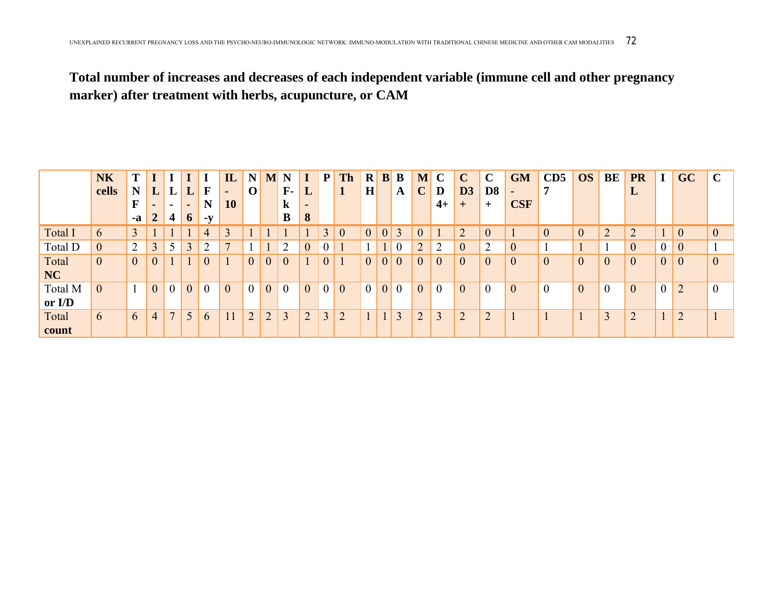## **Total number of increases and decreases of each independent variable (immune cell and other pregnancy marker) after treatment with herbs, acupuncture, or CAM**

|           | <b>NK</b>        | T              |                |                |                |             | $\mathbf{L}$   | $\mathbf N$   | M              | N           |   | P <sub>1</sub> | <b>Th</b>      | $\mathbf{R}$ | B | $\bf{B}$        | M              | $\mathbf C$    | $\mathbf C$    | $\mathbf C$    | <b>GM</b>      | CD5            | <b>OS</b>    | BE             | <b>PR</b>      | I                | GC             | $\mathbf C$    |
|-----------|------------------|----------------|----------------|----------------|----------------|-------------|----------------|---------------|----------------|-------------|---|----------------|----------------|--------------|---|-----------------|----------------|----------------|----------------|----------------|----------------|----------------|--------------|----------------|----------------|------------------|----------------|----------------|
|           | cells            | N              | L              |                |                | F           | $\blacksquare$ | $\mathbf{U}$  |                | ${\bf F}$ - | ப |                |                | H            |   | $\mathbf{A}$    | $\mathbf C$    | D              | D3             | D <sub>8</sub> | $\blacksquare$ |                |              |                | ப              |                  |                |                |
|           |                  | ю              |                |                |                | $\mathbf N$ | <b>10</b>      |               |                | k           |   |                |                |              |   |                 |                | $4+$           | $\pm$          | $\pm$          | <b>CSF</b>     |                |              |                |                |                  |                |                |
|           |                  | $-a$           | $\overline{2}$ | 4              | 6              | $-y$        |                |               |                | B           | 8 |                |                |              |   |                 |                |                |                |                |                |                |              |                |                |                  |                |                |
| Total I   | $\mathfrak b$    | 3              |                |                |                | 4           | $\overline{3}$ |               |                |             |   |                | $\overline{0}$ |              | 0 | 3               |                |                | $\overline{2}$ | $\theta$       |                | $\overline{0}$ | $\mathbf{0}$ | $\overline{2}$ | ◠<br>∠         |                  | $\theta$       | $\overline{0}$ |
| Total D   | $\boldsymbol{0}$ | 2              | 3              | 5              | 3              | ↑           | $\overline{7}$ |               |                | ◠           |   |                |                |              |   |                 | $\overline{2}$ | ↑<br>∠         | $\theta$       | C              | $\mathbf{0}$   |                |              |                | $\overline{0}$ | $\boldsymbol{0}$ | $\theta$       |                |
| Total     | $\boldsymbol{0}$ | $\overline{0}$ |                |                |                | $\theta$    |                |               | $\overline{0}$ | $\theta$    |   |                |                | $\theta$     | 0 | $\mathbf{0}$    | $\overline{0}$ | $\overline{0}$ | $\theta$       | $\overline{0}$ | $\overline{0}$ | $\overline{0}$ | $\mathbf{0}$ | $\theta$       | $\overline{0}$ | $\overline{0}$   | $\mathbf{0}$   | $\overline{0}$ |
| <b>NC</b> |                  |                |                |                |                |             |                |               |                |             |   |                |                |              |   |                 |                |                |                |                |                |                |              |                |                |                  |                |                |
| Total M   | $\theta$         |                | $\theta$       | $\theta$       | $\overline{0}$ |             | $\theta$       |               | $\overline{0}$ | $\theta$    |   |                | $\theta$       | $\theta$     | 0 | $\vert 0 \vert$ | $\overline{0}$ | $\theta$       | $\theta$       | $\theta$       | $\overline{0}$ | $\overline{0}$ | $\mathbf{0}$ | $\theta$       | $\overline{0}$ | $\overline{0}$   | $\overline{2}$ | $\overline{0}$ |
| or I/D    |                  |                |                |                |                |             |                |               |                |             |   |                |                |              |   |                 |                |                |                |                |                |                |              |                |                |                  |                |                |
| Total     | 6                | 6              | 4              | $\overline{7}$ | 5              | 6           |                | $\mathcal{D}$ | $\overline{2}$ | 3           |   | $\mathcal{R}$  | $\bigcirc$     |              |   | 3               | $\mathcal{D}$  | 3              | $\bigcap$      | $\overline{2}$ |                |                |              | 3              | $\bigcap$      |                  | $\bigcap$      |                |
| count     |                  |                |                |                |                |             |                |               |                |             |   |                |                |              |   |                 |                |                |                |                |                |                |              |                |                |                  |                |                |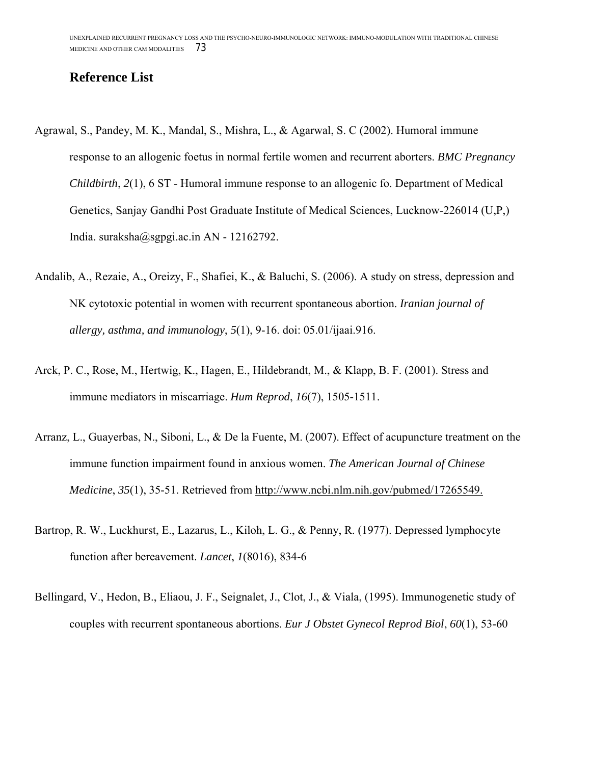## **Reference List**

- Agrawal, S., Pandey, M. K., Mandal, S., Mishra, L., & Agarwal, S. C (2002). Humoral immune response to an allogenic foetus in normal fertile women and recurrent aborters. *BMC Pregnancy Childbirth*, *2*(1), 6 ST - Humoral immune response to an allogenic fo. Department of Medical Genetics, Sanjay Gandhi Post Graduate Institute of Medical Sciences, Lucknow-226014 (U,P,) India. suraksha@sgpgi.ac.in AN - 12162792.
- Andalib, A., Rezaie, A., Oreizy, F., Shafiei, K., & Baluchi, S. (2006). A study on stress, depression and NK cytotoxic potential in women with recurrent spontaneous abortion. *Iranian journal of allergy, asthma, and immunology*, *5*(1), 9-16. doi: 05.01/ijaai.916.
- Arck, P. C., Rose, M., Hertwig, K., Hagen, E., Hildebrandt, M., & Klapp, B. F. (2001). Stress and immune mediators in miscarriage. *Hum Reprod*, *16*(7), 1505-1511.
- Arranz, L., Guayerbas, N., Siboni, L., & De la Fuente, M. (2007). Effect of acupuncture treatment on the immune function impairment found in anxious women. *The American Journal of Chinese Medicine*, *35*(1), 35-51. Retrieved from http://www.ncbi.nlm.nih.gov/pubmed/17265549.
- Bartrop, R. W., Luckhurst, E., Lazarus, L., Kiloh, L. G., & Penny, R. (1977). Depressed lymphocyte function after bereavement. *Lancet*, *1*(8016), 834-6
- Bellingard, V., Hedon, B., Eliaou, J. F., Seignalet, J., Clot, J., & Viala, (1995). Immunogenetic study of couples with recurrent spontaneous abortions. *Eur J Obstet Gynecol Reprod Biol*, *60*(1), 53-60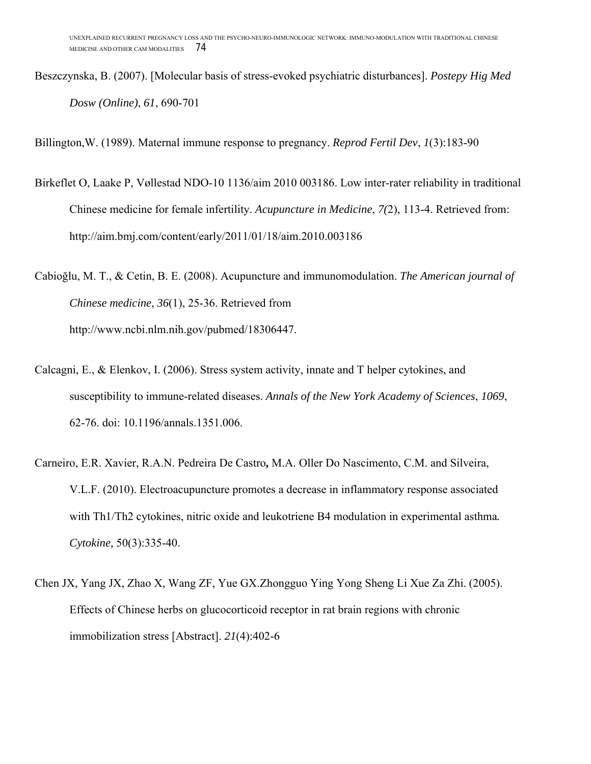Beszczynska, B. (2007). [Molecular basis of stress-evoked psychiatric disturbances]. *Postepy Hig Med Dosw (Online)*, *61*, 690-701

Billington,W. (1989). Maternal immune response to pregnancy. *Reprod Fertil Dev*, *1*(3):183-90

- Birkeflet O, Laake P, Vøllestad NDO-10 1136/aim 2010 003186. Low inter-rater reliability in traditional Chinese medicine for female infertility. *Acupuncture in Medicine*, *7(*2), 113-4. Retrieved from: http://aim.bmj.com/content/early/2011/01/18/aim.2010.003186
- Cabioğlu, M. T., & Cetin, B. E. (2008). Acupuncture and immunomodulation. *The American journal of Chinese medicine*, *36*(1), 25-36. Retrieved from http://www.ncbi.nlm.nih.gov/pubmed/18306447.
- Calcagni, E., & Elenkov, I. (2006). Stress system activity, innate and T helper cytokines, and susceptibility to immune-related diseases. *Annals of the New York Academy of Sciences*, *1069*, 62-76. doi: 10.1196/annals.1351.006.
- Carneiro, E.R. Xavier, R.A.N. Pedreira De Castro**,** M.A. Oller Do Nascimento, C.M. and Silveira, V.L.F. (2010). Electroacupuncture promotes a decrease in inflammatory response associated with Th1/Th2 cytokines, nitric oxide and leukotriene B4 modulation in experimental asthma*. Cytokine,* 50(3):335-40.
- Chen JX, Yang JX, Zhao X, Wang ZF, Yue GX.Zhongguo Ying Yong Sheng Li Xue Za Zhi. (2005). Effects of Chinese herbs on glucocorticoid receptor in rat brain regions with chronic immobilization stress [Abstract]. *21*(4):402-6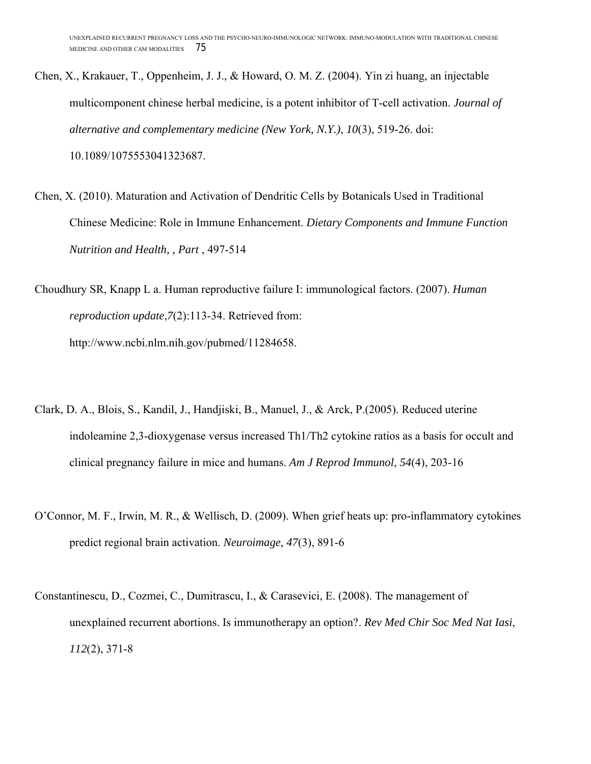- Chen, X., Krakauer, T., Oppenheim, J. J., & Howard, O. M. Z. (2004). Yin zi huang, an injectable multicomponent chinese herbal medicine, is a potent inhibitor of T-cell activation. *Journal of alternative and complementary medicine (New York, N.Y.)*, *10*(3), 519-26. doi: 10.1089/1075553041323687.
- Chen, X. (2010). Maturation and Activation of Dendritic Cells by Botanicals Used in Traditional Chinese Medicine: Role in Immune Enhancement. *Dietary Components and Immune Function Nutrition and Health, , Part* , 497-514
- Choudhury SR, Knapp L a. Human reproductive failure I: immunological factors. (2007). *Human reproduction update*,*7*(2):113-34. Retrieved from: http://www.ncbi.nlm.nih.gov/pubmed/11284658.
- Clark, D. A., Blois, S., Kandil, J., Handjiski, B., Manuel, J., & Arck, P.(2005). Reduced uterine indoleamine 2,3-dioxygenase versus increased Th1/Th2 cytokine ratios as a basis for occult and clinical pregnancy failure in mice and humans. *Am J Reprod Immunol*, *54*(4), 203-16
- O'Connor, M. F., Irwin, M. R., & Wellisch, D. (2009). When grief heats up: pro-inflammatory cytokines predict regional brain activation. *Neuroimage*, *47*(3), 891-6
- Constantinescu, D., Cozmei, C., Dumitrascu, I., & Carasevici, E. (2008). The management of unexplained recurrent abortions. Is immunotherapy an option?. *Rev Med Chir Soc Med Nat Iasi*, *112*(2), 371-8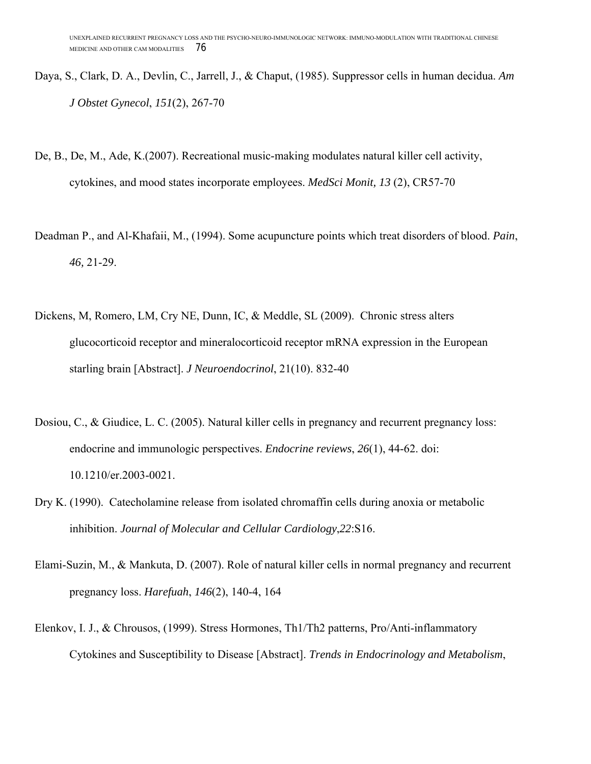- Daya, S., Clark, D. A., Devlin, C., Jarrell, J., & Chaput, (1985). Suppressor cells in human decidua. *Am J Obstet Gynecol*, *151*(2), 267-70
- De, B., De, M., Ade, K.(2007). Recreational music-making modulates natural killer cell activity, cytokines, and mood states incorporate employees. *MedSci Monit, 13* (2), CR57-70
- Deadman P., and Al-Khafaii, M., (1994). Some acupuncture points which treat disorders of blood. *Pain*, *46,* 21-29.
- Dickens, M, Romero, LM, Cry NE, Dunn, IC, & Meddle, SL (2009). Chronic stress alters glucocorticoid receptor and mineralocorticoid receptor mRNA expression in the European starling brain [Abstract]. *J Neuroendocrinol*, 21(10). 832-40
- Dosiou, C., & Giudice, L. C. (2005). Natural killer cells in pregnancy and recurrent pregnancy loss: endocrine and immunologic perspectives. *Endocrine reviews*, *26*(1), 44-62. doi: 10.1210/er.2003-0021.
- Dry K. (1990). Catecholamine release from isolated chromaffin cells during anoxia or metabolic inhibition. *Journal of Molecular and Cellular Cardiology*,*22*:S16.
- Elami-Suzin, M., & Mankuta, D. (2007). Role of natural killer cells in normal pregnancy and recurrent pregnancy loss. *Harefuah*, *146*(2), 140-4, 164
- Elenkov, I. J., & Chrousos, (1999). Stress Hormones, Th1/Th2 patterns, Pro/Anti-inflammatory Cytokines and Susceptibility to Disease [Abstract]. *Trends in Endocrinology and Metabolism*,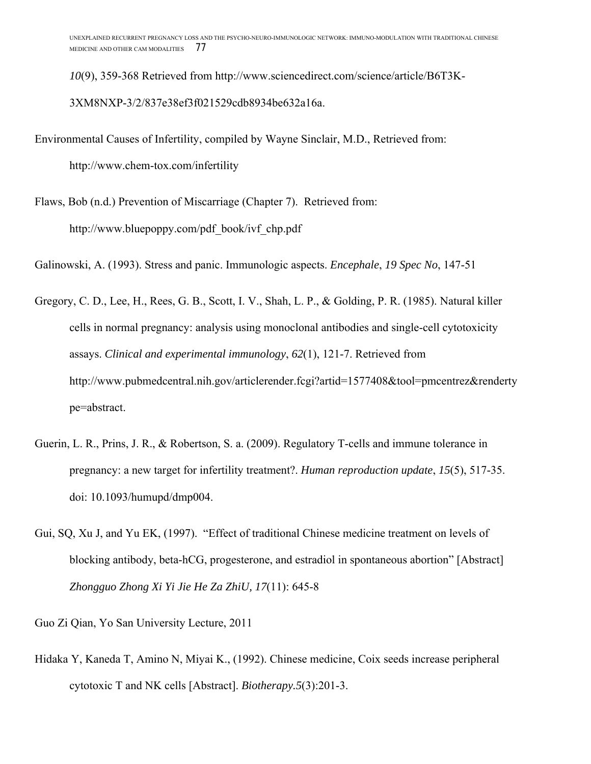*10*(9), 359-368 Retrieved from http://www.sciencedirect.com/science/article/B6T3K-3XM8NXP-3/2/837e38ef3f021529cdb8934be632a16a.

Environmental Causes of Infertility, compiled by Wayne Sinclair, M.D., Retrieved from:

http://www.chem-tox.com/infertility

Flaws, Bob (n.d.) Prevention of Miscarriage (Chapter 7). Retrieved from: http://www.bluepoppy.com/pdf\_book/ivf\_chp.pdf

Galinowski, A. (1993). Stress and panic. Immunologic aspects. *Encephale*, *19 Spec No*, 147-51

Gregory, C. D., Lee, H., Rees, G. B., Scott, I. V., Shah, L. P., & Golding, P. R. (1985). Natural killer cells in normal pregnancy: analysis using monoclonal antibodies and single-cell cytotoxicity assays. *Clinical and experimental immunology*, *62*(1), 121-7. Retrieved from http://www.pubmedcentral.nih.gov/articlerender.fcgi?artid=1577408&tool=pmcentrez&renderty pe=abstract.

- Guerin, L. R., Prins, J. R., & Robertson, S. a. (2009). Regulatory T-cells and immune tolerance in pregnancy: a new target for infertility treatment?. *Human reproduction update*, *15*(5), 517-35. doi: 10.1093/humupd/dmp004.
- Gui, SQ, Xu J, and Yu EK, (1997). "Effect of traditional Chinese medicine treatment on levels of blocking antibody, beta-hCG, progesterone, and estradiol in spontaneous abortion" [Abstract] *Zhongguo Zhong Xi Yi Jie He Za ZhiU, 17*(11): 645-8

Guo Zi Qian, Yo San University Lecture, 2011

Hidaka Y, Kaneda T, Amino N, Miyai K., (1992). Chinese medicine, Coix seeds increase peripheral cytotoxic T and NK cells [Abstract]. *Biotherapy.5*(3):201-3.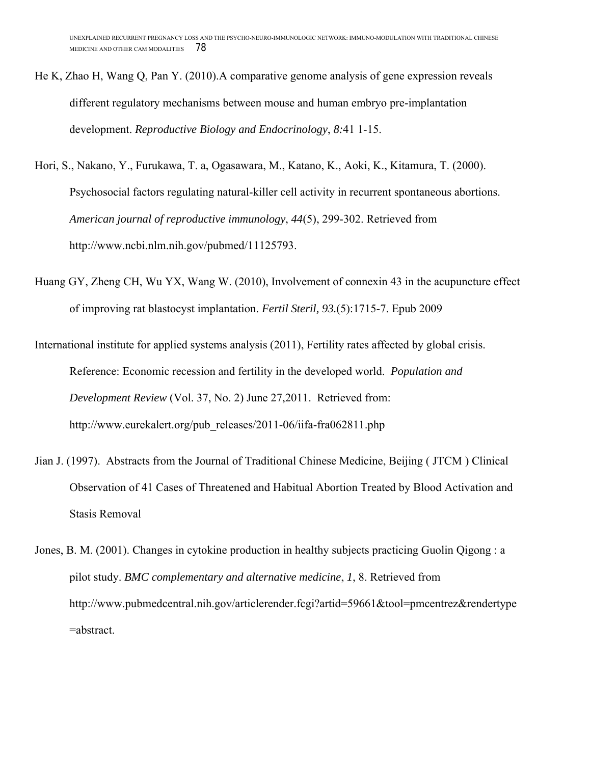- He K, Zhao H, Wang Q, Pan Y. (2010).A comparative genome analysis of gene expression reveals different regulatory mechanisms between mouse and human embryo pre-implantation development. *Reproductive Biology and Endocrinology*, *8:*41 1-15.
- Hori, S., Nakano, Y., Furukawa, T. a, Ogasawara, M., Katano, K., Aoki, K., Kitamura, T. (2000). Psychosocial factors regulating natural-killer cell activity in recurrent spontaneous abortions. *American journal of reproductive immunology*, *44*(5), 299-302. Retrieved from http://www.ncbi.nlm.nih.gov/pubmed/11125793.
- Huang GY, Zheng CH, Wu YX, Wang W. (2010), Involvement of connexin 43 in the acupuncture effect of improving rat blastocyst implantation. *Fertil Steril, 93.*(5):1715-7. Epub 2009

International institute for applied systems analysis (2011), Fertility rates affected by global crisis. Reference: Economic recession and fertility in the developed world. *Population and Development Review* (Vol. 37, No. 2) June 27,2011. Retrieved from: http://www.eurekalert.org/pub\_releases/2011-06/iifa-fra062811.php

- Jian J. (1997). Abstracts from the Journal of Traditional Chinese Medicine, Beijing ( JTCM ) Clinical Observation of 41 Cases of Threatened and Habitual Abortion Treated by Blood Activation and Stasis Removal
- Jones, B. M. (2001). Changes in cytokine production in healthy subjects practicing Guolin Qigong : a pilot study. *BMC complementary and alternative medicine*, *1*, 8. Retrieved from http://www.pubmedcentral.nih.gov/articlerender.fcgi?artid=59661&tool=pmcentrez&rendertype =abstract.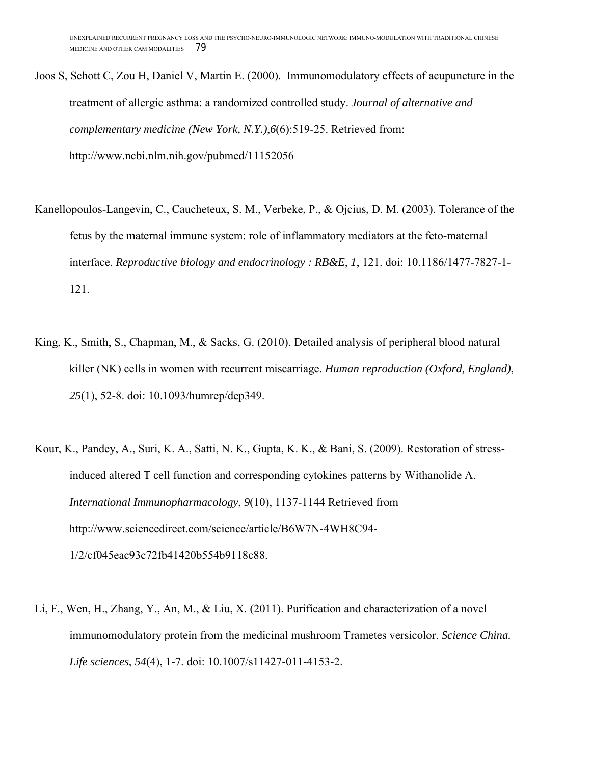- Joos S, Schott C, Zou H, Daniel V, Martin E. (2000). Immunomodulatory effects of acupuncture in the treatment of allergic asthma: a randomized controlled study. *Journal of alternative and complementary medicine (New York, N.Y.)*,*6*(6):519-25. Retrieved from: http://www.ncbi.nlm.nih.gov/pubmed/11152056
- Kanellopoulos-Langevin, C., Caucheteux, S. M., Verbeke, P., & Ojcius, D. M. (2003). Tolerance of the fetus by the maternal immune system: role of inflammatory mediators at the feto-maternal interface. *Reproductive biology and endocrinology : RB&E*, *1*, 121. doi: 10.1186/1477-7827-1- 121.
- King, K., Smith, S., Chapman, M., & Sacks, G. (2010). Detailed analysis of peripheral blood natural killer (NK) cells in women with recurrent miscarriage. *Human reproduction (Oxford, England)*, *25*(1), 52-8. doi: 10.1093/humrep/dep349.
- Kour, K., Pandey, A., Suri, K. A., Satti, N. K., Gupta, K. K., & Bani, S. (2009). Restoration of stressinduced altered T cell function and corresponding cytokines patterns by Withanolide A. *International Immunopharmacology*, *9*(10), 1137-1144 Retrieved from http://www.sciencedirect.com/science/article/B6W7N-4WH8C94- 1/2/cf045eac93c72fb41420b554b9118c88.
- Li, F., Wen, H., Zhang, Y., An, M., & Liu, X. (2011). Purification and characterization of a novel immunomodulatory protein from the medicinal mushroom Trametes versicolor. *Science China. Life sciences*, *54*(4), 1-7. doi: 10.1007/s11427-011-4153-2.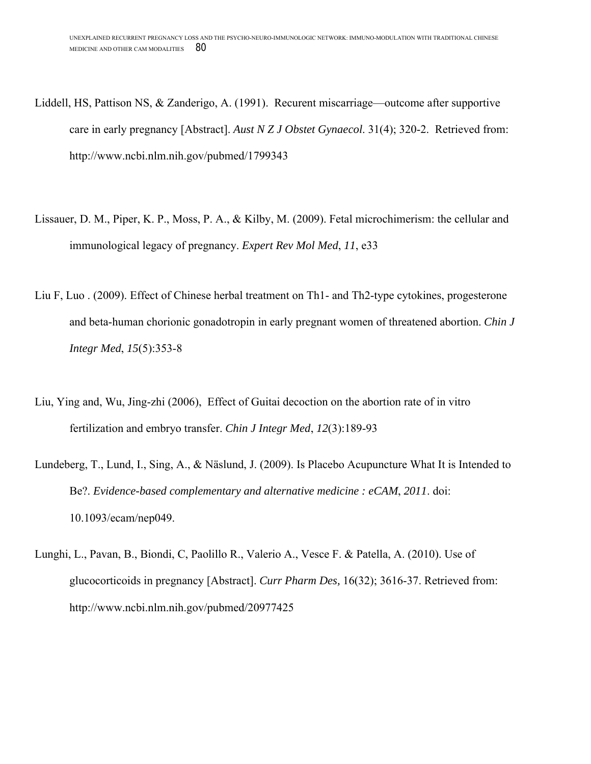- Liddell, HS, Pattison NS, & Zanderigo, A. (1991). Recurent miscarriage—outcome after supportive care in early pregnancy [Abstract]. *Aust N Z J Obstet Gynaecol*. 31(4); 320-2. Retrieved from: http://www.ncbi.nlm.nih.gov/pubmed/1799343
- Lissauer, D. M., Piper, K. P., Moss, P. A., & Kilby, M. (2009). Fetal microchimerism: the cellular and immunological legacy of pregnancy. *Expert Rev Mol Med*, *11*, e33
- Liu F, Luo . (2009). Effect of Chinese herbal treatment on Th1- and Th2-type cytokines, progesterone and beta-human chorionic gonadotropin in early pregnant women of threatened abortion. *Chin J Integr Med*, *15*(5):353-8
- Liu, Ying and, Wu, Jing-zhi (2006), Effect of Guitai decoction on the abortion rate of in vitro fertilization and embryo transfer. *Chin J Integr Med*, *12*(3):189-93
- Lundeberg, T., Lund, I., Sing, A., & Näslund, J. (2009). Is Placebo Acupuncture What It is Intended to Be?. *Evidence-based complementary and alternative medicine : eCAM*, *2011*. doi: 10.1093/ecam/nep049.
- Lunghi, L., Pavan, B., Biondi, C, Paolillo R., Valerio A., Vesce F. & Patella, A. (2010). Use of glucocorticoids in pregnancy [Abstract]. *Curr Pharm Des,* 16(32); 3616-37. Retrieved from: http://www.ncbi.nlm.nih.gov/pubmed/20977425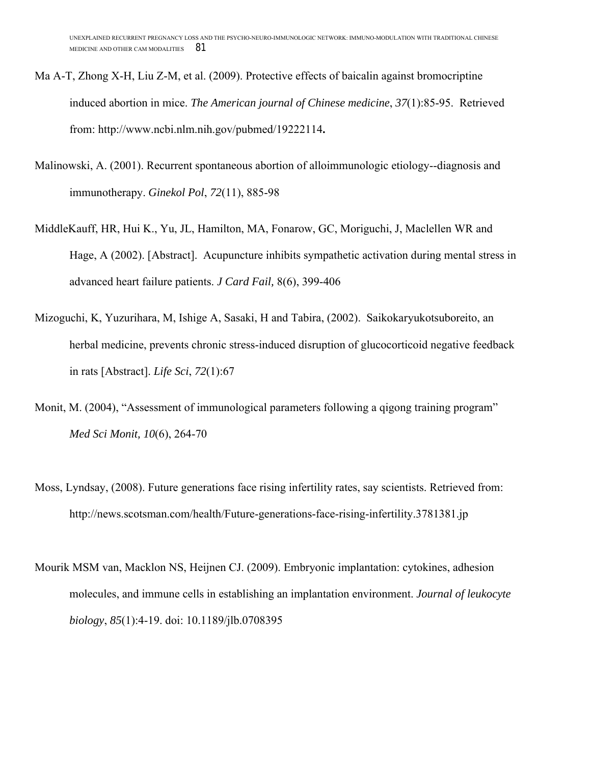- Ma A-T, Zhong X-H, Liu Z-M, et al. (2009). Protective effects of baicalin against bromocriptine induced abortion in mice. *The American journal of Chinese medicine*, *37*(1):85-95. Retrieved from: http://www.ncbi.nlm.nih.gov/pubmed/19222114**.**
- Malinowski, A. (2001). Recurrent spontaneous abortion of alloimmunologic etiology--diagnosis and immunotherapy. *Ginekol Pol*, *72*(11), 885-98
- MiddleKauff, HR, Hui K., Yu, JL, Hamilton, MA, Fonarow, GC, Moriguchi, J, Maclellen WR and Hage, A (2002). [Abstract]. Acupuncture inhibits sympathetic activation during mental stress in advanced heart failure patients. *J Card Fail,* 8(6), 399-406
- Mizoguchi, K, Yuzurihara, M, Ishige A, Sasaki, H and Tabira, (2002). Saikokaryukotsuboreito, an herbal medicine, prevents chronic stress-induced disruption of glucocorticoid negative feedback in rats [Abstract]. *Life Sci*, *72*(1):67
- Monit, M. (2004), "Assessment of immunological parameters following a qigong training program" *Med Sci Monit, 10*(6), 264-70
- Moss, Lyndsay, (2008). Future generations face rising infertility rates, say scientists. Retrieved from: http://news.scotsman.com/health/Future-generations-face-rising-infertility.3781381.jp
- Mourik MSM van, Macklon NS, Heijnen CJ. (2009). Embryonic implantation: cytokines, adhesion molecules, and immune cells in establishing an implantation environment. *Journal of leukocyte biology*, *85*(1):4-19. doi: 10.1189/jlb.0708395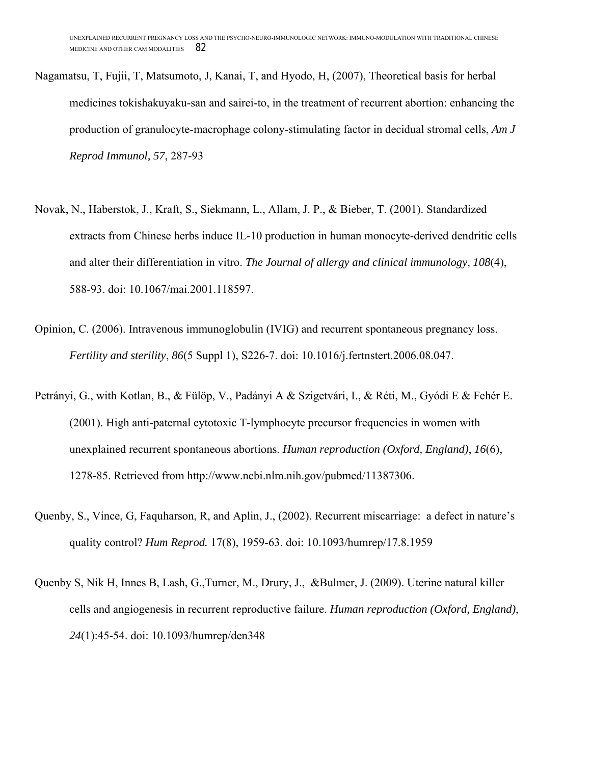- Nagamatsu, T, Fujii, T, Matsumoto, J, Kanai, T, and Hyodo, H, (2007), Theoretical basis for herbal medicines tokishakuyaku-san and sairei-to, in the treatment of recurrent abortion: enhancing the production of granulocyte-macrophage colony-stimulating factor in decidual stromal cells, *Am J Reprod Immunol, 57*, 287-93
- Novak, N., Haberstok, J., Kraft, S., Siekmann, L., Allam, J. P., & Bieber, T. (2001). Standardized extracts from Chinese herbs induce IL-10 production in human monocyte-derived dendritic cells and alter their differentiation in vitro. *The Journal of allergy and clinical immunology*, *108*(4), 588-93. doi: 10.1067/mai.2001.118597.
- Opinion, C. (2006). Intravenous immunoglobulin (IVIG) and recurrent spontaneous pregnancy loss. *Fertility and sterility*, *86*(5 Suppl 1), S226-7. doi: 10.1016/j.fertnstert.2006.08.047.
- Petrányi, G., with Kotlan, B., & Fülöp, V., Padányi A & Szigetvári, I., & Réti, M., Gyódi E & Fehér E. (2001). High anti-paternal cytotoxic T-lymphocyte precursor frequencies in women with unexplained recurrent spontaneous abortions. *Human reproduction (Oxford, England)*, *16*(6), 1278-85. Retrieved from http://www.ncbi.nlm.nih.gov/pubmed/11387306.
- Quenby, S., Vince, G, Faquharson, R, and Aplin, J., (2002). Recurrent miscarriage: a defect in nature's quality control? *Hum Reprod.* 17(8), 1959-63. doi: 10.1093/humrep/17.8.1959
- Quenby S, Nik H, Innes B, Lash, G.,Turner, M., Drury, J., &Bulmer, J. (2009). Uterine natural killer cells and angiogenesis in recurrent reproductive failure. *Human reproduction (Oxford, England)*, *24*(1):45-54. doi: 10.1093/humrep/den348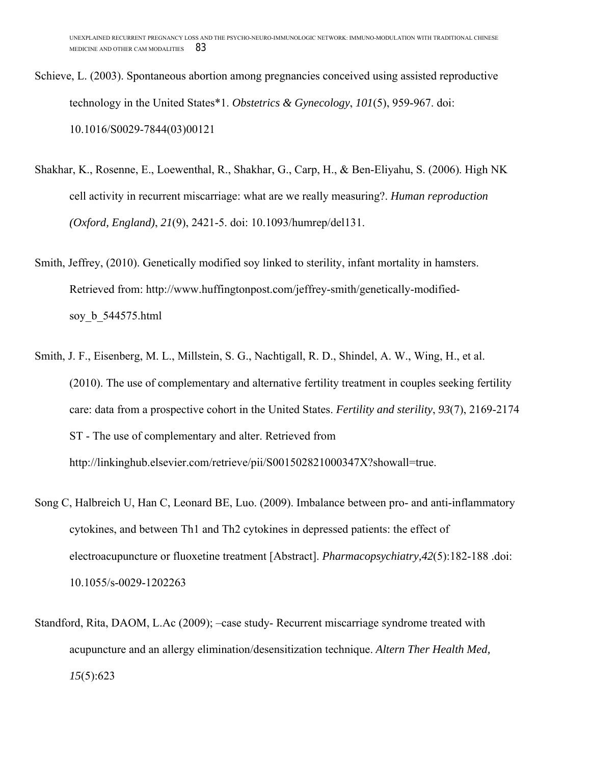- Schieve, L. (2003). Spontaneous abortion among pregnancies conceived using assisted reproductive technology in the United States\*1. *Obstetrics & Gynecology*, *101*(5), 959-967. doi: 10.1016/S0029-7844(03)00121
- Shakhar, K., Rosenne, E., Loewenthal, R., Shakhar, G., Carp, H., & Ben-Eliyahu, S. (2006). High NK cell activity in recurrent miscarriage: what are we really measuring?. *Human reproduction (Oxford, England)*, *21*(9), 2421-5. doi: 10.1093/humrep/del131.
- Smith, Jeffrey, (2010). Genetically modified soy linked to sterility, infant mortality in hamsters. Retrieved from: http://www.huffingtonpost.com/jeffrey-smith/genetically-modifiedsoy\_b\_544575.html
- Smith, J. F., Eisenberg, M. L., Millstein, S. G., Nachtigall, R. D., Shindel, A. W., Wing, H., et al. (2010). The use of complementary and alternative fertility treatment in couples seeking fertility care: data from a prospective cohort in the United States. *Fertility and sterility*, *93*(7), 2169-2174 ST - The use of complementary and alter. Retrieved from http://linkinghub.elsevier.com/retrieve/pii/S001502821000347X?showall=true.
- Song C, Halbreich U, Han C, Leonard BE, Luo. (2009). Imbalance between pro- and anti-inflammatory cytokines, and between Th1 and Th2 cytokines in depressed patients: the effect of electroacupuncture or fluoxetine treatment [Abstract]. *Pharmacopsychiatry,42*(5):182-188 .doi: 10.1055/s-0029-1202263
- Standford, Rita, DAOM, L.Ac (2009); –case study- Recurrent miscarriage syndrome treated with acupuncture and an allergy elimination/desensitization technique. *Altern Ther Health Med, 15*(5):623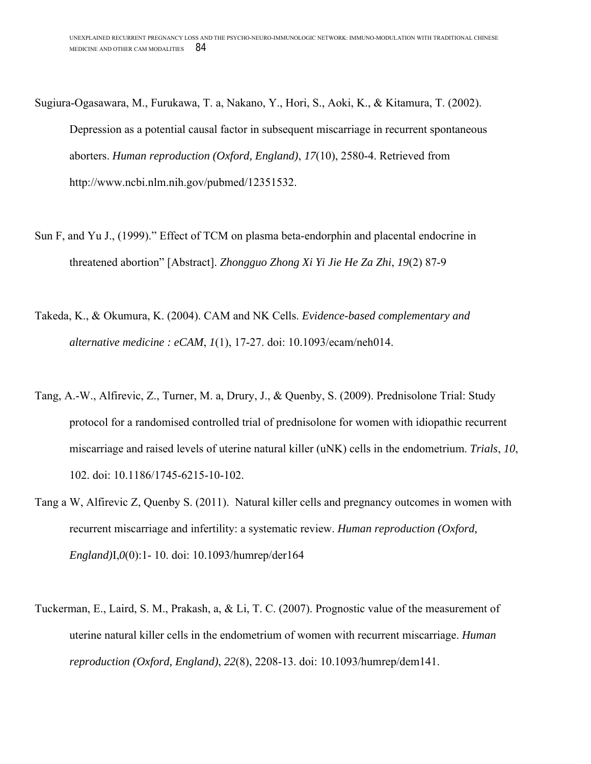Sugiura-Ogasawara, M., Furukawa, T. a, Nakano, Y., Hori, S., Aoki, K., & Kitamura, T. (2002). Depression as a potential causal factor in subsequent miscarriage in recurrent spontaneous aborters. *Human reproduction (Oxford, England)*, *17*(10), 2580-4. Retrieved from http://www.ncbi.nlm.nih.gov/pubmed/12351532.

- Sun F, and Yu J., (1999)." Effect of TCM on plasma beta-endorphin and placental endocrine in threatened abortion" [Abstract]. *Zhongguo Zhong Xi Yi Jie He Za Zhi*, *19*(2) 87-9
- Takeda, K., & Okumura, K. (2004). CAM and NK Cells. *Evidence-based complementary and alternative medicine : eCAM*, *1*(1), 17-27. doi: 10.1093/ecam/neh014.
- Tang, A.-W., Alfirevic, Z., Turner, M. a, Drury, J., & Quenby, S. (2009). Prednisolone Trial: Study protocol for a randomised controlled trial of prednisolone for women with idiopathic recurrent miscarriage and raised levels of uterine natural killer (uNK) cells in the endometrium. *Trials*, *10*, 102. doi: 10.1186/1745-6215-10-102.
- Tang a W, Alfirevic Z, Quenby S. (2011). Natural killer cells and pregnancy outcomes in women with recurrent miscarriage and infertility: a systematic review. *Human reproduction (Oxford, England)*I,*0*(0):1- 10. doi: 10.1093/humrep/der164
- Tuckerman, E., Laird, S. M., Prakash, a, & Li, T. C. (2007). Prognostic value of the measurement of uterine natural killer cells in the endometrium of women with recurrent miscarriage. *Human reproduction (Oxford, England)*, *22*(8), 2208-13. doi: 10.1093/humrep/dem141.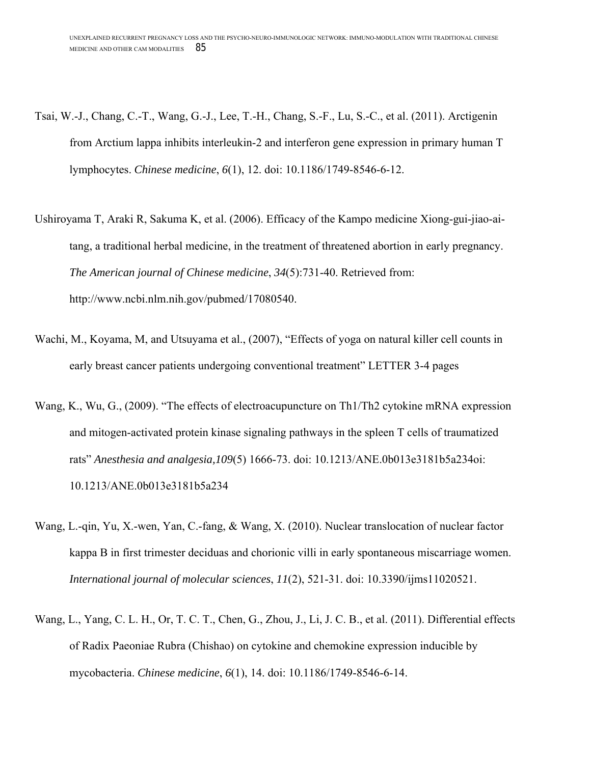- Tsai, W.-J., Chang, C.-T., Wang, G.-J., Lee, T.-H., Chang, S.-F., Lu, S.-C., et al. (2011). Arctigenin from Arctium lappa inhibits interleukin-2 and interferon gene expression in primary human T lymphocytes. *Chinese medicine*, *6*(1), 12. doi: 10.1186/1749-8546-6-12.
- Ushiroyama T, Araki R, Sakuma K, et al. (2006). Efficacy of the Kampo medicine Xiong-gui-jiao-aitang, a traditional herbal medicine, in the treatment of threatened abortion in early pregnancy. *The American journal of Chinese medicine*, *34*(5):731-40. Retrieved from: http://www.ncbi.nlm.nih.gov/pubmed/17080540.
- Wachi, M., Koyama, M, and Utsuyama et al., (2007), "Effects of yoga on natural killer cell counts in early breast cancer patients undergoing conventional treatment" LETTER 3-4 pages
- Wang, K., Wu, G., (2009). "The effects of electroacupuncture on Th1/Th2 cytokine mRNA expression and mitogen-activated protein kinase signaling pathways in the spleen T cells of traumatized rats" *Anesthesia and analgesia,109*(5) 1666-73. doi: 10.1213/ANE.0b013e3181b5a234oi: 10.1213/ANE.0b013e3181b5a234
- Wang, L.-qin, Yu, X.-wen, Yan, C.-fang, & Wang, X. (2010). Nuclear translocation of nuclear factor kappa B in first trimester deciduas and chorionic villi in early spontaneous miscarriage women. *International journal of molecular sciences*, *11*(2), 521-31. doi: 10.3390/ijms11020521.
- Wang, L., Yang, C. L. H., Or, T. C. T., Chen, G., Zhou, J., Li, J. C. B., et al. (2011). Differential effects of Radix Paeoniae Rubra (Chishao) on cytokine and chemokine expression inducible by mycobacteria. *Chinese medicine*, *6*(1), 14. doi: 10.1186/1749-8546-6-14.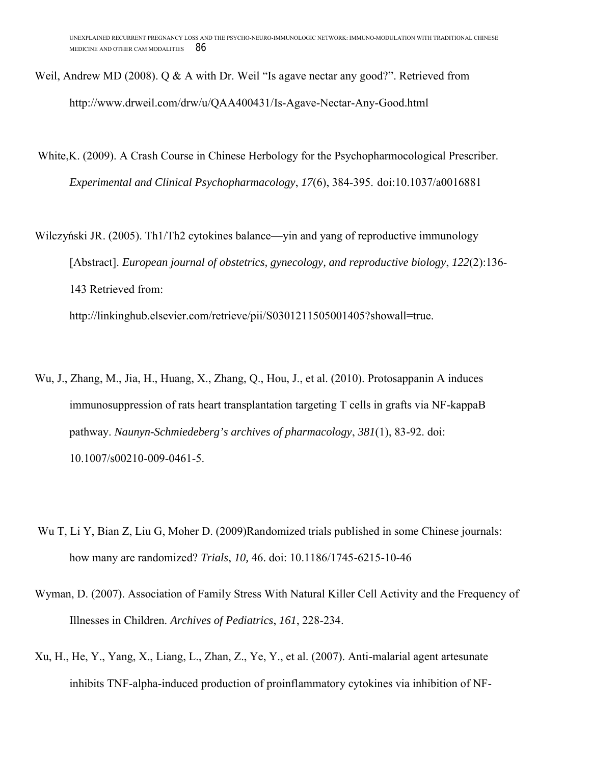- Weil, Andrew MD (2008). O & A with Dr. Weil "Is agave nectar any good?". Retrieved from http://www.drweil.com/drw/u/QAA400431/Is-Agave-Nectar-Any-Good.html
- White,K. (2009). A Crash Course in Chinese Herbology for the Psychopharmocological Prescriber. *Experimental and Clinical Psychopharmacology* , *17*(6), 384-395. doi:10.1037/a0016881

Wilczyński JR. (2005). Th1/Th2 cytokines balance—yin and yang of reproductive immunology [Abstract]. *European journal of obstetrics, gynecology, and reproductive biology* 143 Retrieved from:

http://linkinghub.elsevier.com/retrieve/pii/S0301211505001405?showall=true http://linkinghub.elsevier.com/retrieve/pii/S0301211505001405?showall=true.

- Wu, J., Zhang, M., Jia, H., Huang, X., Zhang, Q., Hou, J. J., et al. (2010). Protosappanin A induces Zhang, M., Jia, H., Huang, X., Zhang, Q., Hou, J., et al. (2010). Protosappanin A induces<br>immunosuppression of rats heart transplantation targeting T cells in grafts via NF-kappaB pathway. *Naunyn-Schmiedeberg's archives of pharmacology*, 381(1), 83-92. doi: 10.1007/s00210-009-0461-5. Examples and the University States Real and assessed and the Brettines States States Manus States Manus States Monday Properties States Monday ( $Q$  & A with Dr. Weil "Is agave nectar any good?". Retrieved from om/drw/u/QAA
- Wu T, Li Y, Bian Z, Liu G, Moher D. (2009)Randomized trials published in some Chinese journals: how many are randomized? *Trials* , *10,* 46. doi: 10.1186/1745-6215-10-46  $(1)$ , 83-92. doi:<br>d in some Chinese journa<br>15-10-46<br>ll Activity and the Frequen<br>malarial agent artesunate<br>cines via inhibition of NF-
- Wyman, D. (2007). Association of Family Stress With Natural Killer Cell Activity and the Frequency of Illnesses in Children. *Archives of Pediatrics* , *161*, 228-234.
- Xu, H., He, Y., Yang, X., Liang, L., Zhan, Z., Ye, Y., et al. (2007). Anti-malarial agent artesunate inhibits TNF-alpha-induced production of proinflammatory cytokines via inhibition of NF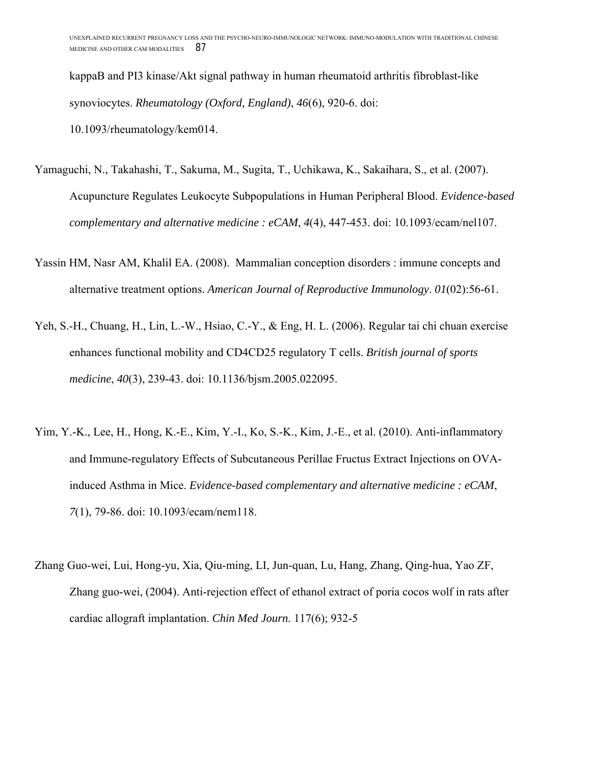kappaB and PI3 kinase/Akt signal pathway in human rheumatoid arthritis fibroblast-like synoviocytes. *Rheumatology (Oxford, England)*, *46*(6), 920-6. doi: 10.1093/rheumatology/kem014.

- Yamaguchi, N., Takahashi, T., Sakuma, M., Sugita, T., Uchikawa, K., Sakaihara, S., et al. (2007). Acupuncture Regulates Leukocyte Subpopulations in Human Peripheral Blood. *Evidence-based complementary and alternative medicine : eCAM*, *4*(4), 447-453. doi: 10.1093/ecam/nel107.
- Yassin HM, Nasr AM, Khalil EA. (2008). Mammalian conception disorders : immune concepts and alternative treatment options. *American Journal of Reproductive Immunology*. *01*(02):56-61.
- Yeh, S.-H., Chuang, H., Lin, L.-W., Hsiao, C.-Y., & Eng, H. L. (2006). Regular tai chi chuan exercise enhances functional mobility and CD4CD25 regulatory T cells. *British journal of sports medicine*, *40*(3), 239-43. doi: 10.1136/bjsm.2005.022095.
- Yim, Y.-K., Lee, H., Hong, K.-E., Kim, Y.-I., Ko, S.-K., Kim, J.-E., et al. (2010). Anti-inflammatory and Immune-regulatory Effects of Subcutaneous Perillae Fructus Extract Injections on OVAinduced Asthma in Mice. *Evidence-based complementary and alternative medicine : eCAM*, *7*(1), 79-86. doi: 10.1093/ecam/nem118.
- Zhang Guo-wei, Lui, Hong-yu, Xia, Qiu-ming, LI, Jun-quan, Lu, Hang, Zhang, Qing-hua, Yao ZF, Zhang guo-wei, (2004). Anti-rejection effect of ethanol extract of poria cocos wolf in rats after cardiac allograft implantation. *Chin Med Journ*. 117(6); 932-5